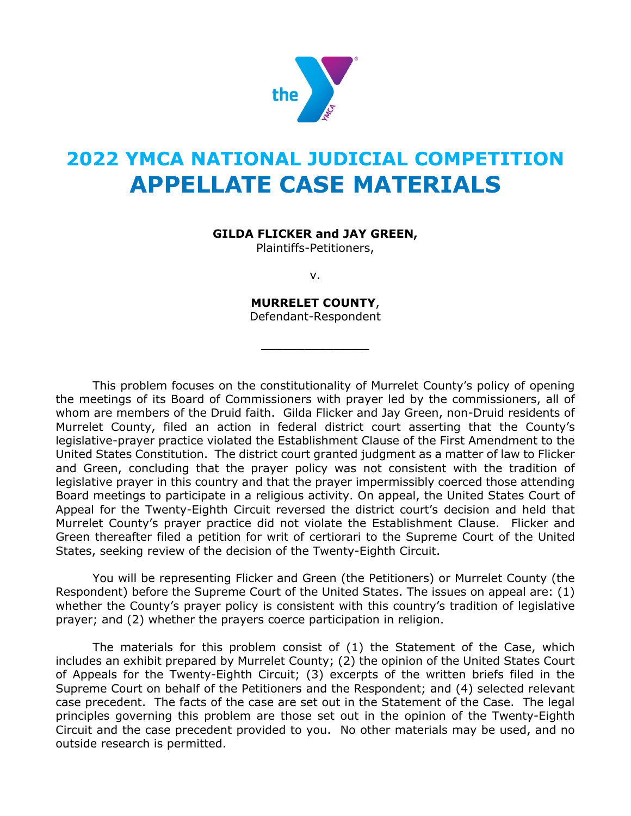

# **2022 YMCA NATIONAL JUDICIAL COMPETITION APPELLATE CASE MATERIALS**

# **GILDA FLICKER and JAY GREEN,**

Plaintiffs-Petitioners,

v.

**MURRELET COUNTY**,

Defendant-Respondent

\_\_\_\_\_\_\_\_\_\_\_\_\_\_\_

This problem focuses on the constitutionality of Murrelet County's policy of opening the meetings of its Board of Commissioners with prayer led by the commissioners, all of whom are members of the Druid faith. Gilda Flicker and Jay Green, non-Druid residents of Murrelet County, filed an action in federal district court asserting that the County's legislative-prayer practice violated the Establishment Clause of the First Amendment to the United States Constitution. The district court granted judgment as a matter of law to Flicker and Green, concluding that the prayer policy was not consistent with the tradition of legislative prayer in this country and that the prayer impermissibly coerced those attending Board meetings to participate in a religious activity. On appeal, the United States Court of Appeal for the Twenty-Eighth Circuit reversed the district court's decision and held that Murrelet County's prayer practice did not violate the Establishment Clause. Flicker and Green thereafter filed a petition for writ of certiorari to the Supreme Court of the United States, seeking review of the decision of the Twenty-Eighth Circuit.

You will be representing Flicker and Green (the Petitioners) or Murrelet County (the Respondent) before the Supreme Court of the United States. The issues on appeal are: (1) whether the County's prayer policy is consistent with this country's tradition of legislative prayer; and (2) whether the prayers coerce participation in religion.

The materials for this problem consist of (1) the Statement of the Case, which includes an exhibit prepared by Murrelet County; (2) the opinion of the United States Court of Appeals for the Twenty-Eighth Circuit; (3) excerpts of the written briefs filed in the Supreme Court on behalf of the Petitioners and the Respondent; and (4) selected relevant case precedent. The facts of the case are set out in the Statement of the Case. The legal principles governing this problem are those set out in the opinion of the Twenty-Eighth Circuit and the case precedent provided to you. No other materials may be used, and no outside research is permitted.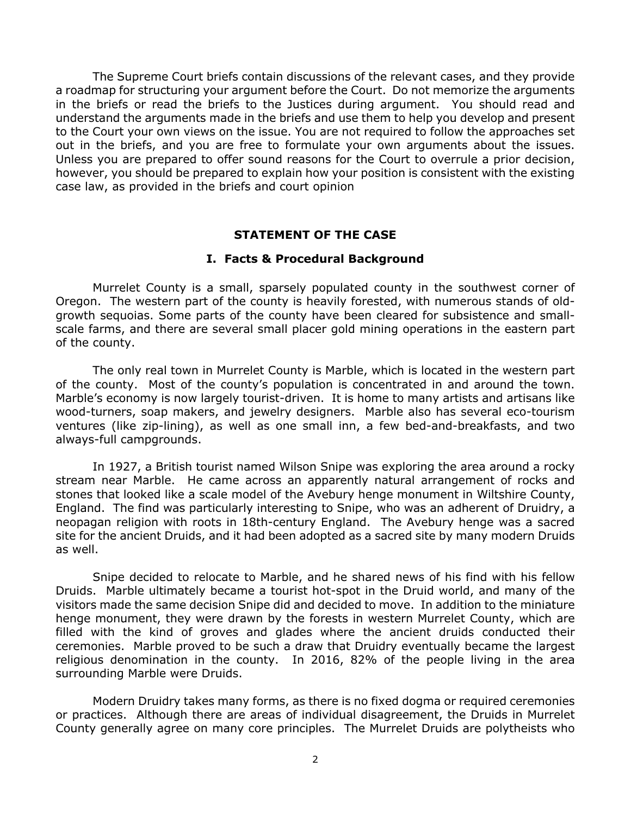The Supreme Court briefs contain discussions of the relevant cases, and they provide a roadmap for structuring your argument before the Court. Do not memorize the arguments in the briefs or read the briefs to the Justices during argument. You should read and understand the arguments made in the briefs and use them to help you develop and present to the Court your own views on the issue. You are not required to follow the approaches set out in the briefs, and you are free to formulate your own arguments about the issues. Unless you are prepared to offer sound reasons for the Court to overrule a prior decision, however, you should be prepared to explain how your position is consistent with the existing case law, as provided in the briefs and court opinion

## **STATEMENT OF THE CASE**

#### **I. Facts & Procedural Background**

Murrelet County is a small, sparsely populated county in the southwest corner of Oregon. The western part of the county is heavily forested, with numerous stands of oldgrowth sequoias. Some parts of the county have been cleared for subsistence and smallscale farms, and there are several small placer gold mining operations in the eastern part of the county.

The only real town in Murrelet County is Marble, which is located in the western part of the county. Most of the county's population is concentrated in and around the town. Marble's economy is now largely tourist-driven. It is home to many artists and artisans like wood-turners, soap makers, and jewelry designers. Marble also has several eco-tourism ventures (like zip-lining), as well as one small inn, a few bed-and-breakfasts, and two always-full campgrounds.

In 1927, a British tourist named Wilson Snipe was exploring the area around a rocky stream near Marble. He came across an apparently natural arrangement of rocks and stones that looked like a scale model of the Avebury henge monument in Wiltshire County, England. The find was particularly interesting to Snipe, who was an adherent of Druidry, a neopagan religion with roots in 18th-century England. The Avebury henge was a sacred site for the ancient Druids, and it had been adopted as a sacred site by many modern Druids as well.

Snipe decided to relocate to Marble, and he shared news of his find with his fellow Druids. Marble ultimately became a tourist hot-spot in the Druid world, and many of the visitors made the same decision Snipe did and decided to move. In addition to the miniature henge monument, they were drawn by the forests in western Murrelet County, which are filled with the kind of groves and glades where the ancient druids conducted their ceremonies. Marble proved to be such a draw that Druidry eventually became the largest religious denomination in the county. In 2016, 82% of the people living in the area surrounding Marble were Druids.

Modern Druidry takes many forms, as there is no fixed dogma or required ceremonies or practices. Although there are areas of individual disagreement, the Druids in Murrelet County generally agree on many core principles. The Murrelet Druids are polytheists who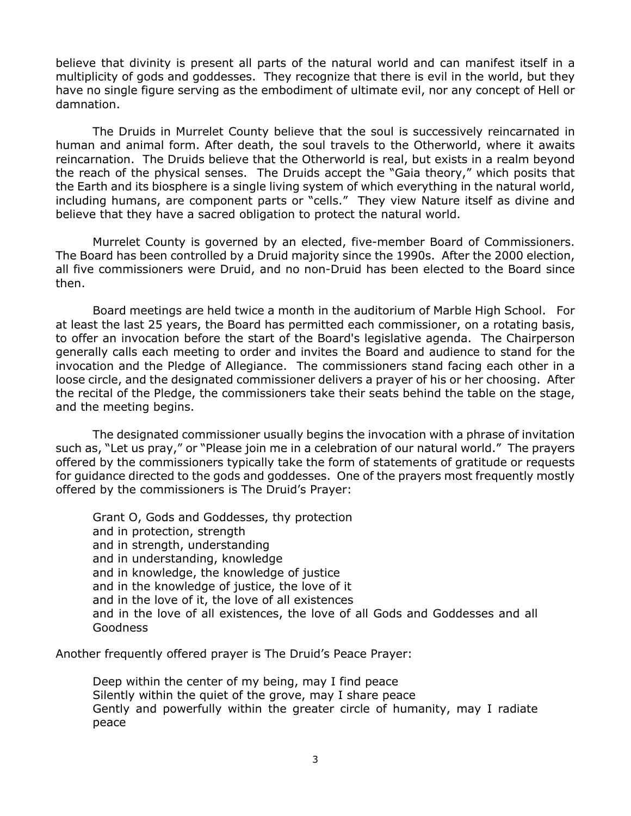believe that divinity is present all parts of the natural world and can manifest itself in a multiplicity of gods and goddesses. They recognize that there is evil in the world, but they have no single figure serving as the embodiment of ultimate evil, nor any concept of Hell or damnation.

The Druids in Murrelet County believe that the soul is successively reincarnated in human and animal form. After death, the soul travels to the Otherworld, where it awaits reincarnation. The Druids believe that the Otherworld is real, but exists in a realm beyond the reach of the physical senses. The Druids accept the "Gaia theory," which posits that the Earth and its biosphere is a single living system of which everything in the natural world, including humans, are component parts or "cells." They view Nature itself as divine and believe that they have a sacred obligation to protect the natural world.

Murrelet County is governed by an elected, five-member Board of Commissioners. The Board has been controlled by a Druid majority since the 1990s. After the 2000 election, all five commissioners were Druid, and no non-Druid has been elected to the Board since then.

Board meetings are held twice a month in the auditorium of Marble High School. For at least the last 25 years, the Board has permitted each commissioner, on a rotating basis, to offer an invocation before the start of the Board's legislative agenda. The Chairperson generally calls each meeting to order and invites the Board and audience to stand for the invocation and the Pledge of Allegiance. The commissioners stand facing each other in a loose circle, and the designated commissioner delivers a prayer of his or her choosing. After the recital of the Pledge, the commissioners take their seats behind the table on the stage, and the meeting begins.

The designated commissioner usually begins the invocation with a phrase of invitation such as, "Let us pray," or "Please join me in a celebration of our natural world." The prayers offered by the commissioners typically take the form of statements of gratitude or requests for guidance directed to the gods and goddesses. One of the prayers most frequently mostly offered by the commissioners is The Druid's Prayer:

Grant O, Gods and Goddesses, thy protection and in protection, strength and in strength, understanding and in understanding, knowledge and in knowledge, the knowledge of justice and in the knowledge of justice, the love of it and in the love of it, the love of all existences and in the love of all existences, the love of all Gods and Goddesses and all Goodness

Another frequently offered prayer is The Druid's Peace Prayer:

Deep within the center of my being, may I find peace Silently within the quiet of the grove, may I share peace Gently and powerfully within the greater circle of humanity, may I radiate peace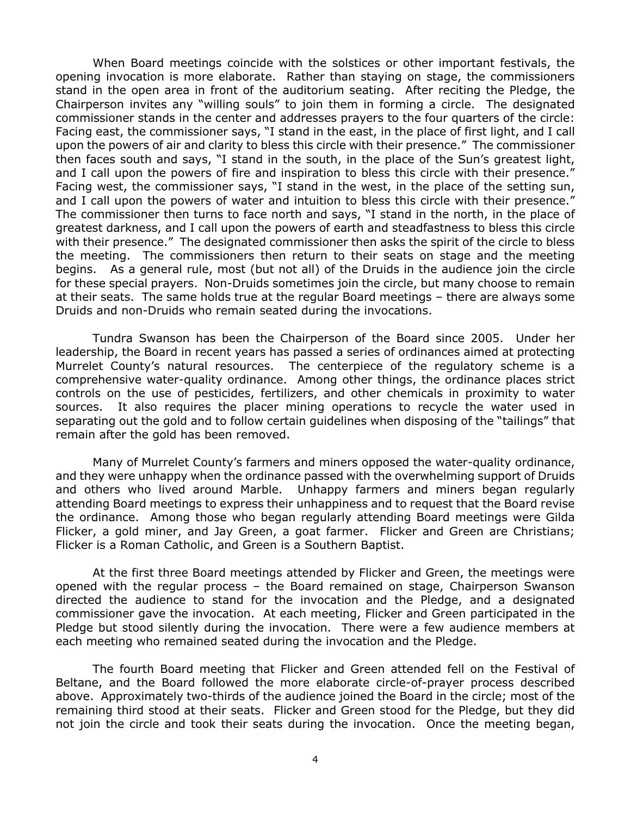When Board meetings coincide with the solstices or other important festivals, the opening invocation is more elaborate. Rather than staying on stage, the commissioners stand in the open area in front of the auditorium seating. After reciting the Pledge, the Chairperson invites any "willing souls" to join them in forming a circle. The designated commissioner stands in the center and addresses prayers to the four quarters of the circle: Facing east, the commissioner says, "I stand in the east, in the place of first light, and I call upon the powers of air and clarity to bless this circle with their presence." The commissioner then faces south and says, "I stand in the south, in the place of the Sun's greatest light, and I call upon the powers of fire and inspiration to bless this circle with their presence." Facing west, the commissioner says, "I stand in the west, in the place of the setting sun, and I call upon the powers of water and intuition to bless this circle with their presence." The commissioner then turns to face north and says, "I stand in the north, in the place of greatest darkness, and I call upon the powers of earth and steadfastness to bless this circle with their presence." The designated commissioner then asks the spirit of the circle to bless the meeting. The commissioners then return to their seats on stage and the meeting begins. As a general rule, most (but not all) of the Druids in the audience join the circle for these special prayers. Non-Druids sometimes join the circle, but many choose to remain at their seats. The same holds true at the regular Board meetings – there are always some Druids and non-Druids who remain seated during the invocations.

Tundra Swanson has been the Chairperson of the Board since 2005. Under her leadership, the Board in recent years has passed a series of ordinances aimed at protecting Murrelet County's natural resources. The centerpiece of the regulatory scheme is a comprehensive water-quality ordinance. Among other things, the ordinance places strict controls on the use of pesticides, fertilizers, and other chemicals in proximity to water sources. It also requires the placer mining operations to recycle the water used in separating out the gold and to follow certain guidelines when disposing of the "tailings" that remain after the gold has been removed.

Many of Murrelet County's farmers and miners opposed the water-quality ordinance, and they were unhappy when the ordinance passed with the overwhelming support of Druids and others who lived around Marble. Unhappy farmers and miners began regularly attending Board meetings to express their unhappiness and to request that the Board revise the ordinance. Among those who began regularly attending Board meetings were Gilda Flicker, a gold miner, and Jay Green, a goat farmer. Flicker and Green are Christians; Flicker is a Roman Catholic, and Green is a Southern Baptist.

At the first three Board meetings attended by Flicker and Green, the meetings were opened with the regular process – the Board remained on stage, Chairperson Swanson directed the audience to stand for the invocation and the Pledge, and a designated commissioner gave the invocation. At each meeting, Flicker and Green participated in the Pledge but stood silently during the invocation. There were a few audience members at each meeting who remained seated during the invocation and the Pledge.

The fourth Board meeting that Flicker and Green attended fell on the Festival of Beltane, and the Board followed the more elaborate circle-of-prayer process described above. Approximately two-thirds of the audience joined the Board in the circle; most of the remaining third stood at their seats. Flicker and Green stood for the Pledge, but they did not join the circle and took their seats during the invocation. Once the meeting began,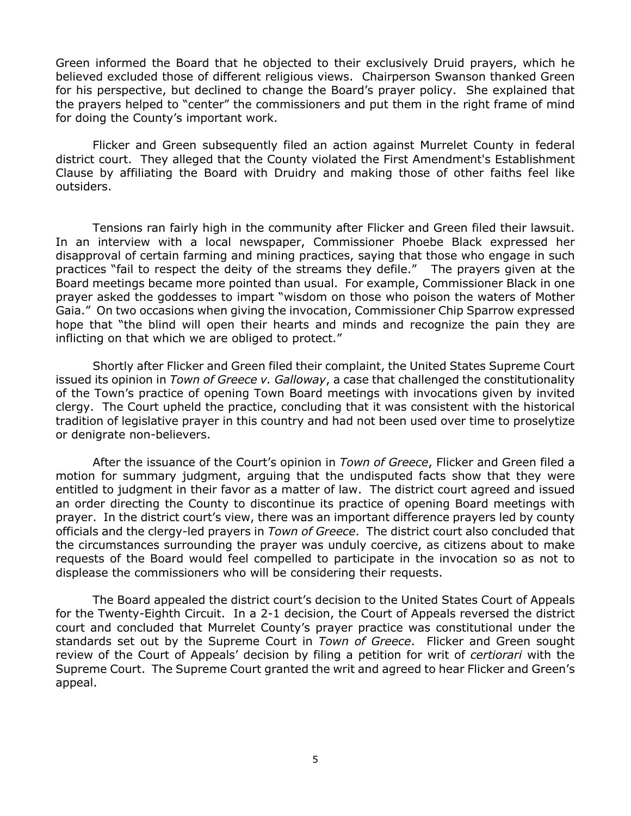Green informed the Board that he objected to their exclusively Druid prayers, which he believed excluded those of different religious views. Chairperson Swanson thanked Green for his perspective, but declined to change the Board's prayer policy. She explained that the prayers helped to "center" the commissioners and put them in the right frame of mind for doing the County's important work.

Flicker and Green subsequently filed an action against Murrelet County in federal district court. They alleged that the County violated the First Amendment's Establishment Clause by affiliating the Board with Druidry and making those of other faiths feel like outsiders.

Tensions ran fairly high in the community after Flicker and Green filed their lawsuit. In an interview with a local newspaper, Commissioner Phoebe Black expressed her disapproval of certain farming and mining practices, saying that those who engage in such practices "fail to respect the deity of the streams they defile." The prayers given at the Board meetings became more pointed than usual. For example, Commissioner Black in one prayer asked the goddesses to impart "wisdom on those who poison the waters of Mother Gaia." On two occasions when giving the invocation, Commissioner Chip Sparrow expressed hope that "the blind will open their hearts and minds and recognize the pain they are inflicting on that which we are obliged to protect."

Shortly after Flicker and Green filed their complaint, the United States Supreme Court issued its opinion in *Town of Greece v. Galloway*, a case that challenged the constitutionality of the Town's practice of opening Town Board meetings with invocations given by invited clergy. The Court upheld the practice, concluding that it was consistent with the historical tradition of legislative prayer in this country and had not been used over time to proselytize or denigrate non-believers.

After the issuance of the Court's opinion in *Town of Greece*, Flicker and Green filed a motion for summary judgment, arguing that the undisputed facts show that they were entitled to judgment in their favor as a matter of law. The district court agreed and issued an order directing the County to discontinue its practice of opening Board meetings with prayer. In the district court's view, there was an important difference prayers led by county officials and the clergy-led prayers in *Town of Greece*. The district court also concluded that the circumstances surrounding the prayer was unduly coercive, as citizens about to make requests of the Board would feel compelled to participate in the invocation so as not to displease the commissioners who will be considering their requests.

The Board appealed the district court's decision to the United States Court of Appeals for the Twenty-Eighth Circuit. In a 2-1 decision, the Court of Appeals reversed the district court and concluded that Murrelet County's prayer practice was constitutional under the standards set out by the Supreme Court in *Town of Greece*. Flicker and Green sought review of the Court of Appeals' decision by filing a petition for writ of *certiorari* with the Supreme Court. The Supreme Court granted the writ and agreed to hear Flicker and Green's appeal.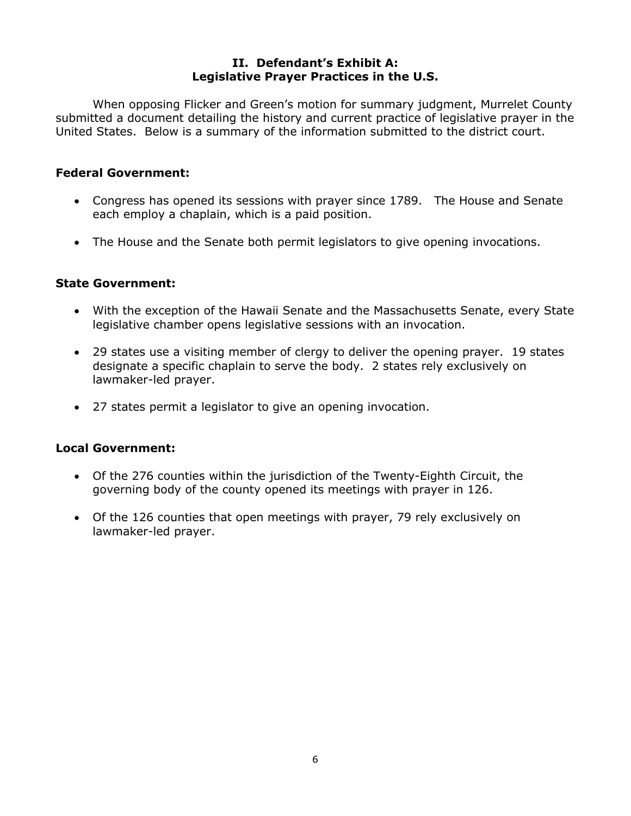## **II. Defendant's Exhibit A: Legislative Prayer Practices in the U.S.**

When opposing Flicker and Green's motion for summary judgment, Murrelet County submitted a document detailing the history and current practice of legislative prayer in the United States. Below is a summary of the information submitted to the district court.

## **Federal Government:**

- Congress has opened its sessions with prayer since 1789. The House and Senate each employ a chaplain, which is a paid position.
- The House and the Senate both permit legislators to give opening invocations.

## **State Government:**

- With the exception of the Hawaii Senate and the Massachusetts Senate, every State legislative chamber opens legislative sessions with an invocation.
- 29 states use a visiting member of clergy to deliver the opening prayer. 19 states designate a specific chaplain to serve the body. 2 states rely exclusively on lawmaker-led prayer.
- 27 states permit a legislator to give an opening invocation.

## **Local Government:**

- Of the 276 counties within the jurisdiction of the Twenty-Eighth Circuit, the governing body of the county opened its meetings with prayer in 126.
- Of the 126 counties that open meetings with prayer, 79 rely exclusively on lawmaker-led prayer.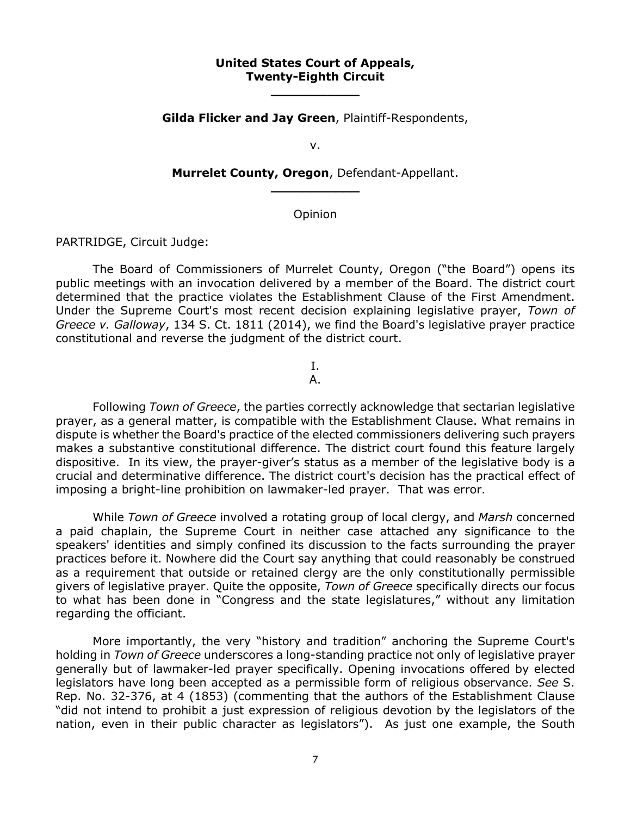## **United States Court of Appeals, Twenty-Eighth Circuit**

**\_\_\_\_\_\_\_\_\_\_\_**

**Gilda Flicker and Jay Green**, Plaintiff-Respondents,

v.

**Murrelet County, Oregon**, Defendant-Appellant. **\_\_\_\_\_\_\_\_\_\_\_**

Opinion

PARTRIDGE, Circuit Judge:

The Board of Commissioners of Murrelet County, Oregon ("the Board") opens its public meetings with an invocation delivered by a member of the Board. The district court determined that the practice violates the Establishment Clause of the First Amendment. Under the Supreme Court's most recent decision explaining legislative prayer, *Town of Greece v. Galloway*, 134 S. Ct. 1811 (2014), we find the Board's legislative prayer practice constitutional and reverse the judgment of the district court.

I.

A.

Following *Town of Greece*, the parties correctly acknowledge that sectarian legislative prayer, as a general matter, is compatible with the Establishment Clause. What remains in dispute is whether the Board's practice of the elected commissioners delivering such prayers makes a substantive constitutional difference. The district court found this feature largely dispositive. In its view, the prayer-giver's status as a member of the legislative body is a crucial and determinative difference. The district court's decision has the practical effect of imposing a bright-line prohibition on lawmaker-led prayer. That was error.

While *Town of Greece* involved a rotating group of local clergy, and *Marsh* concerned a paid chaplain, the Supreme Court in neither case attached any significance to the speakers' identities and simply confined its discussion to the facts surrounding the prayer practices before it. Nowhere did the Court say anything that could reasonably be construed as a requirement that outside or retained clergy are the only constitutionally permissible givers of legislative prayer. Quite the opposite, *Town of Greece* specifically directs our focus to what has been done in "Congress and the state legislatures," without any limitation regarding the officiant.

More importantly, the very "history and tradition" anchoring the Supreme Court's holding in *Town of Greece* underscores a long-standing practice not only of legislative prayer generally but of lawmaker-led prayer specifically. Opening invocations offered by elected legislators have long been accepted as a permissible form of religious observance. *See* S. Rep. No. 32-376, at 4 (1853) (commenting that the authors of the Establishment Clause "did not intend to prohibit a just expression of religious devotion by the legislators of the nation, even in their public character as legislators"). As just one example, the South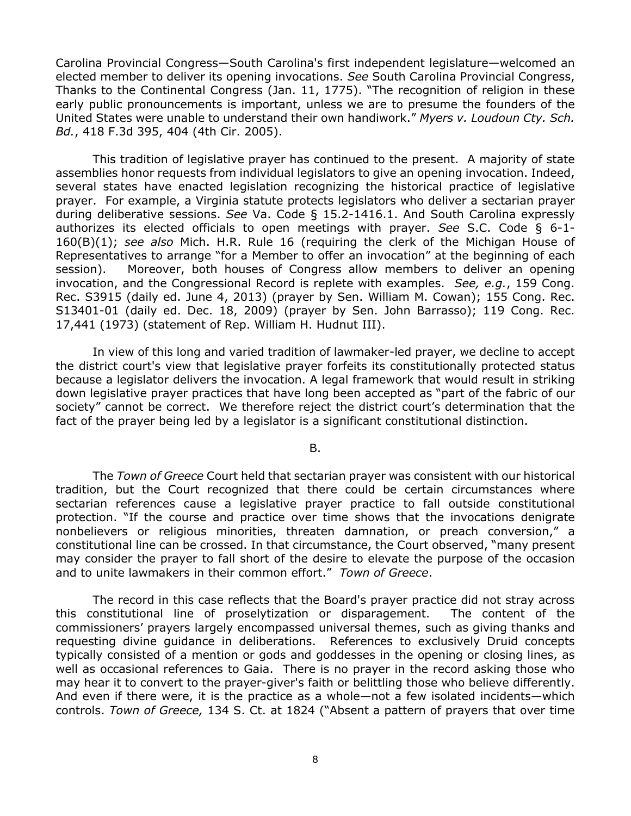Carolina Provincial Congress—South Carolina's first independent legislature—welcomed an elected member to deliver its opening invocations. *See* South Carolina Provincial Congress, Thanks to the Continental Congress (Jan. 11, 1775). "The recognition of religion in these early public pronouncements is important, unless we are to presume the founders of the United States were unable to understand their own handiwork." *Myers v. Loudoun Cty. Sch. Bd.*, 418 F.3d 395, 404 (4th Cir. 2005).

This tradition of legislative prayer has continued to the present. A majority of state assemblies honor requests from individual legislators to give an opening invocation. Indeed, several states have enacted legislation recognizing the historical practice of legislative prayer. For example, a Virginia statute protects legislators who deliver a sectarian prayer during deliberative sessions. *See* Va. Code § 15.2-1416.1. And South Carolina expressly authorizes its elected officials to open meetings with prayer. *See* S.C. Code § 6-1- 160(B)(1); *see also* Mich. H.R. Rule 16 (requiring the clerk of the Michigan House of Representatives to arrange "for a Member to offer an invocation" at the beginning of each session). Moreover, both houses of Congress allow members to deliver an opening invocation, and the Congressional Record is replete with examples. *See, e.g.*, 159 Cong. Rec. S3915 (daily ed. June 4, 2013) (prayer by Sen. William M. Cowan); 155 Cong. Rec. S13401-01 (daily ed. Dec. 18, 2009) (prayer by Sen. John Barrasso); 119 Cong. Rec. 17,441 (1973) (statement of Rep. William H. Hudnut III).

In view of this long and varied tradition of lawmaker-led prayer, we decline to accept the district court's view that legislative prayer forfeits its constitutionally protected status because a legislator delivers the invocation. A legal framework that would result in striking down legislative prayer practices that have long been accepted as "part of the fabric of our society" cannot be correct. We therefore reject the district court's determination that the fact of the prayer being led by a legislator is a significant constitutional distinction.

B.

The *Town of Greece* Court held that sectarian prayer was consistent with our historical tradition, but the Court recognized that there could be certain circumstances where sectarian references cause a legislative prayer practice to fall outside constitutional protection. "If the course and practice over time shows that the invocations denigrate nonbelievers or religious minorities, threaten damnation, or preach conversion," a constitutional line can be crossed. In that circumstance, the Court observed, "many present may consider the prayer to fall short of the desire to elevate the purpose of the occasion and to unite lawmakers in their common effort." *Town of Greece*.

The record in this case reflects that the Board's prayer practice did not stray across this constitutional line of proselytization or disparagement. The content of the commissioners' prayers largely encompassed universal themes, such as giving thanks and requesting divine guidance in deliberations. References to exclusively Druid concepts typically consisted of a mention or gods and goddesses in the opening or closing lines, as well as occasional references to Gaia. There is no prayer in the record asking those who may hear it to convert to the prayer-giver's faith or belittling those who believe differently. And even if there were, it is the practice as a whole—not a few isolated incidents—which controls. *Town of Greece,* 134 S. Ct. at 1824 ("Absent a pattern of prayers that over time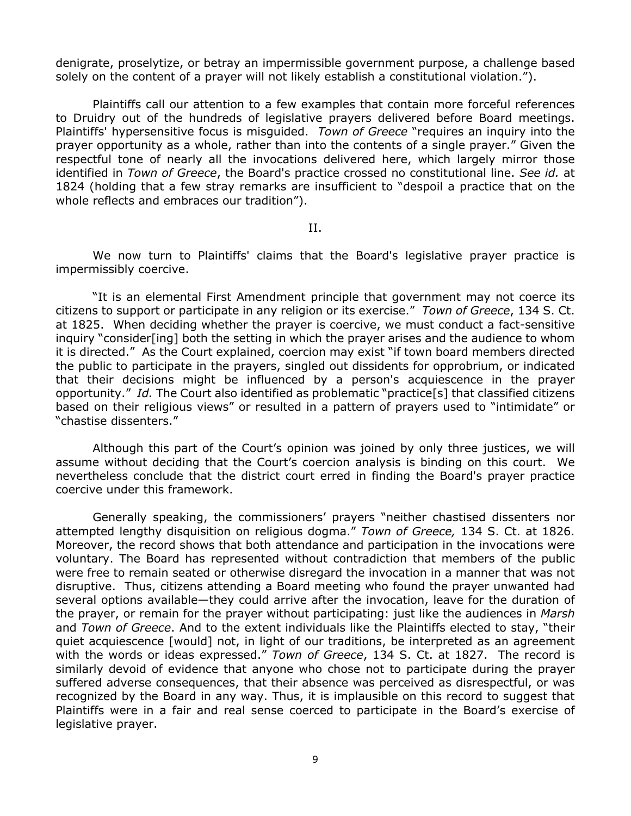denigrate, proselytize, or betray an impermissible government purpose, a challenge based solely on the content of a prayer will not likely establish a constitutional violation.").

Plaintiffs call our attention to a few examples that contain more forceful references to Druidry out of the hundreds of legislative prayers delivered before Board meetings. Plaintiffs' hypersensitive focus is misguided. *Town of Greece* "requires an inquiry into the prayer opportunity as a whole, rather than into the contents of a single prayer." Given the respectful tone of nearly all the invocations delivered here, which largely mirror those identified in *Town of Greece*, the Board's practice crossed no constitutional line. *See id.* at 1824 (holding that a few stray remarks are insufficient to "despoil a practice that on the whole reflects and embraces our tradition").

II.

We now turn to Plaintiffs' claims that the Board's legislative prayer practice is impermissibly coercive.

"It is an elemental First Amendment principle that government may not coerce its citizens to support or participate in any religion or its exercise." *Town of Greece*, 134 S. Ct. at 1825. When deciding whether the prayer is coercive, we must conduct a fact-sensitive inquiry "consider[ing] both the setting in which the prayer arises and the audience to whom it is directed." As the Court explained, coercion may exist "if town board members directed the public to participate in the prayers, singled out dissidents for opprobrium, or indicated that their decisions might be influenced by a person's acquiescence in the prayer opportunity." *Id.* The Court also identified as problematic "practice[s] that classified citizens based on their religious views" or resulted in a pattern of prayers used to "intimidate" or "chastise dissenters."

Although this part of the Court's opinion was joined by only three justices, we will assume without deciding that the Court's coercion analysis is binding on this court. We nevertheless conclude that the district court erred in finding the Board's prayer practice coercive under this framework.

Generally speaking, the commissioners' prayers "neither chastised dissenters nor attempted lengthy disquisition on religious dogma." *Town of Greece,* 134 S. Ct. at 1826. Moreover, the record shows that both attendance and participation in the invocations were voluntary. The Board has represented without contradiction that members of the public were free to remain seated or otherwise disregard the invocation in a manner that was not disruptive. Thus, citizens attending a Board meeting who found the prayer unwanted had several options available—they could arrive after the invocation, leave for the duration of the prayer, or remain for the prayer without participating: just like the audiences in *Marsh* and *Town of Greece*. And to the extent individuals like the Plaintiffs elected to stay, "their quiet acquiescence [would] not, in light of our traditions, be interpreted as an agreement with the words or ideas expressed." *Town of Greece*, 134 S. Ct. at 1827. The record is similarly devoid of evidence that anyone who chose not to participate during the prayer suffered adverse consequences, that their absence was perceived as disrespectful, or was recognized by the Board in any way. Thus, it is implausible on this record to suggest that Plaintiffs were in a fair and real sense coerced to participate in the Board's exercise of legislative prayer.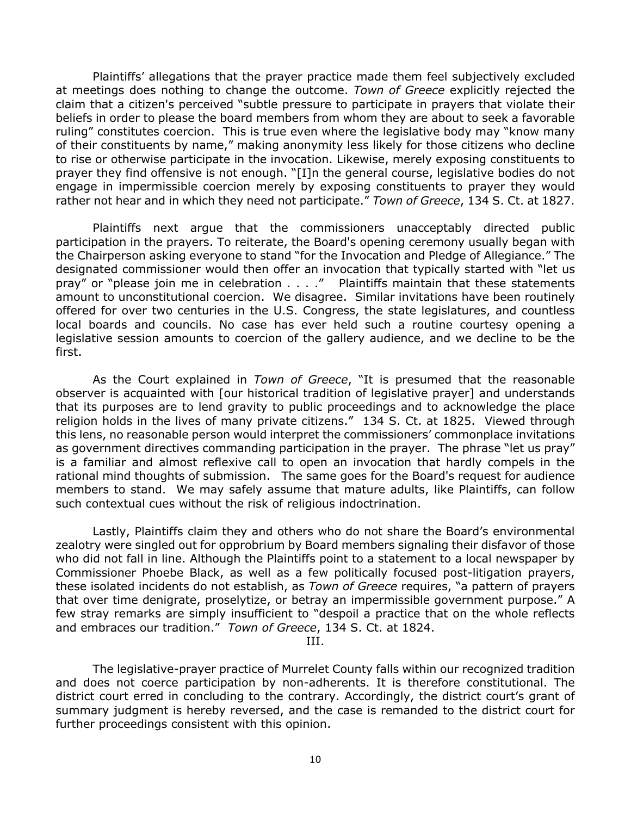Plaintiffs' allegations that the prayer practice made them feel subjectively excluded at meetings does nothing to change the outcome. *Town of Greece* explicitly rejected the claim that a citizen's perceived "subtle pressure to participate in prayers that violate their beliefs in order to please the board members from whom they are about to seek a favorable ruling" constitutes coercion. This is true even where the legislative body may "know many of their constituents by name," making anonymity less likely for those citizens who decline to rise or otherwise participate in the invocation. Likewise, merely exposing constituents to prayer they find offensive is not enough. "[I]n the general course, legislative bodies do not engage in impermissible coercion merely by exposing constituents to prayer they would rather not hear and in which they need not participate." *Town of Greece*, 134 S. Ct. at 1827.

Plaintiffs next argue that the commissioners unacceptably directed public participation in the prayers. To reiterate, the Board's opening ceremony usually began with the Chairperson asking everyone to stand "for the Invocation and Pledge of Allegiance." The designated commissioner would then offer an invocation that typically started with "let us pray" or "please join me in celebration . . . ." Plaintiffs maintain that these statements amount to unconstitutional coercion. We disagree. Similar invitations have been routinely offered for over two centuries in the U.S. Congress, the state legislatures, and countless local boards and councils. No case has ever held such a routine courtesy opening a legislative session amounts to coercion of the gallery audience, and we decline to be the first.

As the Court explained in *Town of Greece*, "It is presumed that the reasonable observer is acquainted with [our historical tradition of legislative prayer] and understands that its purposes are to lend gravity to public proceedings and to acknowledge the place religion holds in the lives of many private citizens." 134 S. Ct. at 1825. Viewed through this lens, no reasonable person would interpret the commissioners' commonplace invitations as government directives commanding participation in the prayer. The phrase "let us pray" is a familiar and almost reflexive call to open an invocation that hardly compels in the rational mind thoughts of submission. The same goes for the Board's request for audience members to stand. We may safely assume that mature adults, like Plaintiffs, can follow such contextual cues without the risk of religious indoctrination.

Lastly, Plaintiffs claim they and others who do not share the Board's environmental zealotry were singled out for opprobrium by Board members signaling their disfavor of those who did not fall in line. Although the Plaintiffs point to a statement to a local newspaper by Commissioner Phoebe Black, as well as a few politically focused post-litigation prayers, these isolated incidents do not establish, as *Town of Greece* requires, "a pattern of prayers that over time denigrate, proselytize, or betray an impermissible government purpose." A few stray remarks are simply insufficient to "despoil a practice that on the whole reflects and embraces our tradition." *Town of Greece*, 134 S. Ct. at 1824.

III.

The legislative-prayer practice of Murrelet County falls within our recognized tradition and does not coerce participation by non-adherents. It is therefore constitutional. The district court erred in concluding to the contrary. Accordingly, the district court's grant of summary judgment is hereby reversed, and the case is remanded to the district court for further proceedings consistent with this opinion.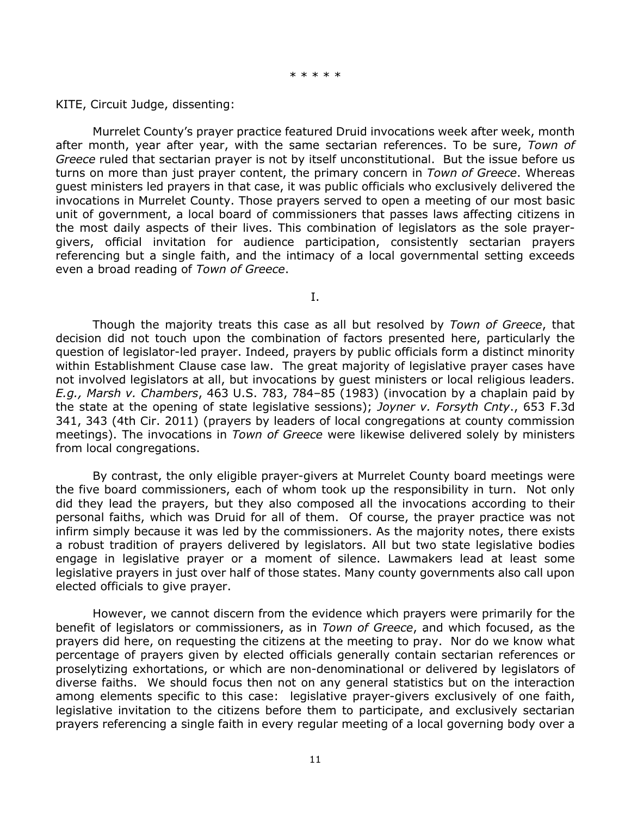\* \* \* \* \*

KITE, Circuit Judge, dissenting:

Murrelet County's prayer practice featured Druid invocations week after week, month after month, year after year, with the same sectarian references. To be sure, *Town of Greece* ruled that sectarian prayer is not by itself unconstitutional. But the issue before us turns on more than just prayer content, the primary concern in *Town of Greece*. Whereas guest ministers led prayers in that case, it was public officials who exclusively delivered the invocations in Murrelet County. Those prayers served to open a meeting of our most basic unit of government, a local board of commissioners that passes laws affecting citizens in the most daily aspects of their lives. This combination of legislators as the sole prayergivers, official invitation for audience participation, consistently sectarian prayers referencing but a single faith, and the intimacy of a local governmental setting exceeds even a broad reading of *Town of Greece*.

I.

Though the majority treats this case as all but resolved by *Town of Greece*, that decision did not touch upon the combination of factors presented here, particularly the question of legislator-led prayer. Indeed, prayers by public officials form a distinct minority within Establishment Clause case law. The great majority of legislative prayer cases have not involved legislators at all, but invocations by guest ministers or local religious leaders. *E.g., Marsh v. Chambers*, 463 U.S. 783, 784–85 (1983) (invocation by a chaplain paid by the state at the opening of state legislative sessions); *Joyner v. Forsyth Cnty*., 653 F.3d 341, 343 (4th Cir. 2011) (prayers by leaders of local congregations at county commission meetings). The invocations in *Town of Greece* were likewise delivered solely by ministers from local congregations.

By contrast, the only eligible prayer-givers at Murrelet County board meetings were the five board commissioners, each of whom took up the responsibility in turn. Not only did they lead the prayers, but they also composed all the invocations according to their personal faiths, which was Druid for all of them. Of course, the prayer practice was not infirm simply because it was led by the commissioners. As the majority notes, there exists a robust tradition of prayers delivered by legislators. All but two state legislative bodies engage in legislative prayer or a moment of silence. Lawmakers lead at least some legislative prayers in just over half of those states. Many county governments also call upon elected officials to give prayer.

However, we cannot discern from the evidence which prayers were primarily for the benefit of legislators or commissioners, as in *Town of Greece*, and which focused, as the prayers did here, on requesting the citizens at the meeting to pray. Nor do we know what percentage of prayers given by elected officials generally contain sectarian references or proselytizing exhortations, or which are non-denominational or delivered by legislators of diverse faiths. We should focus then not on any general statistics but on the interaction among elements specific to this case: legislative prayer-givers exclusively of one faith, legislative invitation to the citizens before them to participate, and exclusively sectarian prayers referencing a single faith in every regular meeting of a local governing body over a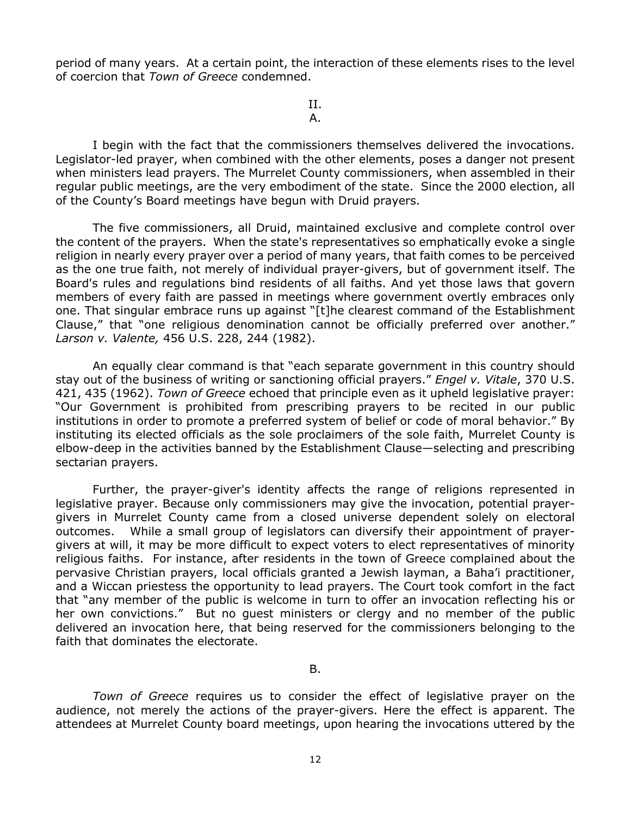period of many years. At a certain point, the interaction of these elements rises to the level of coercion that *Town of Greece* condemned.

II.

A.

I begin with the fact that the commissioners themselves delivered the invocations. Legislator-led prayer, when combined with the other elements, poses a danger not present when ministers lead prayers. The Murrelet County commissioners, when assembled in their regular public meetings, are the very embodiment of the state. Since the 2000 election, all of the County's Board meetings have begun with Druid prayers.

The five commissioners, all Druid, maintained exclusive and complete control over the content of the prayers. When the state's representatives so emphatically evoke a single religion in nearly every prayer over a period of many years, that faith comes to be perceived as the one true faith, not merely of individual prayer-givers, but of government itself. The Board's rules and regulations bind residents of all faiths. And yet those laws that govern members of every faith are passed in meetings where government overtly embraces only one. That singular embrace runs up against "[t]he clearest command of the Establishment Clause," that "one religious denomination cannot be officially preferred over another." *Larson v. Valente,* 456 U.S. 228, 244 (1982).

An equally clear command is that "each separate government in this country should stay out of the business of writing or sanctioning official prayers." *Engel v. Vitale*, 370 U.S. 421, 435 (1962). *Town of Greece* echoed that principle even as it upheld legislative prayer: "Our Government is prohibited from prescribing prayers to be recited in our public institutions in order to promote a preferred system of belief or code of moral behavior." By instituting its elected officials as the sole proclaimers of the sole faith, Murrelet County is elbow-deep in the activities banned by the Establishment Clause—selecting and prescribing sectarian prayers.

Further, the prayer-giver's identity affects the range of religions represented in legislative prayer. Because only commissioners may give the invocation, potential prayergivers in Murrelet County came from a closed universe dependent solely on electoral outcomes. While a small group of legislators can diversify their appointment of prayergivers at will, it may be more difficult to expect voters to elect representatives of minority religious faiths. For instance, after residents in the town of Greece complained about the pervasive Christian prayers, local officials granted a Jewish layman, a Baha'i practitioner, and a Wiccan priestess the opportunity to lead prayers. The Court took comfort in the fact that "any member of the public is welcome in turn to offer an invocation reflecting his or her own convictions." But no guest ministers or clergy and no member of the public delivered an invocation here, that being reserved for the commissioners belonging to the faith that dominates the electorate.

B.

*Town of Greece* requires us to consider the effect of legislative prayer on the audience, not merely the actions of the prayer-givers. Here the effect is apparent. The attendees at Murrelet County board meetings, upon hearing the invocations uttered by the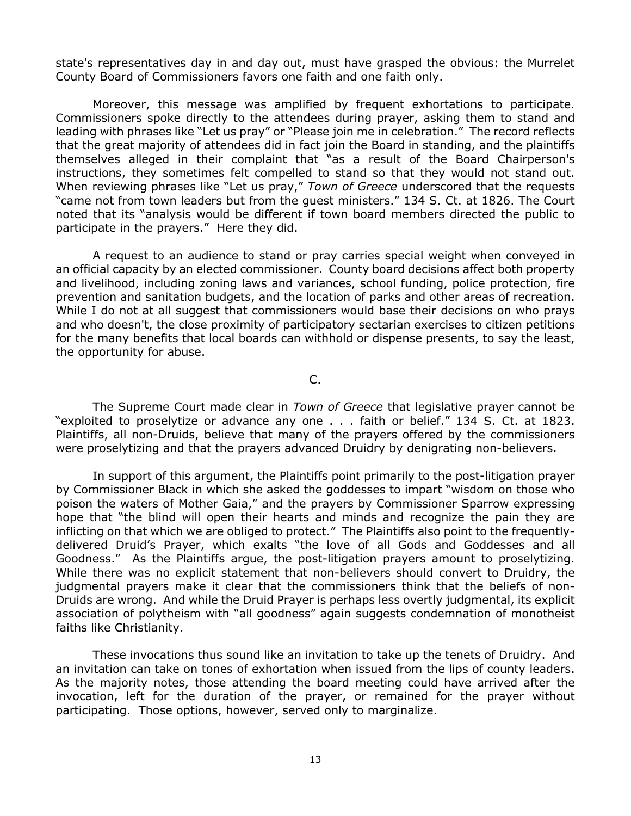state's representatives day in and day out, must have grasped the obvious: the Murrelet County Board of Commissioners favors one faith and one faith only.

Moreover, this message was amplified by frequent exhortations to participate. Commissioners spoke directly to the attendees during prayer, asking them to stand and leading with phrases like "Let us pray" or "Please join me in celebration." The record reflects that the great majority of attendees did in fact join the Board in standing, and the plaintiffs themselves alleged in their complaint that "as a result of the Board Chairperson's instructions, they sometimes felt compelled to stand so that they would not stand out. When reviewing phrases like "Let us pray," *Town of Greece* underscored that the requests "came not from town leaders but from the guest ministers." 134 S. Ct. at 1826. The Court noted that its "analysis would be different if town board members directed the public to participate in the prayers." Here they did.

A request to an audience to stand or pray carries special weight when conveyed in an official capacity by an elected commissioner. County board decisions affect both property and livelihood, including zoning laws and variances, school funding, police protection, fire prevention and sanitation budgets, and the location of parks and other areas of recreation. While I do not at all suggest that commissioners would base their decisions on who prays and who doesn't, the close proximity of participatory sectarian exercises to citizen petitions for the many benefits that local boards can withhold or dispense presents, to say the least, the opportunity for abuse.

C.

The Supreme Court made clear in *Town of Greece* that legislative prayer cannot be "exploited to proselytize or advance any one . . . faith or belief." 134 S. Ct. at 1823. Plaintiffs, all non-Druids, believe that many of the prayers offered by the commissioners were proselytizing and that the prayers advanced Druidry by denigrating non-believers.

In support of this argument, the Plaintiffs point primarily to the post-litigation prayer by Commissioner Black in which she asked the goddesses to impart "wisdom on those who poison the waters of Mother Gaia," and the prayers by Commissioner Sparrow expressing hope that "the blind will open their hearts and minds and recognize the pain they are inflicting on that which we are obliged to protect." The Plaintiffs also point to the frequentlydelivered Druid's Prayer, which exalts "the love of all Gods and Goddesses and all Goodness." As the Plaintiffs argue, the post-litigation prayers amount to proselytizing. While there was no explicit statement that non-believers should convert to Druidry, the judgmental prayers make it clear that the commissioners think that the beliefs of non-Druids are wrong. And while the Druid Prayer is perhaps less overtly judgmental, its explicit association of polytheism with "all goodness" again suggests condemnation of monotheist faiths like Christianity.

These invocations thus sound like an invitation to take up the tenets of Druidry. And an invitation can take on tones of exhortation when issued from the lips of county leaders. As the majority notes, those attending the board meeting could have arrived after the invocation, left for the duration of the prayer, or remained for the prayer without participating. Those options, however, served only to marginalize.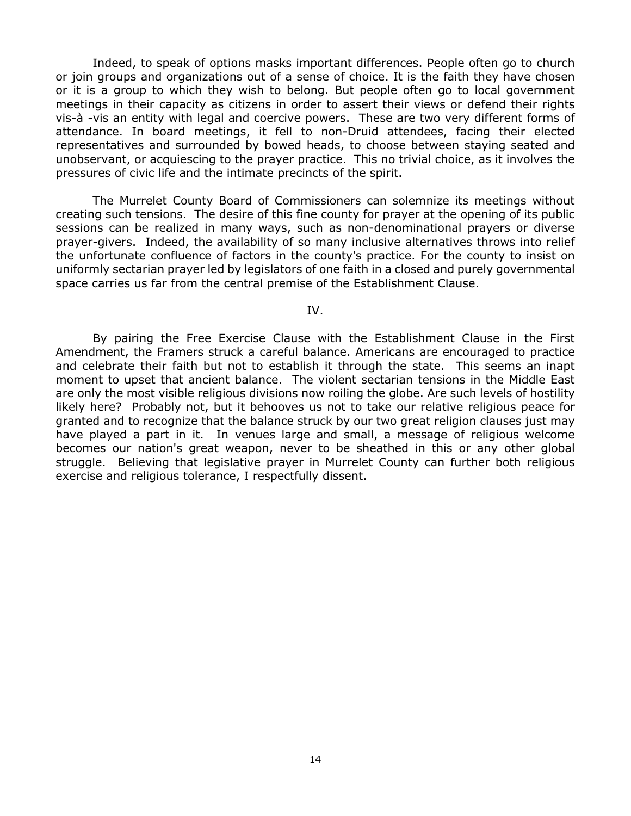Indeed, to speak of options masks important differences. People often go to church or join groups and organizations out of a sense of choice. It is the faith they have chosen or it is a group to which they wish to belong. But people often go to local government meetings in their capacity as citizens in order to assert their views or defend their rights vis-à -vis an entity with legal and coercive powers. These are two very different forms of attendance. In board meetings, it fell to non-Druid attendees, facing their elected representatives and surrounded by bowed heads, to choose between staying seated and unobservant, or acquiescing to the prayer practice. This no trivial choice, as it involves the pressures of civic life and the intimate precincts of the spirit.

The Murrelet County Board of Commissioners can solemnize its meetings without creating such tensions. The desire of this fine county for prayer at the opening of its public sessions can be realized in many ways, such as non-denominational prayers or diverse prayer-givers. Indeed, the availability of so many inclusive alternatives throws into relief the unfortunate confluence of factors in the county's practice. For the county to insist on uniformly sectarian prayer led by legislators of one faith in a closed and purely governmental space carries us far from the central premise of the Establishment Clause.

#### IV.

By pairing the Free Exercise Clause with the Establishment Clause in the First Amendment, the Framers struck a careful balance. Americans are encouraged to practice and celebrate their faith but not to establish it through the state. This seems an inapt moment to upset that ancient balance. The violent sectarian tensions in the Middle East are only the most visible religious divisions now roiling the globe. Are such levels of hostility likely here? Probably not, but it behooves us not to take our relative religious peace for granted and to recognize that the balance struck by our two great religion clauses just may have played a part in it. In venues large and small, a message of religious welcome becomes our nation's great weapon, never to be sheathed in this or any other global struggle. Believing that legislative prayer in Murrelet County can further both religious exercise and religious tolerance, I respectfully dissent.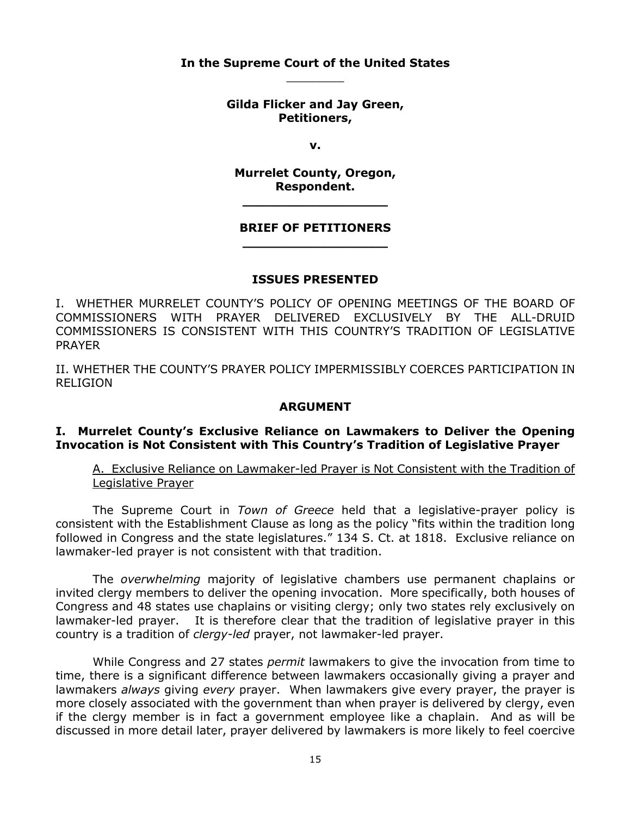**In the Supreme Court of the United States**  $\frac{1}{2}$ 

# **Gilda Flicker and Jay Green, Petitioners,**

**v.**

# **Murrelet County, Oregon, Respondent.**

**\_\_\_\_\_\_\_\_\_\_\_\_\_\_\_\_\_\_**

## **BRIEF OF PETITIONERS \_\_\_\_\_\_\_\_\_\_\_\_\_\_\_\_\_\_**

## **ISSUES PRESENTED**

I. WHETHER MURRELET COUNTY'S POLICY OF OPENING MEETINGS OF THE BOARD OF COMMISSIONERS WITH PRAYER DELIVERED EXCLUSIVELY BY THE ALL-DRUID COMMISSIONERS IS CONSISTENT WITH THIS COUNTRY'S TRADITION OF LEGISLATIVE PRAYER

II. WHETHER THE COUNTY'S PRAYER POLICY IMPERMISSIBLY COERCES PARTICIPATION IN RELIGION

## **ARGUMENT**

# **I. Murrelet County's Exclusive Reliance on Lawmakers to Deliver the Opening Invocation is Not Consistent with This Country's Tradition of Legislative Prayer**

A. Exclusive Reliance on Lawmaker-led Prayer is Not Consistent with the Tradition of Legislative Prayer

The Supreme Court in *Town of Greece* held that a legislative-prayer policy is consistent with the Establishment Clause as long as the policy "fits within the tradition long followed in Congress and the state legislatures." 134 S. Ct. at 1818. Exclusive reliance on lawmaker-led prayer is not consistent with that tradition.

The *overwhelming* majority of legislative chambers use permanent chaplains or invited clergy members to deliver the opening invocation. More specifically, both houses of Congress and 48 states use chaplains or visiting clergy; only two states rely exclusively on lawmaker-led prayer. It is therefore clear that the tradition of legislative prayer in this country is a tradition of *clergy-led* prayer, not lawmaker-led prayer.

While Congress and 27 states *permit* lawmakers to give the invocation from time to time, there is a significant difference between lawmakers occasionally giving a prayer and lawmakers *always* giving *every* prayer. When lawmakers give every prayer, the prayer is more closely associated with the government than when prayer is delivered by clergy, even if the clergy member is in fact a government employee like a chaplain. And as will be discussed in more detail later, prayer delivered by lawmakers is more likely to feel coercive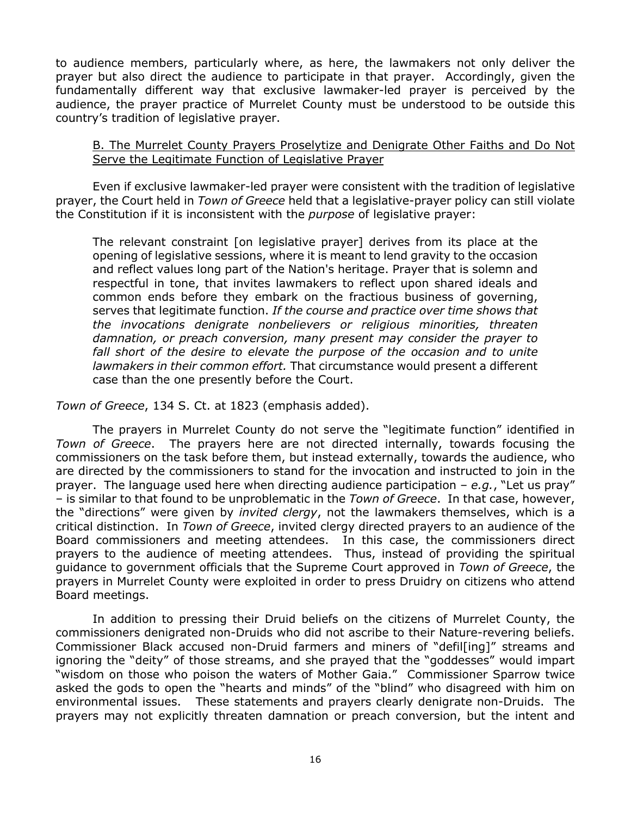to audience members, particularly where, as here, the lawmakers not only deliver the prayer but also direct the audience to participate in that prayer. Accordingly, given the fundamentally different way that exclusive lawmaker-led prayer is perceived by the audience, the prayer practice of Murrelet County must be understood to be outside this country's tradition of legislative prayer.

B. The Murrelet County Prayers Proselytize and Denigrate Other Faiths and Do Not Serve the Legitimate Function of Legislative Prayer

Even if exclusive lawmaker-led prayer were consistent with the tradition of legislative prayer, the Court held in *Town of Greece* held that a legislative-prayer policy can still violate the Constitution if it is inconsistent with the *purpose* of legislative prayer:

The relevant constraint [on legislative prayer] derives from its place at the opening of legislative sessions, where it is meant to lend gravity to the occasion and reflect values long part of the Nation's heritage. Prayer that is solemn and respectful in tone, that invites lawmakers to reflect upon shared ideals and common ends before they embark on the fractious business of governing, serves that legitimate function. *If the course and practice over time shows that the invocations denigrate nonbelievers or religious minorities, threaten damnation, or preach conversion, many present may consider the prayer to fall short of the desire to elevate the purpose of the occasion and to unite lawmakers in their common effort.* That circumstance would present a different case than the one presently before the Court.

*Town of Greece*, 134 S. Ct. at 1823 (emphasis added).

The prayers in Murrelet County do not serve the "legitimate function" identified in *Town of Greece*. The prayers here are not directed internally, towards focusing the commissioners on the task before them, but instead externally, towards the audience, who are directed by the commissioners to stand for the invocation and instructed to join in the prayer. The language used here when directing audience participation – *e.g.*, "Let us pray" – is similar to that found to be unproblematic in the *Town of Greece*. In that case, however, the "directions" were given by *invited clergy*, not the lawmakers themselves, which is a critical distinction. In *Town of Greece*, invited clergy directed prayers to an audience of the Board commissioners and meeting attendees. In this case, the commissioners direct prayers to the audience of meeting attendees. Thus, instead of providing the spiritual guidance to government officials that the Supreme Court approved in *Town of Greece*, the prayers in Murrelet County were exploited in order to press Druidry on citizens who attend Board meetings.

In addition to pressing their Druid beliefs on the citizens of Murrelet County, the commissioners denigrated non-Druids who did not ascribe to their Nature-revering beliefs. Commissioner Black accused non-Druid farmers and miners of "defil[ing]" streams and ignoring the "deity" of those streams, and she prayed that the "goddesses" would impart "wisdom on those who poison the waters of Mother Gaia." Commissioner Sparrow twice asked the gods to open the "hearts and minds" of the "blind" who disagreed with him on environmental issues. These statements and prayers clearly denigrate non-Druids. The prayers may not explicitly threaten damnation or preach conversion, but the intent and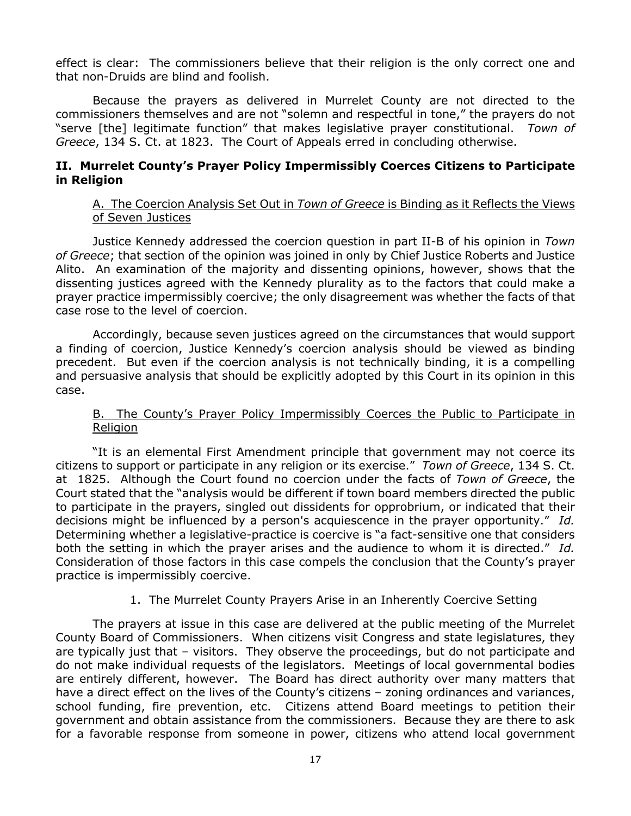effect is clear: The commissioners believe that their religion is the only correct one and that non-Druids are blind and foolish.

Because the prayers as delivered in Murrelet County are not directed to the commissioners themselves and are not "solemn and respectful in tone," the prayers do not "serve [the] legitimate function" that makes legislative prayer constitutional. *Town of Greece*, 134 S. Ct. at 1823. The Court of Appeals erred in concluding otherwise.

## **II. Murrelet County's Prayer Policy Impermissibly Coerces Citizens to Participate in Religion**

## A. The Coercion Analysis Set Out in *Town of Greece* is Binding as it Reflects the Views of Seven Justices

Justice Kennedy addressed the coercion question in part II-B of his opinion in *Town of Greece*; that section of the opinion was joined in only by Chief Justice Roberts and Justice Alito. An examination of the majority and dissenting opinions, however, shows that the dissenting justices agreed with the Kennedy plurality as to the factors that could make a prayer practice impermissibly coercive; the only disagreement was whether the facts of that case rose to the level of coercion.

Accordingly, because seven justices agreed on the circumstances that would support a finding of coercion, Justice Kennedy's coercion analysis should be viewed as binding precedent. But even if the coercion analysis is not technically binding, it is a compelling and persuasive analysis that should be explicitly adopted by this Court in its opinion in this case.

## B. The County's Prayer Policy Impermissibly Coerces the Public to Participate in Religion

"It is an elemental First Amendment principle that government may not coerce its citizens to support or participate in any religion or its exercise." *Town of Greece*, 134 S. Ct. at 1825. Although the Court found no coercion under the facts of *Town of Greece*, the Court stated that the "analysis would be different if town board members directed the public to participate in the prayers, singled out dissidents for opprobrium, or indicated that their decisions might be influenced by a person's acquiescence in the prayer opportunity." *Id.* Determining whether a legislative-practice is coercive is "a fact-sensitive one that considers both the setting in which the prayer arises and the audience to whom it is directed." *Id.* Consideration of those factors in this case compels the conclusion that the County's prayer practice is impermissibly coercive.

## 1. The Murrelet County Prayers Arise in an Inherently Coercive Setting

The prayers at issue in this case are delivered at the public meeting of the Murrelet County Board of Commissioners. When citizens visit Congress and state legislatures, they are typically just that – visitors. They observe the proceedings, but do not participate and do not make individual requests of the legislators. Meetings of local governmental bodies are entirely different, however. The Board has direct authority over many matters that have a direct effect on the lives of the County's citizens - zoning ordinances and variances, school funding, fire prevention, etc. Citizens attend Board meetings to petition their government and obtain assistance from the commissioners. Because they are there to ask for a favorable response from someone in power, citizens who attend local government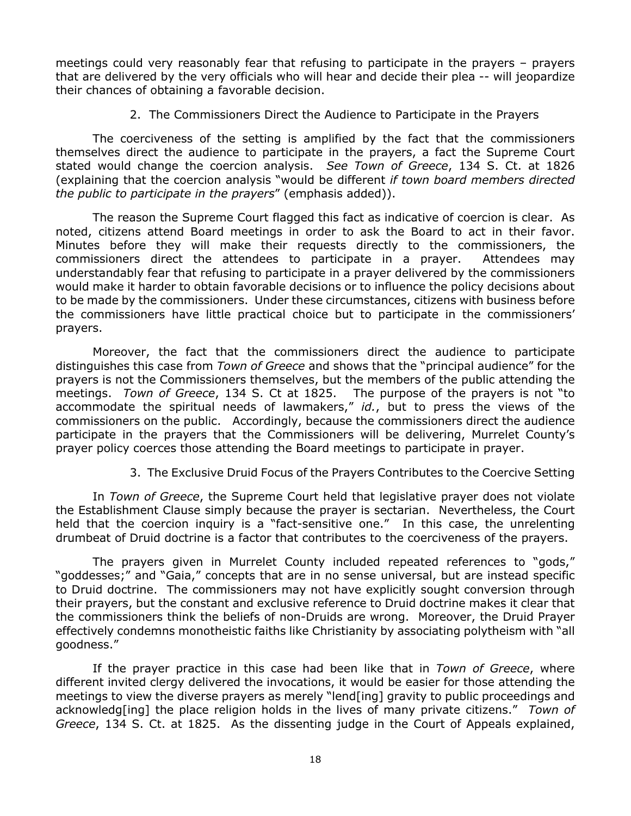meetings could very reasonably fear that refusing to participate in the prayers – prayers that are delivered by the very officials who will hear and decide their plea -- will jeopardize their chances of obtaining a favorable decision.

2. The Commissioners Direct the Audience to Participate in the Prayers

The coerciveness of the setting is amplified by the fact that the commissioners themselves direct the audience to participate in the prayers, a fact the Supreme Court stated would change the coercion analysis. *See Town of Greece*, 134 S. Ct. at 1826 (explaining that the coercion analysis "would be different *if town board members directed the public to participate in the prayers*" (emphasis added)).

The reason the Supreme Court flagged this fact as indicative of coercion is clear. As noted, citizens attend Board meetings in order to ask the Board to act in their favor. Minutes before they will make their requests directly to the commissioners, the commissioners direct the attendees to participate in a prayer. Attendees may understandably fear that refusing to participate in a prayer delivered by the commissioners would make it harder to obtain favorable decisions or to influence the policy decisions about to be made by the commissioners. Under these circumstances, citizens with business before the commissioners have little practical choice but to participate in the commissioners' prayers.

Moreover, the fact that the commissioners direct the audience to participate distinguishes this case from *Town of Greece* and shows that the "principal audience" for the prayers is not the Commissioners themselves, but the members of the public attending the meetings. *Town of Greece*, 134 S. Ct at 1825. The purpose of the prayers is not "to accommodate the spiritual needs of lawmakers," *id.*, but to press the views of the commissioners on the public. Accordingly, because the commissioners direct the audience participate in the prayers that the Commissioners will be delivering, Murrelet County's prayer policy coerces those attending the Board meetings to participate in prayer.

3. The Exclusive Druid Focus of the Prayers Contributes to the Coercive Setting

In *Town of Greece*, the Supreme Court held that legislative prayer does not violate the Establishment Clause simply because the prayer is sectarian. Nevertheless, the Court held that the coercion inquiry is a "fact-sensitive one." In this case, the unrelenting drumbeat of Druid doctrine is a factor that contributes to the coerciveness of the prayers.

The prayers given in Murrelet County included repeated references to "gods," "goddesses;" and "Gaia," concepts that are in no sense universal, but are instead specific to Druid doctrine. The commissioners may not have explicitly sought conversion through their prayers, but the constant and exclusive reference to Druid doctrine makes it clear that the commissioners think the beliefs of non-Druids are wrong. Moreover, the Druid Prayer effectively condemns monotheistic faiths like Christianity by associating polytheism with "all goodness."

If the prayer practice in this case had been like that in *Town of Greece*, where different invited clergy delivered the invocations, it would be easier for those attending the meetings to view the diverse prayers as merely "lend[ing] gravity to public proceedings and acknowledg[ing] the place religion holds in the lives of many private citizens." *Town of Greece*, 134 S. Ct. at 1825. As the dissenting judge in the Court of Appeals explained,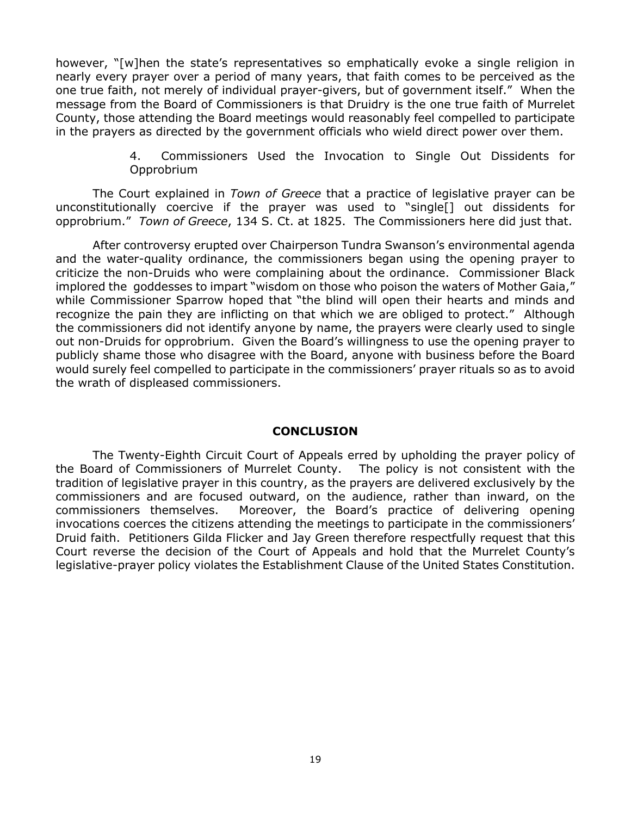however, "[w]hen the state's representatives so emphatically evoke a single religion in nearly every prayer over a period of many years, that faith comes to be perceived as the one true faith, not merely of individual prayer-givers, but of government itself." When the message from the Board of Commissioners is that Druidry is the one true faith of Murrelet County, those attending the Board meetings would reasonably feel compelled to participate in the prayers as directed by the government officials who wield direct power over them.

> 4. Commissioners Used the Invocation to Single Out Dissidents for Opprobrium

The Court explained in *Town of Greece* that a practice of legislative prayer can be unconstitutionally coercive if the prayer was used to "single[] out dissidents for opprobrium." *Town of Greece*, 134 S. Ct. at 1825. The Commissioners here did just that.

After controversy erupted over Chairperson Tundra Swanson's environmental agenda and the water-quality ordinance, the commissioners began using the opening prayer to criticize the non-Druids who were complaining about the ordinance. Commissioner Black implored the goddesses to impart "wisdom on those who poison the waters of Mother Gaia," while Commissioner Sparrow hoped that "the blind will open their hearts and minds and recognize the pain they are inflicting on that which we are obliged to protect." Although the commissioners did not identify anyone by name, the prayers were clearly used to single out non-Druids for opprobrium. Given the Board's willingness to use the opening prayer to publicly shame those who disagree with the Board, anyone with business before the Board would surely feel compelled to participate in the commissioners' prayer rituals so as to avoid the wrath of displeased commissioners.

## **CONCLUSION**

The Twenty-Eighth Circuit Court of Appeals erred by upholding the prayer policy of the Board of Commissioners of Murrelet County. The policy is not consistent with the tradition of legislative prayer in this country, as the prayers are delivered exclusively by the commissioners and are focused outward, on the audience, rather than inward, on the commissioners themselves. Moreover, the Board's practice of delivering opening invocations coerces the citizens attending the meetings to participate in the commissioners' Druid faith. Petitioners Gilda Flicker and Jay Green therefore respectfully request that this Court reverse the decision of the Court of Appeals and hold that the Murrelet County's legislative-prayer policy violates the Establishment Clause of the United States Constitution.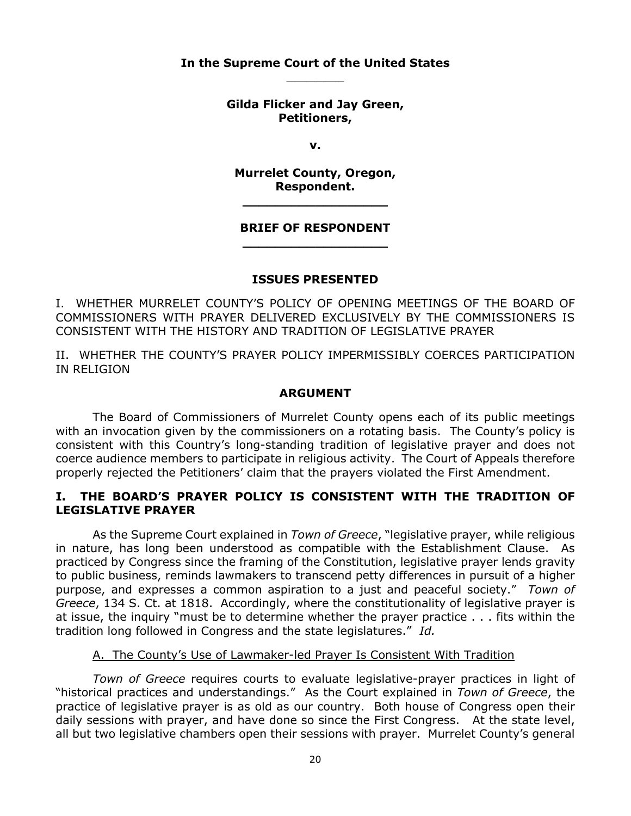**In the Supreme Court of the United States**  $\frac{1}{2}$ 

> **Gilda Flicker and Jay Green, Petitioners,**

> > **v.**

## **Murrelet County, Oregon, Respondent.**

**\_\_\_\_\_\_\_\_\_\_\_\_\_\_\_\_\_\_**

## **BRIEF OF RESPONDENT \_\_\_\_\_\_\_\_\_\_\_\_\_\_\_\_\_\_**

#### **ISSUES PRESENTED**

I. WHETHER MURRELET COUNTY'S POLICY OF OPENING MEETINGS OF THE BOARD OF COMMISSIONERS WITH PRAYER DELIVERED EXCLUSIVELY BY THE COMMISSIONERS IS CONSISTENT WITH THE HISTORY AND TRADITION OF LEGISLATIVE PRAYER

II. WHETHER THE COUNTY'S PRAYER POLICY IMPERMISSIBLY COERCES PARTICIPATION IN RELIGION

## **ARGUMENT**

The Board of Commissioners of Murrelet County opens each of its public meetings with an invocation given by the commissioners on a rotating basis. The County's policy is consistent with this Country's long-standing tradition of legislative prayer and does not coerce audience members to participate in religious activity. The Court of Appeals therefore properly rejected the Petitioners' claim that the prayers violated the First Amendment.

# **I. THE BOARD'S PRAYER POLICY IS CONSISTENT WITH THE TRADITION OF LEGISLATIVE PRAYER**

As the Supreme Court explained in *Town of Greece*, "legislative prayer, while religious in nature, has long been understood as compatible with the Establishment Clause. As practiced by Congress since the framing of the Constitution, legislative prayer lends gravity to public business, reminds lawmakers to transcend petty differences in pursuit of a higher purpose, and expresses a common aspiration to a just and peaceful society." *Town of Greece*, 134 S. Ct. at 1818. Accordingly, where the constitutionality of legislative prayer is at issue, the inquiry "must be to determine whether the prayer practice . . . fits within the tradition long followed in Congress and the state legislatures." *Id.*

## A. The County's Use of Lawmaker-led Prayer Is Consistent With Tradition

*Town of Greece* requires courts to evaluate legislative-prayer practices in light of "historical practices and understandings." As the Court explained in *Town of Greece*, the practice of legislative prayer is as old as our country. Both house of Congress open their daily sessions with prayer, and have done so since the First Congress. At the state level, all but two legislative chambers open their sessions with prayer. Murrelet County's general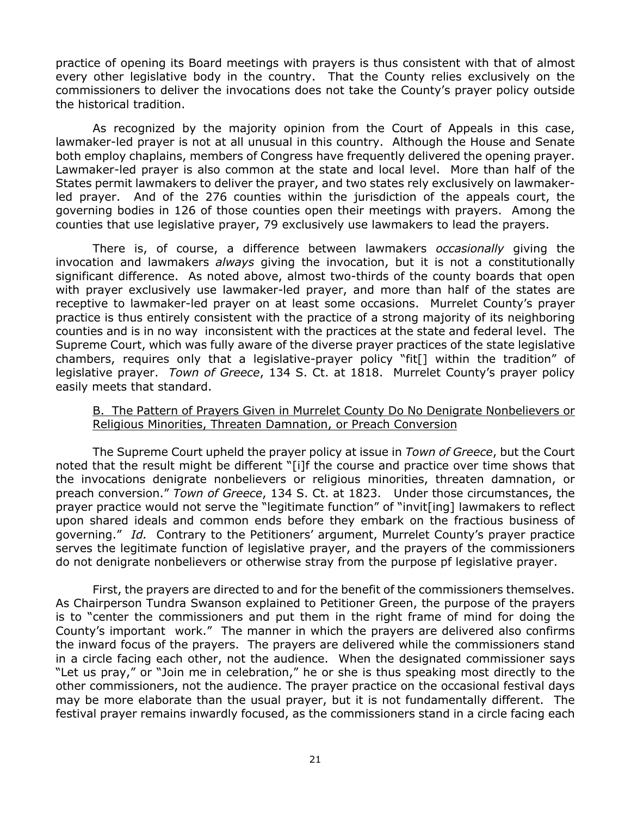practice of opening its Board meetings with prayers is thus consistent with that of almost every other legislative body in the country. That the County relies exclusively on the commissioners to deliver the invocations does not take the County's prayer policy outside the historical tradition.

As recognized by the majority opinion from the Court of Appeals in this case, lawmaker-led prayer is not at all unusual in this country. Although the House and Senate both employ chaplains, members of Congress have frequently delivered the opening prayer. Lawmaker-led prayer is also common at the state and local level. More than half of the States permit lawmakers to deliver the prayer, and two states rely exclusively on lawmakerled prayer. And of the 276 counties within the jurisdiction of the appeals court, the governing bodies in 126 of those counties open their meetings with prayers. Among the counties that use legislative prayer, 79 exclusively use lawmakers to lead the prayers.

There is, of course, a difference between lawmakers *occasionally* giving the invocation and lawmakers *always* giving the invocation, but it is not a constitutionally significant difference. As noted above, almost two-thirds of the county boards that open with prayer exclusively use lawmaker-led prayer, and more than half of the states are receptive to lawmaker-led prayer on at least some occasions. Murrelet County's prayer practice is thus entirely consistent with the practice of a strong majority of its neighboring counties and is in no way inconsistent with the practices at the state and federal level. The Supreme Court, which was fully aware of the diverse prayer practices of the state legislative chambers, requires only that a legislative-prayer policy "fit[] within the tradition" of legislative prayer. *Town of Greece*, 134 S. Ct. at 1818. Murrelet County's prayer policy easily meets that standard.

## B. The Pattern of Prayers Given in Murrelet County Do No Denigrate Nonbelievers or Religious Minorities, Threaten Damnation, or Preach Conversion

The Supreme Court upheld the prayer policy at issue in *Town of Greece*, but the Court noted that the result might be different "[i]f the course and practice over time shows that the invocations denigrate nonbelievers or religious minorities, threaten damnation, or preach conversion." *Town of Greece*, 134 S. Ct. at 1823. Under those circumstances, the prayer practice would not serve the "legitimate function" of "invit[ing] lawmakers to reflect upon shared ideals and common ends before they embark on the fractious business of governing." *Id.* Contrary to the Petitioners' argument, Murrelet County's prayer practice serves the legitimate function of legislative prayer, and the prayers of the commissioners do not denigrate nonbelievers or otherwise stray from the purpose pf legislative prayer.

First, the prayers are directed to and for the benefit of the commissioners themselves. As Chairperson Tundra Swanson explained to Petitioner Green, the purpose of the prayers is to "center the commissioners and put them in the right frame of mind for doing the County's important work." The manner in which the prayers are delivered also confirms the inward focus of the prayers. The prayers are delivered while the commissioners stand in a circle facing each other, not the audience. When the designated commissioner says "Let us pray," or "Join me in celebration," he or she is thus speaking most directly to the other commissioners, not the audience. The prayer practice on the occasional festival days may be more elaborate than the usual prayer, but it is not fundamentally different. The festival prayer remains inwardly focused, as the commissioners stand in a circle facing each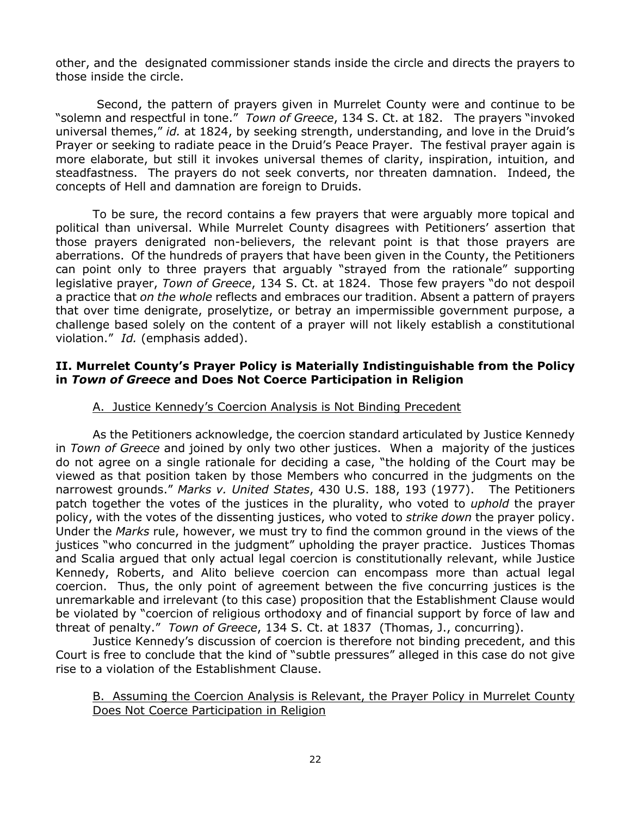other, and the designated commissioner stands inside the circle and directs the prayers to those inside the circle.

Second, the pattern of prayers given in Murrelet County were and continue to be "solemn and respectful in tone." *Town of Greece*, 134 S. Ct. at 182. The prayers "invoked universal themes," *id.* at 1824, by seeking strength, understanding, and love in the Druid's Prayer or seeking to radiate peace in the Druid's Peace Prayer. The festival prayer again is more elaborate, but still it invokes universal themes of clarity, inspiration, intuition, and steadfastness. The prayers do not seek converts, nor threaten damnation. Indeed, the concepts of Hell and damnation are foreign to Druids.

To be sure, the record contains a few prayers that were arguably more topical and political than universal. While Murrelet County disagrees with Petitioners' assertion that those prayers denigrated non-believers, the relevant point is that those prayers are aberrations. Of the hundreds of prayers that have been given in the County, the Petitioners can point only to three prayers that arguably "strayed from the rationale" supporting legislative prayer, *Town of Greece*, 134 S. Ct. at 1824. Those few prayers "do not despoil a practice that *on the whole* reflects and embraces our tradition. Absent a pattern of prayers that over time denigrate, proselytize, or betray an impermissible government purpose, a challenge based solely on the content of a prayer will not likely establish a constitutional violation." *Id.* (emphasis added).

# **II. Murrelet County's Prayer Policy is Materially Indistinguishable from the Policy in** *Town of Greece* **and Does Not Coerce Participation in Religion**

# A. Justice Kennedy's Coercion Analysis is Not Binding Precedent

As the Petitioners acknowledge, the coercion standard articulated by Justice Kennedy in *Town of Greece* and joined by only two other justices. When a majority of the justices do not agree on a single rationale for deciding a case, "the holding of the Court may be viewed as that position taken by those Members who concurred in the judgments on the narrowest grounds." *Marks v. United States*, 430 U.S. 188, 193 (1977). The Petitioners patch together the votes of the justices in the plurality, who voted to *uphold* the prayer policy, with the votes of the dissenting justices, who voted to *strike down* the prayer policy. Under the *Marks* rule, however, we must try to find the common ground in the views of the justices "who concurred in the judgment" upholding the prayer practice. Justices Thomas and Scalia argued that only actual legal coercion is constitutionally relevant, while Justice Kennedy, Roberts, and Alito believe coercion can encompass more than actual legal coercion. Thus, the only point of agreement between the five concurring justices is the unremarkable and irrelevant (to this case) proposition that the Establishment Clause would be violated by "coercion of religious orthodoxy and of financial support by force of law and threat of penalty." *Town of Greece*, 134 S. Ct. at 1837 (Thomas, J., concurring).

Justice Kennedy's discussion of coercion is therefore not binding precedent, and this Court is free to conclude that the kind of "subtle pressures" alleged in this case do not give rise to a violation of the Establishment Clause.

## B. Assuming the Coercion Analysis is Relevant, the Prayer Policy in Murrelet County Does Not Coerce Participation in Religion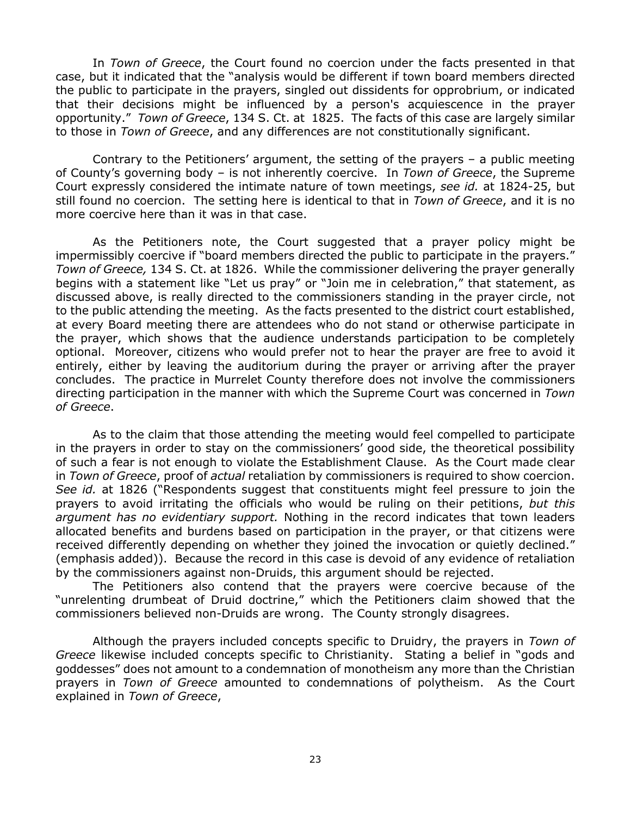In *Town of Greece*, the Court found no coercion under the facts presented in that case, but it indicated that the "analysis would be different if town board members directed the public to participate in the prayers, singled out dissidents for opprobrium, or indicated that their decisions might be influenced by a person's acquiescence in the prayer opportunity." *Town of Greece*, 134 S. Ct. at 1825. The facts of this case are largely similar to those in *Town of Greece*, and any differences are not constitutionally significant.

Contrary to the Petitioners' argument, the setting of the prayers – a public meeting of County's governing body – is not inherently coercive. In *Town of Greece*, the Supreme Court expressly considered the intimate nature of town meetings, *see id.* at 1824-25, but still found no coercion. The setting here is identical to that in *Town of Greece*, and it is no more coercive here than it was in that case.

As the Petitioners note, the Court suggested that a prayer policy might be impermissibly coercive if "board members directed the public to participate in the prayers." *Town of Greece,* 134 S. Ct. at 1826. While the commissioner delivering the prayer generally begins with a statement like "Let us pray" or "Join me in celebration," that statement, as discussed above, is really directed to the commissioners standing in the prayer circle, not to the public attending the meeting. As the facts presented to the district court established, at every Board meeting there are attendees who do not stand or otherwise participate in the prayer, which shows that the audience understands participation to be completely optional. Moreover, citizens who would prefer not to hear the prayer are free to avoid it entirely, either by leaving the auditorium during the prayer or arriving after the prayer concludes. The practice in Murrelet County therefore does not involve the commissioners directing participation in the manner with which the Supreme Court was concerned in *Town of Greece*.

As to the claim that those attending the meeting would feel compelled to participate in the prayers in order to stay on the commissioners' good side, the theoretical possibility of such a fear is not enough to violate the Establishment Clause. As the Court made clear in *Town of Greece*, proof of *actual* retaliation by commissioners is required to show coercion. *See id.* at 1826 ("Respondents suggest that constituents might feel pressure to join the prayers to avoid irritating the officials who would be ruling on their petitions, *but this argument has no evidentiary support.* Nothing in the record indicates that town leaders allocated benefits and burdens based on participation in the prayer, or that citizens were received differently depending on whether they joined the invocation or quietly declined." (emphasis added)). Because the record in this case is devoid of any evidence of retaliation by the commissioners against non-Druids, this argument should be rejected.

The Petitioners also contend that the prayers were coercive because of the "unrelenting drumbeat of Druid doctrine," which the Petitioners claim showed that the commissioners believed non-Druids are wrong. The County strongly disagrees.

Although the prayers included concepts specific to Druidry, the prayers in *Town of Greece* likewise included concepts specific to Christianity. Stating a belief in "gods and goddesses" does not amount to a condemnation of monotheism any more than the Christian prayers in *Town of Greece* amounted to condemnations of polytheism. As the Court explained in *Town of Greece*,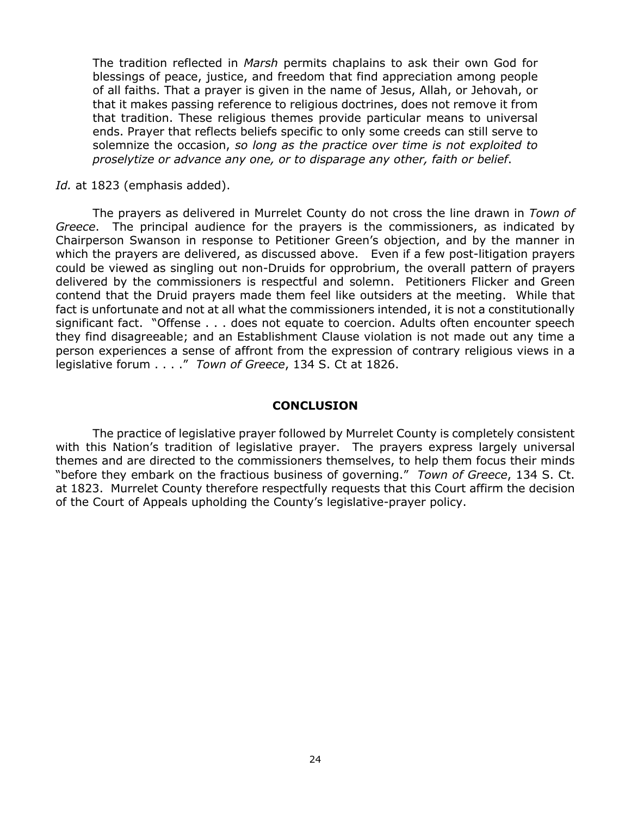The tradition reflected in *Marsh* permits chaplains to ask their own God for blessings of peace, justice, and freedom that find appreciation among people of all faiths. That a prayer is given in the name of Jesus, Allah, or Jehovah, or that it makes passing reference to religious doctrines, does not remove it from that tradition. These religious themes provide particular means to universal ends. Prayer that reflects beliefs specific to only some creeds can still serve to solemnize the occasion, *so long as the practice over time is not exploited to proselytize or advance any one, or to disparage any other, faith or belief*.

*Id.* at 1823 (emphasis added).

The prayers as delivered in Murrelet County do not cross the line drawn in *Town of Greece*. The principal audience for the prayers is the commissioners, as indicated by Chairperson Swanson in response to Petitioner Green's objection, and by the manner in which the prayers are delivered, as discussed above. Even if a few post-litigation prayers could be viewed as singling out non-Druids for opprobrium, the overall pattern of prayers delivered by the commissioners is respectful and solemn. Petitioners Flicker and Green contend that the Druid prayers made them feel like outsiders at the meeting. While that fact is unfortunate and not at all what the commissioners intended, it is not a constitutionally significant fact. "Offense . . . does not equate to coercion. Adults often encounter speech they find disagreeable; and an Establishment Clause violation is not made out any time a person experiences a sense of affront from the expression of contrary religious views in a legislative forum . . . ." *Town of Greece*, 134 S. Ct at 1826.

## **CONCLUSION**

The practice of legislative prayer followed by Murrelet County is completely consistent with this Nation's tradition of legislative prayer. The prayers express largely universal themes and are directed to the commissioners themselves, to help them focus their minds "before they embark on the fractious business of governing." *Town of Greece*, 134 S. Ct. at 1823. Murrelet County therefore respectfully requests that this Court affirm the decision of the Court of Appeals upholding the County's legislative-prayer policy.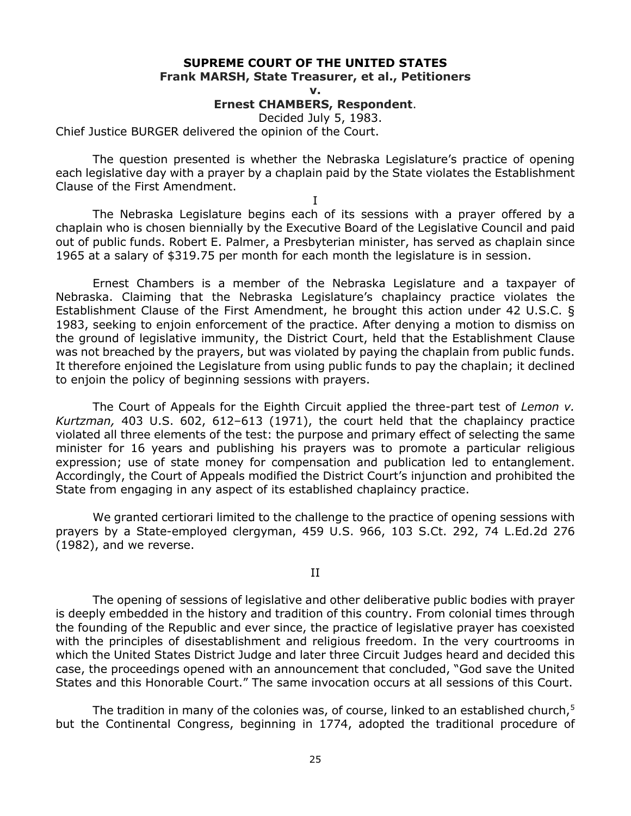## **SUPREME COURT OF THE UNITED STATES Frank MARSH, State Treasurer, et al., Petitioners**

**v.**

#### **Ernest CHAMBERS, Respondent**.

Decided July 5, 1983.

Chief Justice BURGER delivered the opinion of the Court.

The question presented is whether the Nebraska Legislature's practice of opening each legislative day with a prayer by a chaplain paid by the State violates the Establishment Clause of the First Amendment.

I

The Nebraska Legislature begins each of its sessions with a prayer offered by a chaplain who is chosen biennially by the Executive Board of the Legislative Council and paid out of public funds. Robert E. Palmer, a Presbyterian minister, has served as chaplain since 1965 at a salary of \$319.75 per month for each month the legislature is in session.

Ernest Chambers is a member of the Nebraska Legislature and a taxpayer of Nebraska. Claiming that the Nebraska Legislature's chaplaincy practice violates the Establishment Clause of the First Amendment, he brought this action under 42 U.S.C. § 1983, seeking to enjoin enforcement of the practice. After denying a motion to dismiss on the ground of legislative immunity, the District Court, held that the Establishment Clause was not breached by the prayers, but was violated by paying the chaplain from public funds. It therefore enjoined the Legislature from using public funds to pay the chaplain; it declined to enjoin the policy of beginning sessions with prayers.

The Court of Appeals for the Eighth Circuit applied the three-part test of *Lemon v. Kurtzman,* 403 U.S. 602, 612–613 (1971), the court held that the chaplaincy practice violated all three elements of the test: the purpose and primary effect of selecting the same minister for 16 years and publishing his prayers was to promote a particular religious expression; use of state money for compensation and publication led to entanglement. Accordingly, the Court of Appeals modified the District Court's injunction and prohibited the State from engaging in any aspect of its established chaplaincy practice.

We granted certiorari limited to the challenge to the practice of opening sessions with prayers by a State-employed clergyman, 459 U.S. 966, 103 S.Ct. 292, 74 L.Ed.2d 276 (1982), and we reverse.

II

The opening of sessions of legislative and other deliberative public bodies with prayer is deeply embedded in the history and tradition of this country. From colonial times through the founding of the Republic and ever since, the practice of legislative prayer has coexisted with the principles of disestablishment and religious freedom. In the very courtrooms in which the United States District Judge and later three Circuit Judges heard and decided this case, the proceedings opened with an announcement that concluded, "God save the United States and this Honorable Court." The same invocation occurs at all sessions of this Court.

The tradition in many of the colonies was, of course, linked to an established church, $5$ but the Continental Congress, beginning in 1774, adopted the traditional procedure of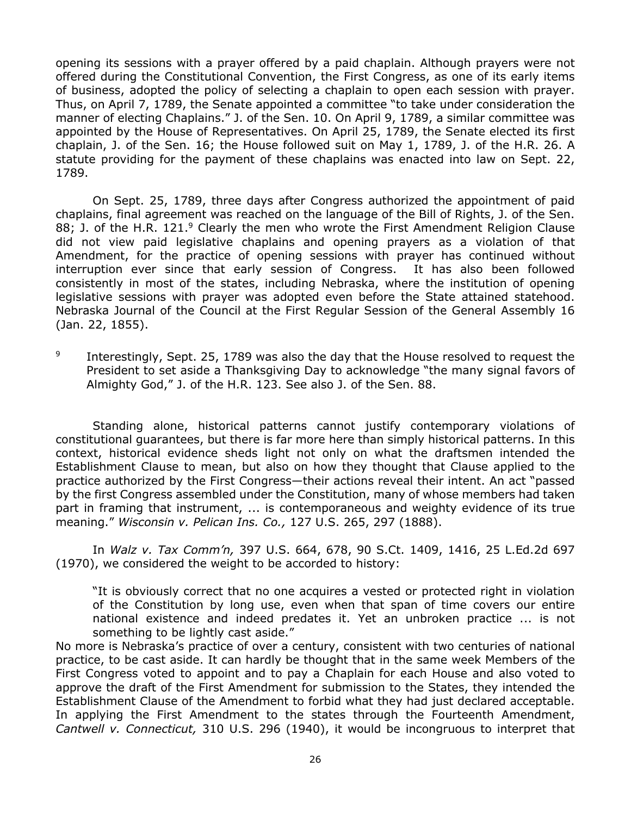opening its sessions with a prayer offered by a paid chaplain. Although prayers were not offered during the Constitutional Convention, the First Congress, as one of its early items of business, adopted the policy of selecting a chaplain to open each session with prayer. Thus, on April 7, 1789, the Senate appointed a committee "to take under consideration the manner of electing Chaplains." J. of the Sen. 10. On April 9, 1789, a similar committee was appointed by the House of Representatives. On April 25, 1789, the Senate elected its first chaplain, J. of the Sen. 16; the House followed suit on May 1, 1789, J. of the H.R. 26. A statute providing for the payment of these chaplains was enacted into law on Sept. 22, 1789.

On Sept. 25, 1789, three days after Congress authorized the appointment of paid chaplains, final agreement was reached on the language of the Bill of Rights, J. of the Sen. 88; J. of the H.R. 121.<sup>9</sup> Clearly the men who wrote the First Amendment Religion Clause did not view paid legislative chaplains and opening prayers as a violation of that Amendment, for the practice of opening sessions with prayer has continued without interruption ever since that early session of Congress. It has also been followed consistently in most of the states, including Nebraska, where the institution of opening legislative sessions with prayer was adopted even before the State attained statehood. Nebraska Journal of the Council at the First Regular Session of the General Assembly 16 (Jan. 22, 1855).

<sup>9</sup> Interestingly, Sept. 25, 1789 was also the day that the House resolved to request the President to set aside a Thanksgiving Day to acknowledge "the many signal favors of Almighty God," J. of the H.R. 123. See also J. of the Sen. 88.

Standing alone, historical patterns cannot justify contemporary violations of constitutional guarantees, but there is far more here than simply historical patterns. In this context, historical evidence sheds light not only on what the draftsmen intended the Establishment Clause to mean, but also on how they thought that Clause applied to the practice authorized by the First Congress—their actions reveal their intent. An act "passed by the first Congress assembled under the Constitution, many of whose members had taken part in framing that instrument, ... is contemporaneous and weighty evidence of its true meaning." *Wisconsin v. Pelican Ins. Co.,* 127 U.S. 265, 297 (1888).

In *Walz v. Tax Comm'n,* 397 U.S. 664, 678, 90 S.Ct. 1409, 1416, 25 L.Ed.2d 697 (1970), we considered the weight to be accorded to history:

"It is obviously correct that no one acquires a vested or protected right in violation of the Constitution by long use, even when that span of time covers our entire national existence and indeed predates it. Yet an unbroken practice ... is not something to be lightly cast aside."

No more is Nebraska's practice of over a century, consistent with two centuries of national practice, to be cast aside. It can hardly be thought that in the same week Members of the First Congress voted to appoint and to pay a Chaplain for each House and also voted to approve the draft of the First Amendment for submission to the States, they intended the Establishment Clause of the Amendment to forbid what they had just declared acceptable. In applying the First Amendment to the states through the Fourteenth Amendment, *Cantwell v. Connecticut,* 310 U.S. 296 (1940), it would be incongruous to interpret that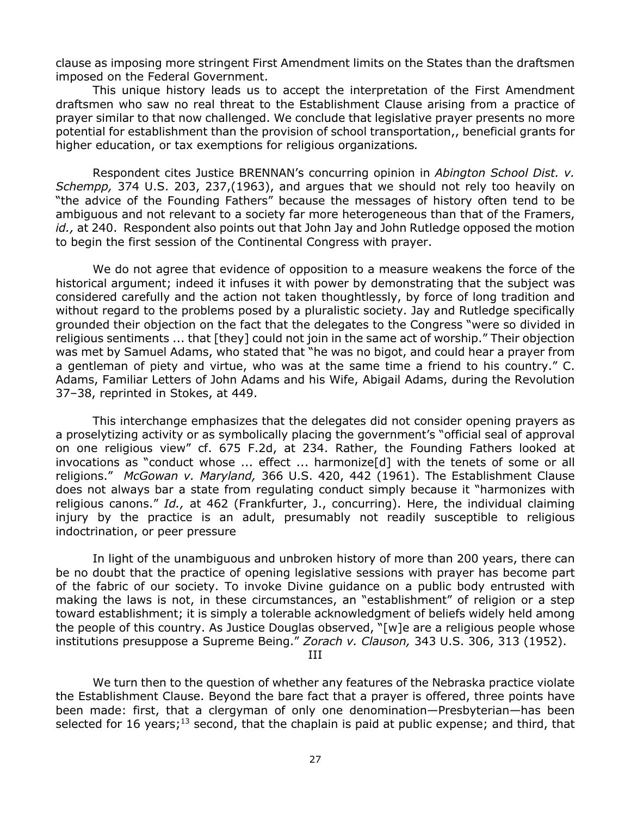clause as imposing more stringent First Amendment limits on the States than the draftsmen imposed on the Federal Government.

This unique history leads us to accept the interpretation of the First Amendment draftsmen who saw no real threat to the Establishment Clause arising from a practice of prayer similar to that now challenged. We conclude that legislative prayer presents no more potential for establishment than the provision of school transportation,, beneficial grants for higher education, or tax exemptions for religious organizations*.*

Respondent cites Justice BRENNAN's concurring opinion in *Abington School Dist. v. Schempp,* 374 U.S. 203, 237,(1963), and argues that we should not rely too heavily on "the advice of the Founding Fathers" because the messages of history often tend to be ambiguous and not relevant to a society far more heterogeneous than that of the Framers, *id.,* at 240. Respondent also points out that John Jay and John Rutledge opposed the motion to begin the first session of the Continental Congress with prayer.

We do not agree that evidence of opposition to a measure weakens the force of the historical argument; indeed it infuses it with power by demonstrating that the subject was considered carefully and the action not taken thoughtlessly, by force of long tradition and without regard to the problems posed by a pluralistic society. Jay and Rutledge specifically grounded their objection on the fact that the delegates to the Congress "were so divided in religious sentiments ... that [they] could not join in the same act of worship." Their objection was met by Samuel Adams, who stated that "he was no bigot, and could hear a prayer from a gentleman of piety and virtue, who was at the same time a friend to his country." C. Adams, Familiar Letters of John Adams and his Wife, Abigail Adams, during the Revolution 37–38, reprinted in Stokes, at 449.

This interchange emphasizes that the delegates did not consider opening prayers as a proselytizing activity or as symbolically placing the government's "official seal of approval on one religious view" cf. 675 F.2d, at 234. Rather, the Founding Fathers looked at invocations as "conduct whose ... effect ... harmonize[d] with the tenets of some or all religions." *McGowan v. Maryland,* 366 U.S. 420, 442 (1961). The Establishment Clause does not always bar a state from regulating conduct simply because it "harmonizes with religious canons." *Id.,* at 462 (Frankfurter, J., concurring). Here, the individual claiming injury by the practice is an adult, presumably not readily susceptible to religious indoctrination, or peer pressure

In light of the unambiguous and unbroken history of more than 200 years, there can be no doubt that the practice of opening legislative sessions with prayer has become part of the fabric of our society. To invoke Divine guidance on a public body entrusted with making the laws is not, in these circumstances, an "establishment" of religion or a step toward establishment; it is simply a tolerable acknowledgment of beliefs widely held among the people of this country. As Justice Douglas observed, "[w]e are a religious people whose institutions presuppose a Supreme Being." *Zorach v. Clauson,* 343 U.S. 306, 313 (1952).

III

We turn then to the question of whether any features of the Nebraska practice violate the Establishment Clause. Beyond the bare fact that a prayer is offered, three points have been made: first, that a clergyman of only one denomination—Presbyterian—has been selected for 16 years;<sup>13</sup> second, that the chaplain is paid at public expense; and third, that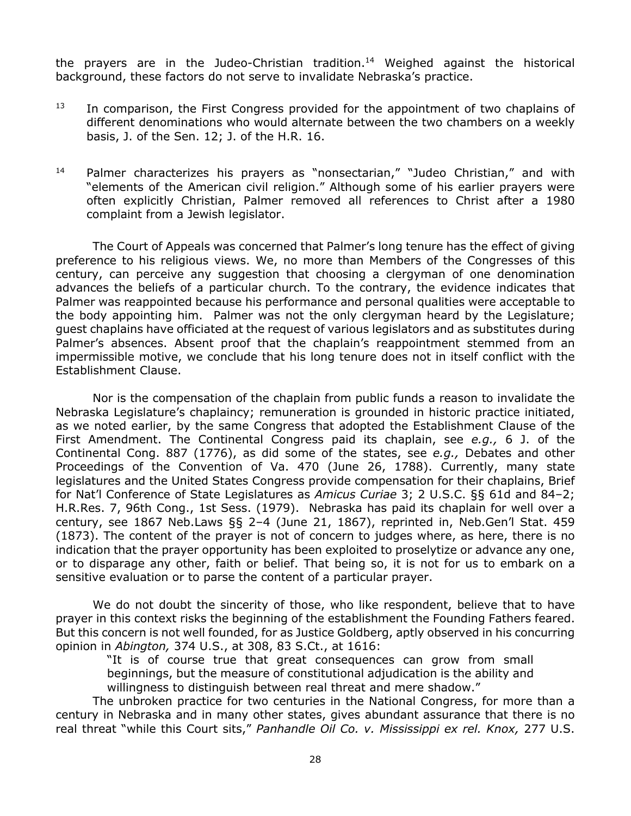the prayers are in the Judeo-Christian tradition.<sup>14</sup> Weighed against the historical background, these factors do not serve to invalidate Nebraska's practice.

- $13$  In comparison, the First Congress provided for the appointment of two chaplains of different denominations who would alternate between the two chambers on a weekly basis, J. of the Sen. 12; J. of the H.R. 16.
- 14 Palmer characterizes his prayers as "nonsectarian," "Judeo Christian," and with "elements of the American civil religion." Although some of his earlier prayers were often explicitly Christian, Palmer removed all references to Christ after a 1980 complaint from a Jewish legislator.

The Court of Appeals was concerned that Palmer's long tenure has the effect of giving preference to his religious views. We, no more than Members of the Congresses of this century, can perceive any suggestion that choosing a clergyman of one denomination advances the beliefs of a particular church. To the contrary, the evidence indicates that Palmer was reappointed because his performance and personal qualities were acceptable to the body appointing him. Palmer was not the only clergyman heard by the Legislature; guest chaplains have officiated at the request of various legislators and as substitutes during Palmer's absences. Absent proof that the chaplain's reappointment stemmed from an impermissible motive, we conclude that his long tenure does not in itself conflict with the Establishment Clause.

Nor is the compensation of the chaplain from public funds a reason to invalidate the Nebraska Legislature's chaplaincy; remuneration is grounded in historic practice initiated, as we noted earlier, by the same Congress that adopted the Establishment Clause of the First Amendment. The Continental Congress paid its chaplain, see *e.g.,* 6 J. of the Continental Cong. 887 (1776), as did some of the states, see *e.g.,* Debates and other Proceedings of the Convention of Va. 470 (June 26, 1788). Currently, many state legislatures and the United States Congress provide compensation for their chaplains, Brief for Nat'l Conference of State Legislatures as *Amicus Curiae* 3; 2 U.S.C. §§ 61d and 84–2; H.R.Res. 7, 96th Cong., 1st Sess. (1979). Nebraska has paid its chaplain for well over a century, see 1867 Neb.Laws §§ 2–4 (June 21, 1867), reprinted in, Neb.Gen'l Stat. 459 (1873). The content of the prayer is not of concern to judges where, as here, there is no indication that the prayer opportunity has been exploited to proselytize or advance any one, or to disparage any other, faith or belief. That being so, it is not for us to embark on a sensitive evaluation or to parse the content of a particular prayer.

We do not doubt the sincerity of those, who like respondent, believe that to have prayer in this context risks the beginning of the establishment the Founding Fathers feared. But this concern is not well founded, for as Justice Goldberg, aptly observed in his concurring opinion in *Abington,* 374 U.S., at 308, 83 S.Ct., at 1616:

"It is of course true that great consequences can grow from small beginnings, but the measure of constitutional adjudication is the ability and willingness to distinguish between real threat and mere shadow."

The unbroken practice for two centuries in the National Congress, for more than a century in Nebraska and in many other states, gives abundant assurance that there is no real threat "while this Court sits," *Panhandle Oil Co. v. Mississippi ex rel. Knox,* 277 U.S.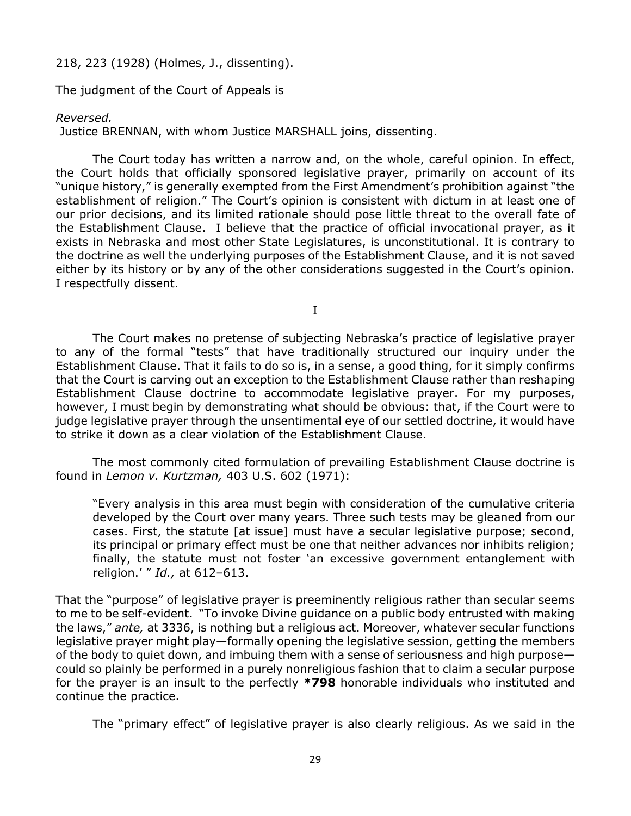218, 223 (1928) (Holmes, J., dissenting).

The judgment of the Court of Appeals is

## *Reversed.*

Justice BRENNAN, with whom Justice MARSHALL joins, dissenting.

The Court today has written a narrow and, on the whole, careful opinion. In effect, the Court holds that officially sponsored legislative prayer, primarily on account of its "unique history," is generally exempted from the First Amendment's prohibition against "the establishment of religion." The Court's opinion is consistent with dictum in at least one of our prior decisions, and its limited rationale should pose little threat to the overall fate of the Establishment Clause. I believe that the practice of official invocational prayer, as it exists in Nebraska and most other State Legislatures, is unconstitutional. It is contrary to the doctrine as well the underlying purposes of the Establishment Clause, and it is not saved either by its history or by any of the other considerations suggested in the Court's opinion. I respectfully dissent.

I

The Court makes no pretense of subjecting Nebraska's practice of legislative prayer to any of the formal "tests" that have traditionally structured our inquiry under the Establishment Clause. That it fails to do so is, in a sense, a good thing, for it simply confirms that the Court is carving out an exception to the Establishment Clause rather than reshaping Establishment Clause doctrine to accommodate legislative prayer. For my purposes, however, I must begin by demonstrating what should be obvious: that, if the Court were to judge legislative prayer through the unsentimental eye of our settled doctrine, it would have to strike it down as a clear violation of the Establishment Clause.

The most commonly cited formulation of prevailing Establishment Clause doctrine is found in *Lemon v. Kurtzman,* 403 U.S. 602 (1971):

"Every analysis in this area must begin with consideration of the cumulative criteria developed by the Court over many years. Three such tests may be gleaned from our cases. First, the statute [at issue] must have a secular legislative purpose; second, its principal or primary effect must be one that neither advances nor inhibits religion; finally, the statute must not foster 'an excessive government entanglement with religion.' " *Id.,* at 612–613.

That the "purpose" of legislative prayer is preeminently religious rather than secular seems to me to be self-evident. "To invoke Divine guidance on a public body entrusted with making the laws," *ante,* at 3336, is nothing but a religious act. Moreover, whatever secular functions legislative prayer might play—formally opening the legislative session, getting the members of the body to quiet down, and imbuing them with a sense of seriousness and high purpose could so plainly be performed in a purely nonreligious fashion that to claim a secular purpose for the prayer is an insult to the perfectly **\*798** honorable individuals who instituted and continue the practice.

The "primary effect" of legislative prayer is also clearly religious. As we said in the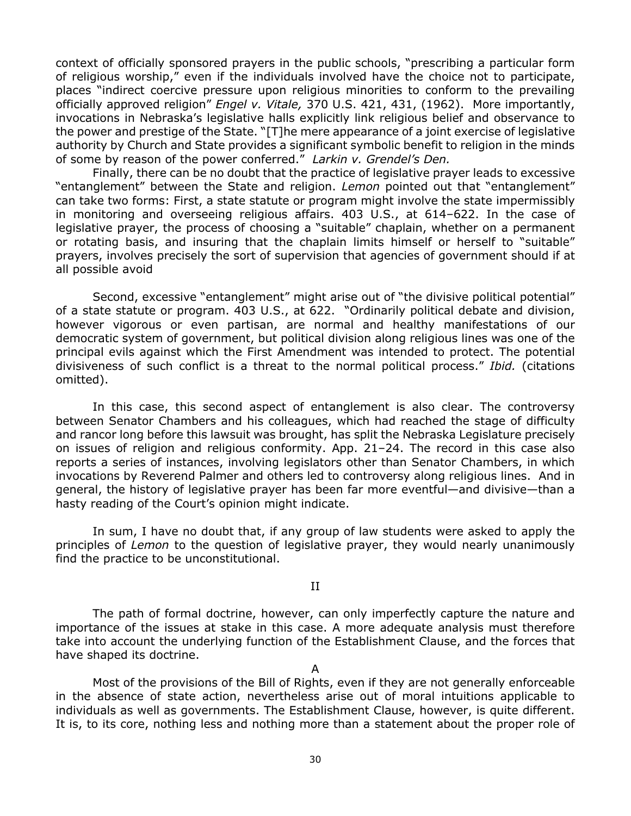context of officially sponsored prayers in the public schools, "prescribing a particular form of religious worship," even if the individuals involved have the choice not to participate, places "indirect coercive pressure upon religious minorities to conform to the prevailing officially approved religion" *Engel v. Vitale,* 370 U.S. 421, 431, (1962). More importantly, invocations in Nebraska's legislative halls explicitly link religious belief and observance to the power and prestige of the State. "[T]he mere appearance of a joint exercise of legislative authority by Church and State provides a significant symbolic benefit to religion in the minds of some by reason of the power conferred." *Larkin v. Grendel's Den.*

Finally, there can be no doubt that the practice of legislative prayer leads to excessive "entanglement" between the State and religion. *Lemon* pointed out that "entanglement" can take two forms: First, a state statute or program might involve the state impermissibly in monitoring and overseeing religious affairs. 403 U.S., at 614–622. In the case of legislative prayer, the process of choosing a "suitable" chaplain, whether on a permanent or rotating basis, and insuring that the chaplain limits himself or herself to "suitable" prayers, involves precisely the sort of supervision that agencies of government should if at all possible avoid

Second, excessive "entanglement" might arise out of "the divisive political potential" of a state statute or program. 403 U.S., at 622. "Ordinarily political debate and division, however vigorous or even partisan, are normal and healthy manifestations of our democratic system of government, but political division along religious lines was one of the principal evils against which the First Amendment was intended to protect. The potential divisiveness of such conflict is a threat to the normal political process." *Ibid.* (citations omitted).

In this case, this second aspect of entanglement is also clear. The controversy between Senator Chambers and his colleagues, which had reached the stage of difficulty and rancor long before this lawsuit was brought, has split the Nebraska Legislature precisely on issues of religion and religious conformity. App. 21–24. The record in this case also reports a series of instances, involving legislators other than Senator Chambers, in which invocations by Reverend Palmer and others led to controversy along religious lines. And in general, the history of legislative prayer has been far more eventful—and divisive—than a hasty reading of the Court's opinion might indicate.

In sum, I have no doubt that, if any group of law students were asked to apply the principles of *Lemon* to the question of legislative prayer, they would nearly unanimously find the practice to be unconstitutional.

II

The path of formal doctrine, however, can only imperfectly capture the nature and importance of the issues at stake in this case. A more adequate analysis must therefore take into account the underlying function of the Establishment Clause, and the forces that have shaped its doctrine.

A

Most of the provisions of the Bill of Rights, even if they are not generally enforceable in the absence of state action, nevertheless arise out of moral intuitions applicable to individuals as well as governments. The Establishment Clause, however, is quite different. It is, to its core, nothing less and nothing more than a statement about the proper role of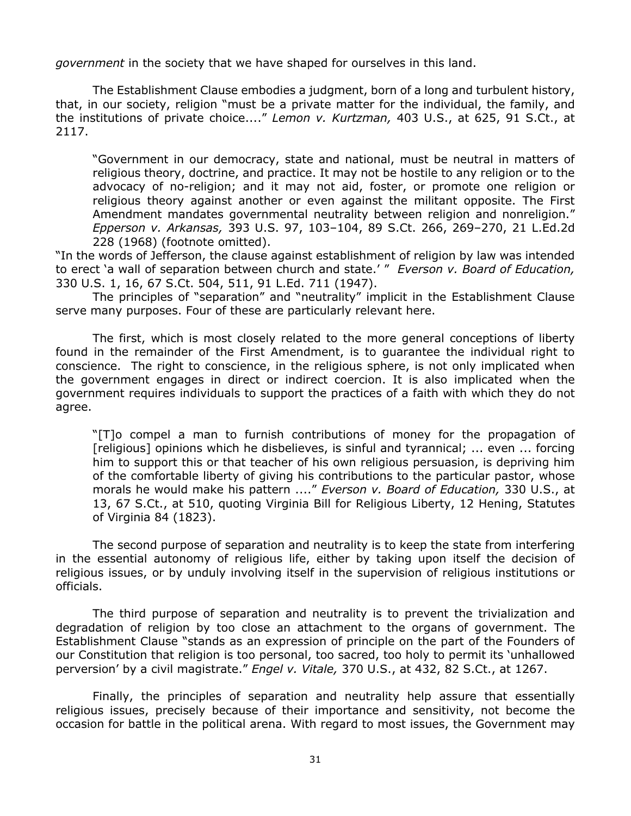*government* in the society that we have shaped for ourselves in this land.

The Establishment Clause embodies a judgment, born of a long and turbulent history, that, in our society, religion "must be a private matter for the individual, the family, and the institutions of private choice...." *Lemon v. Kurtzman,* 403 U.S., at 625, 91 S.Ct., at 2117.

"Government in our democracy, state and national, must be neutral in matters of religious theory, doctrine, and practice. It may not be hostile to any religion or to the advocacy of no-religion; and it may not aid, foster, or promote one religion or religious theory against another or even against the militant opposite. The First Amendment mandates governmental neutrality between religion and nonreligion." *Epperson v. Arkansas,* 393 U.S. 97, 103–104, 89 S.Ct. 266, 269–270, 21 L.Ed.2d 228 (1968) (footnote omitted).

"In the words of Jefferson, the clause against establishment of religion by law was intended to erect 'a wall of separation between church and state.' " *Everson v. Board of Education,* 330 U.S. 1, 16, 67 S.Ct. 504, 511, 91 L.Ed. 711 (1947).

The principles of "separation" and "neutrality" implicit in the Establishment Clause serve many purposes. Four of these are particularly relevant here.

The first, which is most closely related to the more general conceptions of liberty found in the remainder of the First Amendment, is to guarantee the individual right to conscience. The right to conscience, in the religious sphere, is not only implicated when the government engages in direct or indirect coercion. It is also implicated when the government requires individuals to support the practices of a faith with which they do not agree.

"[T]o compel a man to furnish contributions of money for the propagation of [religious] opinions which he disbelieves, is sinful and tyrannical; ... even ... forcing him to support this or that teacher of his own religious persuasion, is depriving him of the comfortable liberty of giving his contributions to the particular pastor, whose morals he would make his pattern ...." *Everson v. Board of Education,* 330 U.S., at 13, 67 S.Ct., at 510, quoting Virginia Bill for Religious Liberty, 12 Hening, Statutes of Virginia 84 (1823).

The second purpose of separation and neutrality is to keep the state from interfering in the essential autonomy of religious life, either by taking upon itself the decision of religious issues, or by unduly involving itself in the supervision of religious institutions or officials.

The third purpose of separation and neutrality is to prevent the trivialization and degradation of religion by too close an attachment to the organs of government. The Establishment Clause "stands as an expression of principle on the part of the Founders of our Constitution that religion is too personal, too sacred, too holy to permit its 'unhallowed perversion' by a civil magistrate." *Engel v. Vitale,* 370 U.S., at 432, 82 S.Ct., at 1267.

Finally, the principles of separation and neutrality help assure that essentially religious issues, precisely because of their importance and sensitivity, not become the occasion for battle in the political arena. With regard to most issues, the Government may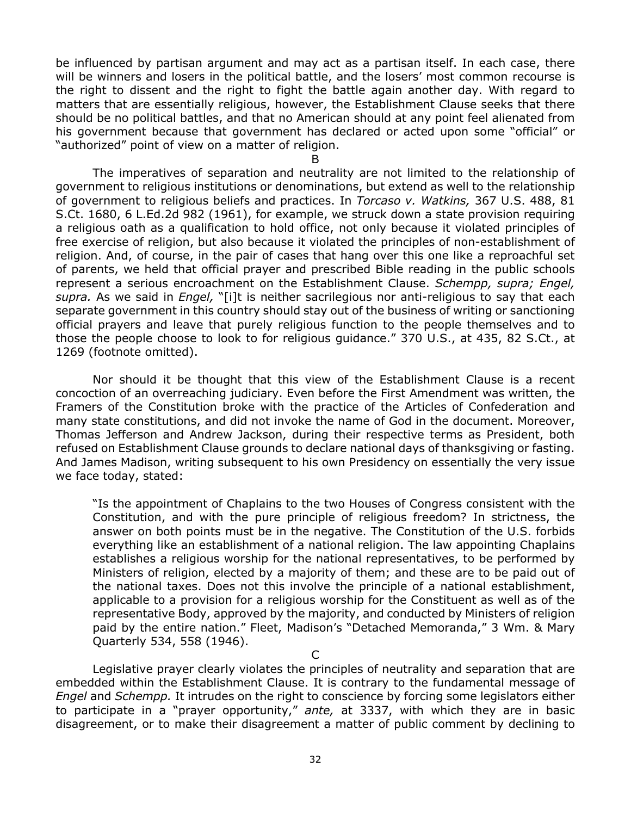be influenced by partisan argument and may act as a partisan itself. In each case, there will be winners and losers in the political battle, and the losers' most common recourse is the right to dissent and the right to fight the battle again another day. With regard to matters that are essentially religious, however, the Establishment Clause seeks that there should be no political battles, and that no American should at any point feel alienated from his government because that government has declared or acted upon some "official" or "authorized" point of view on a matter of religion.

B

The imperatives of separation and neutrality are not limited to the relationship of government to religious institutions or denominations, but extend as well to the relationship of government to religious beliefs and practices. In *Torcaso v. Watkins,* 367 U.S. 488, 81 S.Ct. 1680, 6 L.Ed.2d 982 (1961), for example, we struck down a state provision requiring a religious oath as a qualification to hold office, not only because it violated principles of free exercise of religion, but also because it violated the principles of non-establishment of religion. And, of course, in the pair of cases that hang over this one like a reproachful set of parents, we held that official prayer and prescribed Bible reading in the public schools represent a serious encroachment on the Establishment Clause. *Schempp, supra; Engel, supra.* As we said in *Engel,* "[i]t is neither sacrilegious nor anti-religious to say that each separate government in this country should stay out of the business of writing or sanctioning official prayers and leave that purely religious function to the people themselves and to those the people choose to look to for religious guidance." 370 U.S., at 435, 82 S.Ct., at 1269 (footnote omitted).

Nor should it be thought that this view of the Establishment Clause is a recent concoction of an overreaching judiciary. Even before the First Amendment was written, the Framers of the Constitution broke with the practice of the Articles of Confederation and many state constitutions, and did not invoke the name of God in the document. Moreover, Thomas Jefferson and Andrew Jackson, during their respective terms as President, both refused on Establishment Clause grounds to declare national days of thanksgiving or fasting. And James Madison, writing subsequent to his own Presidency on essentially the very issue we face today, stated:

"Is the appointment of Chaplains to the two Houses of Congress consistent with the Constitution, and with the pure principle of religious freedom? In strictness, the answer on both points must be in the negative. The Constitution of the U.S. forbids everything like an establishment of a national religion. The law appointing Chaplains establishes a religious worship for the national representatives, to be performed by Ministers of religion, elected by a majority of them; and these are to be paid out of the national taxes. Does not this involve the principle of a national establishment, applicable to a provision for a religious worship for the Constituent as well as of the representative Body, approved by the majority, and conducted by Ministers of religion paid by the entire nation." Fleet, Madison's "Detached Memoranda," 3 Wm. & Mary Quarterly 534, 558 (1946).

 $\mathsf{C}$ 

Legislative prayer clearly violates the principles of neutrality and separation that are embedded within the Establishment Clause. It is contrary to the fundamental message of *Engel* and *Schempp.* It intrudes on the right to conscience by forcing some legislators either to participate in a "prayer opportunity," *ante,* at 3337, with which they are in basic disagreement, or to make their disagreement a matter of public comment by declining to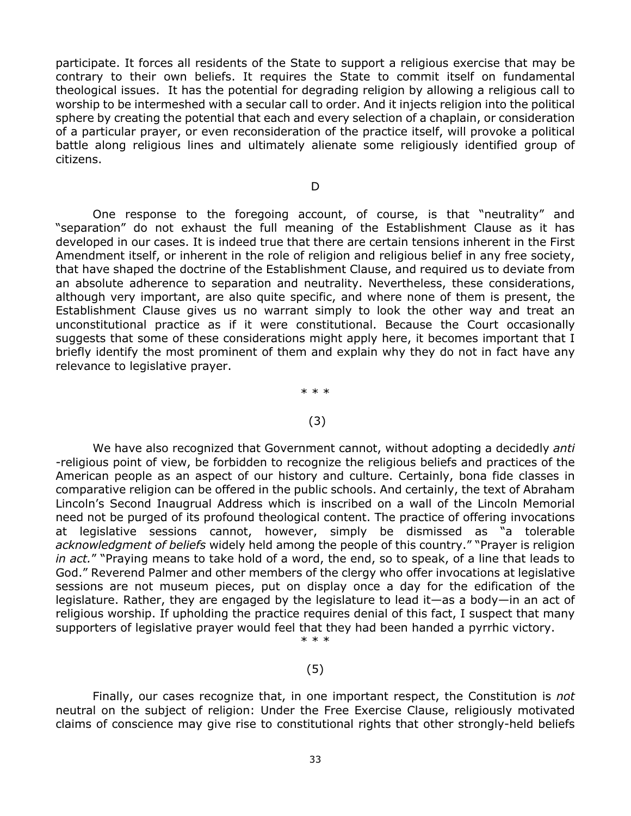participate. It forces all residents of the State to support a religious exercise that may be contrary to their own beliefs. It requires the State to commit itself on fundamental theological issues. It has the potential for degrading religion by allowing a religious call to worship to be intermeshed with a secular call to order. And it injects religion into the political sphere by creating the potential that each and every selection of a chaplain, or consideration of a particular prayer, or even reconsideration of the practice itself, will provoke a political battle along religious lines and ultimately alienate some religiously identified group of citizens.

D

One response to the foregoing account, of course, is that "neutrality" and "separation" do not exhaust the full meaning of the Establishment Clause as it has developed in our cases. It is indeed true that there are certain tensions inherent in the First Amendment itself, or inherent in the role of religion and religious belief in any free society, that have shaped the doctrine of the Establishment Clause, and required us to deviate from an absolute adherence to separation and neutrality. Nevertheless, these considerations, although very important, are also quite specific, and where none of them is present, the Establishment Clause gives us no warrant simply to look the other way and treat an unconstitutional practice as if it were constitutional. Because the Court occasionally suggests that some of these considerations might apply here, it becomes important that I briefly identify the most prominent of them and explain why they do not in fact have any relevance to legislative prayer.

\* \* \*

## (3)

We have also recognized that Government cannot, without adopting a decidedly *anti* -religious point of view, be forbidden to recognize the religious beliefs and practices of the American people as an aspect of our history and culture. Certainly, bona fide classes in comparative religion can be offered in the public schools. And certainly, the text of Abraham Lincoln's Second Inaugrual Address which is inscribed on a wall of the Lincoln Memorial need not be purged of its profound theological content. The practice of offering invocations at legislative sessions cannot, however, simply be dismissed as "a tolerable *acknowledgment of beliefs* widely held among the people of this country." "Prayer is religion *in act.*" "Praying means to take hold of a word, the end, so to speak, of a line that leads to God." Reverend Palmer and other members of the clergy who offer invocations at legislative sessions are not museum pieces, put on display once a day for the edification of the legislature. Rather, they are engaged by the legislature to lead it—as a body—in an act of religious worship. If upholding the practice requires denial of this fact, I suspect that many supporters of legislative prayer would feel that they had been handed a pyrrhic victory.

\* \* \*

#### (5)

Finally, our cases recognize that, in one important respect, the Constitution is *not* neutral on the subject of religion: Under the Free Exercise Clause, religiously motivated claims of conscience may give rise to constitutional rights that other strongly-held beliefs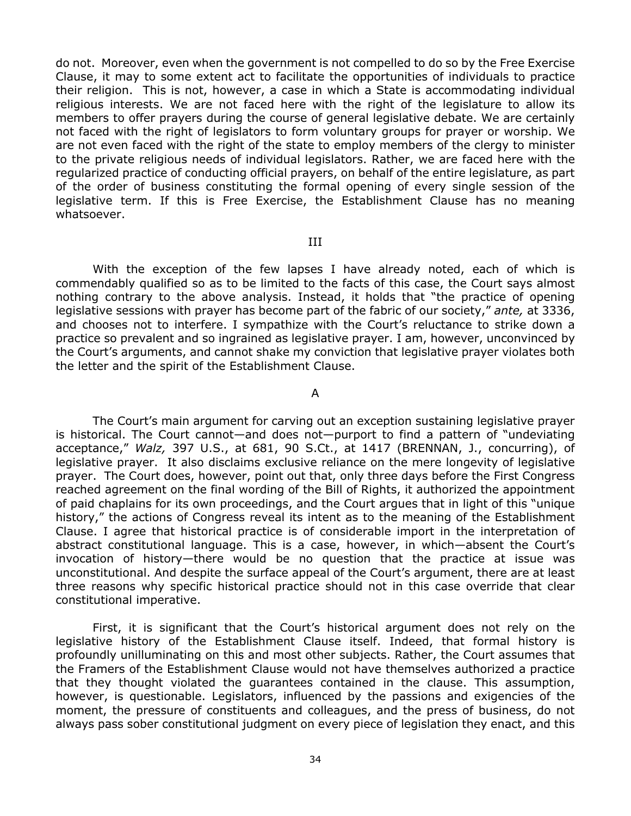do not. Moreover, even when the government is not compelled to do so by the Free Exercise Clause, it may to some extent act to facilitate the opportunities of individuals to practice their religion. This is not, however, a case in which a State is accommodating individual religious interests. We are not faced here with the right of the legislature to allow its members to offer prayers during the course of general legislative debate. We are certainly not faced with the right of legislators to form voluntary groups for prayer or worship. We are not even faced with the right of the state to employ members of the clergy to minister to the private religious needs of individual legislators. Rather, we are faced here with the regularized practice of conducting official prayers, on behalf of the entire legislature, as part of the order of business constituting the formal opening of every single session of the legislative term. If this is Free Exercise, the Establishment Clause has no meaning whatsoever.

#### III

With the exception of the few lapses I have already noted, each of which is commendably qualified so as to be limited to the facts of this case, the Court says almost nothing contrary to the above analysis. Instead, it holds that "the practice of opening legislative sessions with prayer has become part of the fabric of our society," *ante,* at 3336, and chooses not to interfere. I sympathize with the Court's reluctance to strike down a practice so prevalent and so ingrained as legislative prayer. I am, however, unconvinced by the Court's arguments, and cannot shake my conviction that legislative prayer violates both the letter and the spirit of the Establishment Clause.

#### A

The Court's main argument for carving out an exception sustaining legislative prayer is historical. The Court cannot—and does not—purport to find a pattern of "undeviating acceptance," *Walz,* 397 U.S., at 681, 90 S.Ct., at 1417 (BRENNAN, J., concurring), of legislative prayer. It also disclaims exclusive reliance on the mere longevity of legislative prayer. The Court does, however, point out that, only three days before the First Congress reached agreement on the final wording of the Bill of Rights, it authorized the appointment of paid chaplains for its own proceedings, and the Court argues that in light of this "unique history," the actions of Congress reveal its intent as to the meaning of the Establishment Clause. I agree that historical practice is of considerable import in the interpretation of abstract constitutional language. This is a case, however, in which—absent the Court's invocation of history—there would be no question that the practice at issue was unconstitutional. And despite the surface appeal of the Court's argument, there are at least three reasons why specific historical practice should not in this case override that clear constitutional imperative.

First, it is significant that the Court's historical argument does not rely on the legislative history of the Establishment Clause itself. Indeed, that formal history is profoundly unilluminating on this and most other subjects. Rather, the Court assumes that the Framers of the Establishment Clause would not have themselves authorized a practice that they thought violated the guarantees contained in the clause. This assumption, however, is questionable. Legislators, influenced by the passions and exigencies of the moment, the pressure of constituents and colleagues, and the press of business, do not always pass sober constitutional judgment on every piece of legislation they enact, and this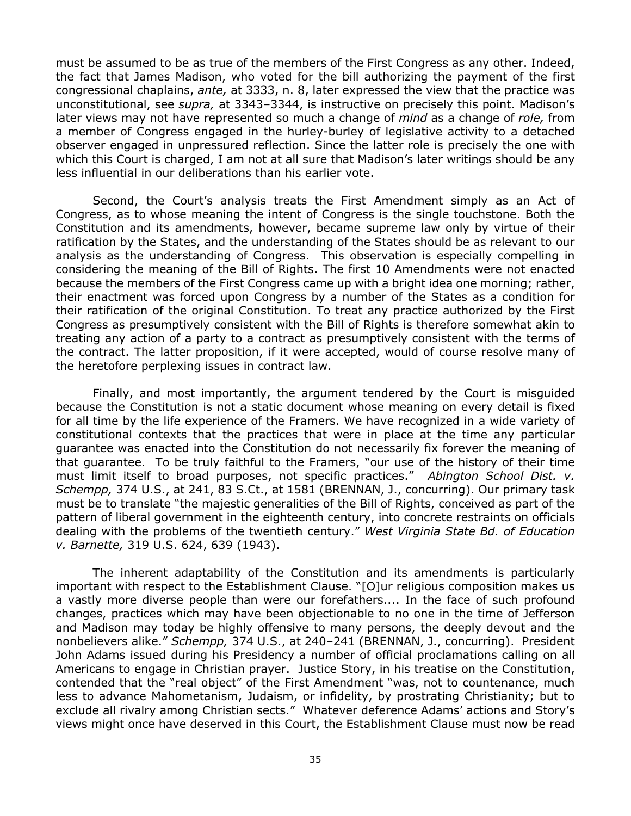must be assumed to be as true of the members of the First Congress as any other. Indeed, the fact that James Madison, who voted for the bill authorizing the payment of the first congressional chaplains, *ante,* at 3333, n. 8, later expressed the view that the practice was unconstitutional, see *supra,* at 3343–3344, is instructive on precisely this point. Madison's later views may not have represented so much a change of *mind* as a change of *role,* from a member of Congress engaged in the hurley-burley of legislative activity to a detached observer engaged in unpressured reflection. Since the latter role is precisely the one with which this Court is charged, I am not at all sure that Madison's later writings should be any less influential in our deliberations than his earlier vote.

Second, the Court's analysis treats the First Amendment simply as an Act of Congress, as to whose meaning the intent of Congress is the single touchstone. Both the Constitution and its amendments, however, became supreme law only by virtue of their ratification by the States, and the understanding of the States should be as relevant to our analysis as the understanding of Congress. This observation is especially compelling in considering the meaning of the Bill of Rights. The first 10 Amendments were not enacted because the members of the First Congress came up with a bright idea one morning; rather, their enactment was forced upon Congress by a number of the States as a condition for their ratification of the original Constitution. To treat any practice authorized by the First Congress as presumptively consistent with the Bill of Rights is therefore somewhat akin to treating any action of a party to a contract as presumptively consistent with the terms of the contract. The latter proposition, if it were accepted, would of course resolve many of the heretofore perplexing issues in contract law.

Finally, and most importantly, the argument tendered by the Court is misguided because the Constitution is not a static document whose meaning on every detail is fixed for all time by the life experience of the Framers. We have recognized in a wide variety of constitutional contexts that the practices that were in place at the time any particular guarantee was enacted into the Constitution do not necessarily fix forever the meaning of that guarantee. To be truly faithful to the Framers, "our use of the history of their time must limit itself to broad purposes, not specific practices." *Abington School Dist. v. Schempp,* 374 U.S., at 241, 83 S.Ct., at 1581 (BRENNAN, J., concurring). Our primary task must be to translate "the majestic generalities of the Bill of Rights, conceived as part of the pattern of liberal government in the eighteenth century, into concrete restraints on officials dealing with the problems of the twentieth century." *West Virginia State Bd. of Education v. Barnette,* 319 U.S. 624, 639 (1943).

The inherent adaptability of the Constitution and its amendments is particularly important with respect to the Establishment Clause. "[O]ur religious composition makes us a vastly more diverse people than were our forefathers.... In the face of such profound changes, practices which may have been objectionable to no one in the time of Jefferson and Madison may today be highly offensive to many persons, the deeply devout and the nonbelievers alike." *Schempp,* 374 U.S., at 240–241 (BRENNAN, J., concurring). President John Adams issued during his Presidency a number of official proclamations calling on all Americans to engage in Christian prayer. Justice Story, in his treatise on the Constitution, contended that the "real object" of the First Amendment "was, not to countenance, much less to advance Mahometanism, Judaism, or infidelity, by prostrating Christianity; but to exclude all rivalry among Christian sects." Whatever deference Adams' actions and Story's views might once have deserved in this Court, the Establishment Clause must now be read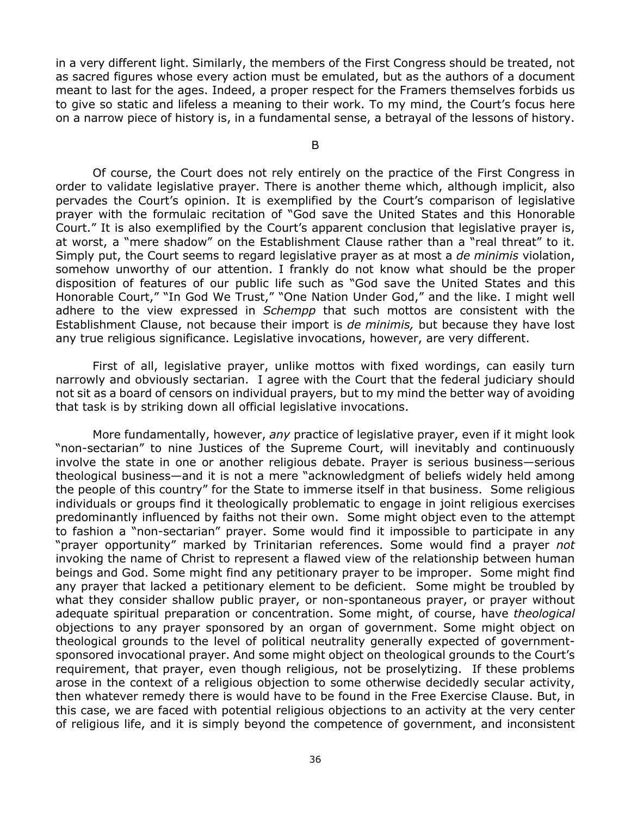in a very different light. Similarly, the members of the First Congress should be treated, not as sacred figures whose every action must be emulated, but as the authors of a document meant to last for the ages. Indeed, a proper respect for the Framers themselves forbids us to give so static and lifeless a meaning to their work. To my mind, the Court's focus here on a narrow piece of history is, in a fundamental sense, a betrayal of the lessons of history.

Of course, the Court does not rely entirely on the practice of the First Congress in order to validate legislative prayer. There is another theme which, although implicit, also pervades the Court's opinion. It is exemplified by the Court's comparison of legislative prayer with the formulaic recitation of "God save the United States and this Honorable Court." It is also exemplified by the Court's apparent conclusion that legislative prayer is, at worst, a "mere shadow" on the Establishment Clause rather than a "real threat" to it. Simply put, the Court seems to regard legislative prayer as at most a *de minimis* violation, somehow unworthy of our attention. I frankly do not know what should be the proper disposition of features of our public life such as "God save the United States and this Honorable Court," "In God We Trust," "One Nation Under God," and the like. I might well adhere to the view expressed in *Schempp* that such mottos are consistent with the Establishment Clause, not because their import is *de minimis,* but because they have lost any true religious significance. Legislative invocations, however, are very different.

First of all, legislative prayer, unlike mottos with fixed wordings, can easily turn narrowly and obviously sectarian. I agree with the Court that the federal judiciary should not sit as a board of censors on individual prayers, but to my mind the better way of avoiding that task is by striking down all official legislative invocations.

More fundamentally, however, *any* practice of legislative prayer, even if it might look "non-sectarian" to nine Justices of the Supreme Court, will inevitably and continuously involve the state in one or another religious debate. Prayer is serious business—serious theological business—and it is not a mere "acknowledgment of beliefs widely held among the people of this country" for the State to immerse itself in that business. Some religious individuals or groups find it theologically problematic to engage in joint religious exercises predominantly influenced by faiths not their own. Some might object even to the attempt to fashion a "non-sectarian" prayer. Some would find it impossible to participate in any "prayer opportunity" marked by Trinitarian references. Some would find a prayer *not* invoking the name of Christ to represent a flawed view of the relationship between human beings and God. Some might find any petitionary prayer to be improper. Some might find any prayer that lacked a petitionary element to be deficient. Some might be troubled by what they consider shallow public prayer, or non-spontaneous prayer, or prayer without adequate spiritual preparation or concentration. Some might, of course, have *theological* objections to any prayer sponsored by an organ of government. Some might object on theological grounds to the level of political neutrality generally expected of governmentsponsored invocational prayer. And some might object on theological grounds to the Court's requirement, that prayer, even though religious, not be proselytizing. If these problems arose in the context of a religious objection to some otherwise decidedly secular activity, then whatever remedy there is would have to be found in the Free Exercise Clause. But, in this case, we are faced with potential religious objections to an activity at the very center of religious life, and it is simply beyond the competence of government, and inconsistent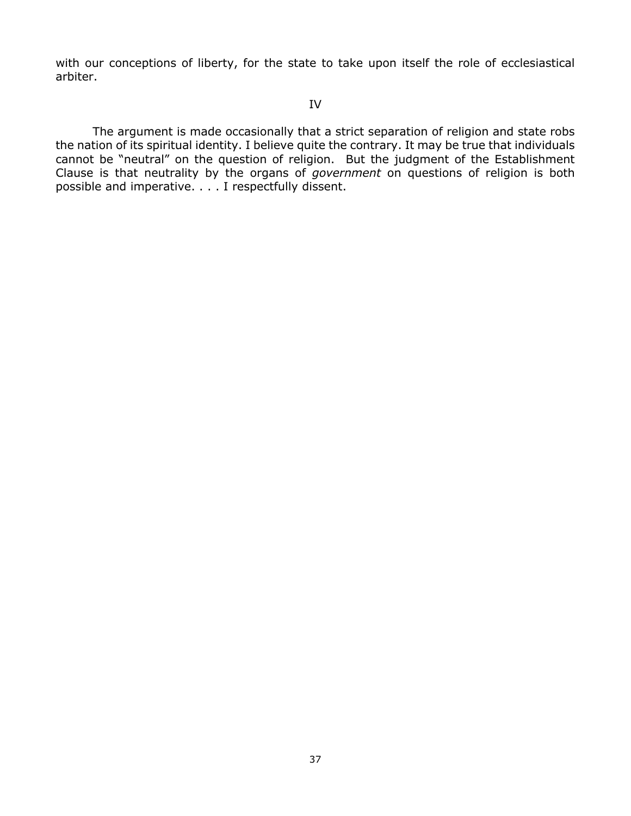with our conceptions of liberty, for the state to take upon itself the role of ecclesiastical arbiter.

#### IV

The argument is made occasionally that a strict separation of religion and state robs the nation of its spiritual identity. I believe quite the contrary. It may be true that individuals cannot be "neutral" on the question of religion. But the judgment of the Establishment Clause is that neutrality by the organs of *government* on questions of religion is both possible and imperative. . . . I respectfully dissent.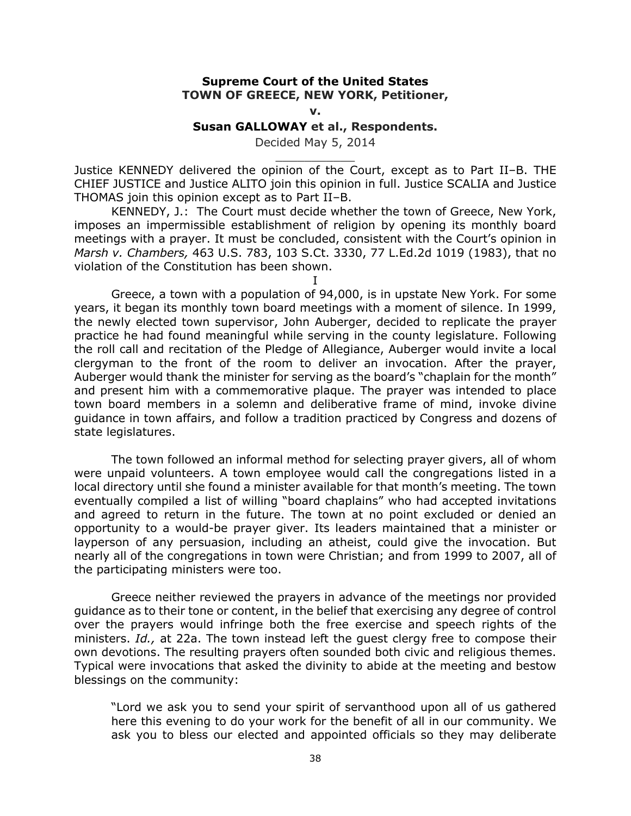## **Supreme Court of the United States TOWN OF GREECE, NEW YORK, Petitioner,**

**v.**

#### **Susan GALLOWAY et al., Respondents.**

Decided May 5, 2014  $\overline{\phantom{a}}$  . The set of the set of the set of the set of the set of the set of the set of the set of the set of the set of the set of the set of the set of the set of the set of the set of the set of the set of the set o

Justice KENNEDY delivered the opinion of the Court, except as to Part II–B. THE CHIEF JUSTICE and Justice ALITO join this opinion in full. Justice SCALIA and Justice THOMAS join this opinion except as to Part II–B.

KENNEDY, J.: The Court must decide whether the town of Greece, New York, imposes an impermissible establishment of religion by opening its monthly board meetings with a prayer. It must be concluded, consistent with the Court's opinion in *Marsh v. Chambers,* 463 U.S. 783, 103 S.Ct. 3330, 77 L.Ed.2d 1019 (1983), that no violation of the Constitution has been shown.

I

Greece, a town with a population of 94,000, is in upstate New York. For some years, it began its monthly town board meetings with a moment of silence. In 1999, the newly elected town supervisor, John Auberger, decided to replicate the prayer practice he had found meaningful while serving in the county legislature. Following the roll call and recitation of the Pledge of Allegiance, Auberger would invite a local clergyman to the front of the room to deliver an invocation. After the prayer, Auberger would thank the minister for serving as the board's "chaplain for the month" and present him with a commemorative plaque. The prayer was intended to place town board members in a solemn and deliberative frame of mind, invoke divine guidance in town affairs, and follow a tradition practiced by Congress and dozens of state legislatures.

The town followed an informal method for selecting prayer givers, all of whom were unpaid volunteers. A town employee would call the congregations listed in a local directory until she found a minister available for that month's meeting. The town eventually compiled a list of willing "board chaplains" who had accepted invitations and agreed to return in the future. The town at no point excluded or denied an opportunity to a would-be prayer giver. Its leaders maintained that a minister or layperson of any persuasion, including an atheist, could give the invocation. But nearly all of the congregations in town were Christian; and from 1999 to 2007, all of the participating ministers were too.

Greece neither reviewed the prayers in advance of the meetings nor provided guidance as to their tone or content, in the belief that exercising any degree of control over the prayers would infringe both the free exercise and speech rights of the ministers. *Id.,* at 22a. The town instead left the guest clergy free to compose their own devotions. The resulting prayers often sounded both civic and religious themes. Typical were invocations that asked the divinity to abide at the meeting and bestow blessings on the community:

"Lord we ask you to send your spirit of servanthood upon all of us gathered here this evening to do your work for the benefit of all in our community. We ask you to bless our elected and appointed officials so they may deliberate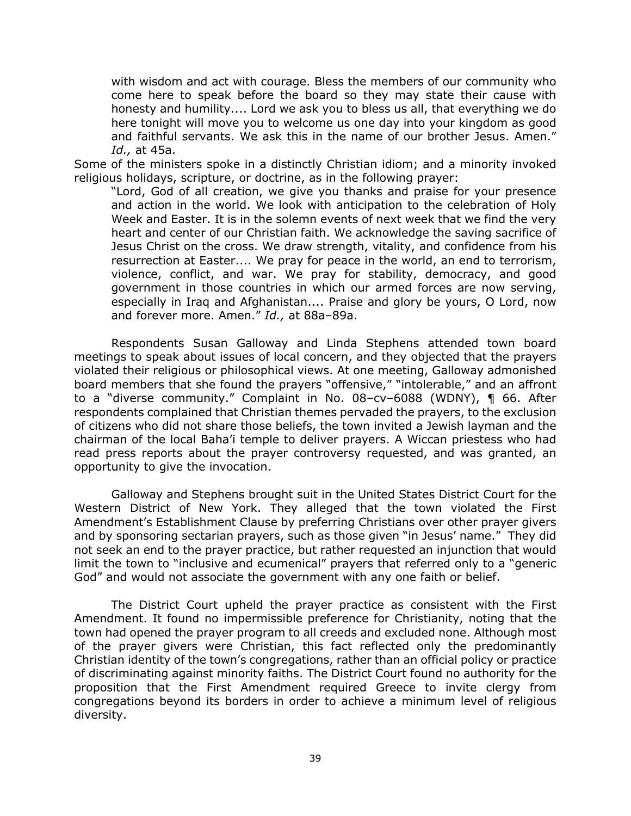with wisdom and act with courage. Bless the members of our community who come here to speak before the board so they may state their cause with honesty and humility.... Lord we ask you to bless us all, that everything we do here tonight will move you to welcome us one day into your kingdom as good and faithful servants. We ask this in the name of our brother Jesus. Amen." *Id.,* at 45a.

Some of the ministers spoke in a distinctly Christian idiom; and a minority invoked religious holidays, scripture, or doctrine, as in the following prayer:

"Lord, God of all creation, we give you thanks and praise for your presence and action in the world. We look with anticipation to the celebration of Holy Week and Easter. It is in the solemn events of next week that we find the very heart and center of our Christian faith. We acknowledge the saving sacrifice of Jesus Christ on the cross. We draw strength, vitality, and confidence from his resurrection at Easter.... We pray for peace in the world, an end to terrorism, violence, conflict, and war. We pray for stability, democracy, and good government in those countries in which our armed forces are now serving, especially in Iraq and Afghanistan.... Praise and glory be yours, O Lord, now and forever more. Amen." *Id.,* at 88a–89a.

Respondents Susan Galloway and Linda Stephens attended town board meetings to speak about issues of local concern, and they objected that the prayers violated their religious or philosophical views. At one meeting, Galloway admonished board members that she found the prayers "offensive," "intolerable," and an affront to a "diverse community." Complaint in No. 08–cv–6088 (WDNY), ¶ 66. After respondents complained that Christian themes pervaded the prayers, to the exclusion of citizens who did not share those beliefs, the town invited a Jewish layman and the chairman of the local Baha'i temple to deliver prayers. A Wiccan priestess who had read press reports about the prayer controversy requested, and was granted, an opportunity to give the invocation.

Galloway and Stephens brought suit in the United States District Court for the Western District of New York. They alleged that the town violated the First Amendment's Establishment Clause by preferring Christians over other prayer givers and by sponsoring sectarian prayers, such as those given "in Jesus' name." They did not seek an end to the prayer practice, but rather requested an injunction that would limit the town to "inclusive and ecumenical" prayers that referred only to a "generic God" and would not associate the government with any one faith or belief.

The District Court upheld the prayer practice as consistent with the First Amendment. It found no impermissible preference for Christianity, noting that the town had opened the prayer program to all creeds and excluded none. Although most of the prayer givers were Christian, this fact reflected only the predominantly Christian identity of the town's congregations, rather than an official policy or practice of discriminating against minority faiths. The District Court found no authority for the proposition that the First Amendment required Greece to invite clergy from congregations beyond its borders in order to achieve a minimum level of religious diversity.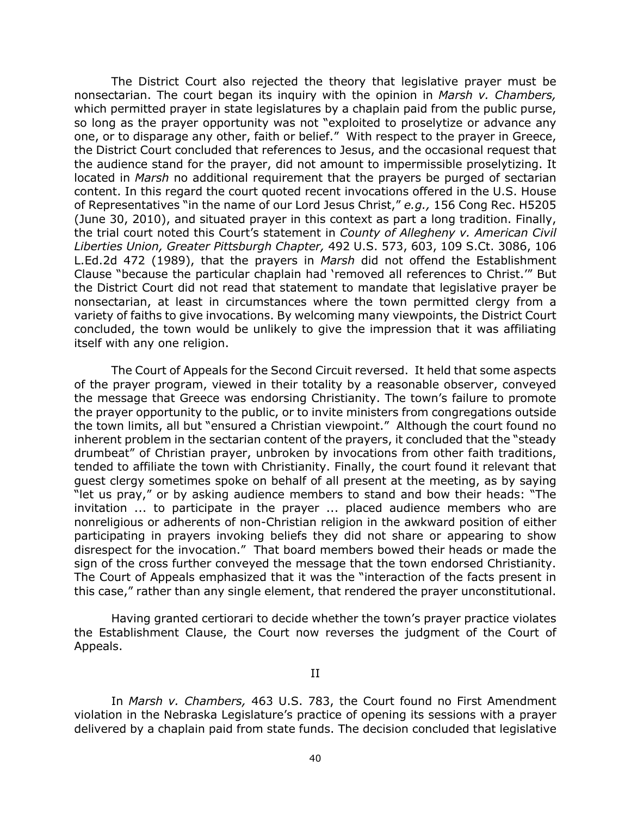The District Court also rejected the theory that legislative prayer must be nonsectarian. The court began its inquiry with the opinion in *Marsh v. Chambers,* which permitted prayer in state legislatures by a chaplain paid from the public purse, so long as the prayer opportunity was not "exploited to proselytize or advance any one, or to disparage any other, faith or belief." With respect to the prayer in Greece, the District Court concluded that references to Jesus, and the occasional request that the audience stand for the prayer, did not amount to impermissible proselytizing. It located in *Marsh* no additional requirement that the prayers be purged of sectarian content. In this regard the court quoted recent invocations offered in the U.S. House of Representatives "in the name of our Lord Jesus Christ," *e.g.,* 156 Cong Rec. H5205 (June 30, 2010), and situated prayer in this context as part a long tradition. Finally, the trial court noted this Court's statement in *County of Allegheny v. American Civil Liberties Union, Greater Pittsburgh Chapter,* 492 U.S. 573, 603, 109 S.Ct. 3086, 106 L.Ed.2d 472 (1989), that the prayers in *Marsh* did not offend the Establishment Clause "because the particular chaplain had 'removed all references to Christ.'" But the District Court did not read that statement to mandate that legislative prayer be nonsectarian, at least in circumstances where the town permitted clergy from a variety of faiths to give invocations. By welcoming many viewpoints, the District Court concluded, the town would be unlikely to give the impression that it was affiliating itself with any one religion.

The Court of Appeals for the Second Circuit reversed. It held that some aspects of the prayer program, viewed in their totality by a reasonable observer, conveyed the message that Greece was endorsing Christianity. The town's failure to promote the prayer opportunity to the public, or to invite ministers from congregations outside the town limits, all but "ensured a Christian viewpoint." Although the court found no inherent problem in the sectarian content of the prayers, it concluded that the "steady drumbeat" of Christian prayer, unbroken by invocations from other faith traditions, tended to affiliate the town with Christianity. Finally, the court found it relevant that guest clergy sometimes spoke on behalf of all present at the meeting, as by saying "let us pray," or by asking audience members to stand and bow their heads: "The invitation ... to participate in the prayer ... placed audience members who are nonreligious or adherents of non-Christian religion in the awkward position of either participating in prayers invoking beliefs they did not share or appearing to show disrespect for the invocation." That board members bowed their heads or made the sign of the cross further conveyed the message that the town endorsed Christianity. The Court of Appeals emphasized that it was the "interaction of the facts present in this case," rather than any single element, that rendered the prayer unconstitutional.

Having granted certiorari to decide whether the town's prayer practice violates the Establishment Clause, the Court now reverses the judgment of the Court of Appeals.

II

In *Marsh v. Chambers,* 463 U.S. 783, the Court found no First Amendment violation in the Nebraska Legislature's practice of opening its sessions with a prayer delivered by a chaplain paid from state funds. The decision concluded that legislative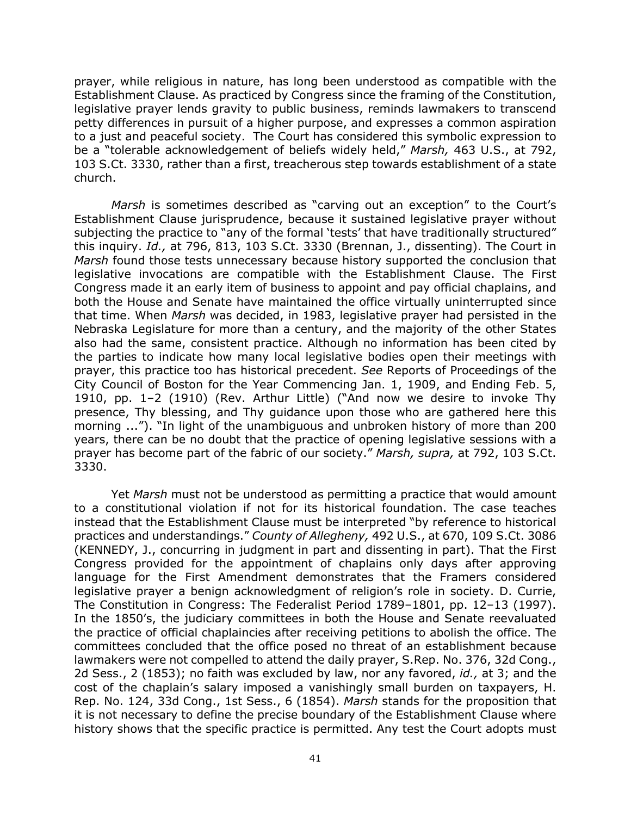prayer, while religious in nature, has long been understood as compatible with the Establishment Clause. As practiced by Congress since the framing of the Constitution, legislative prayer lends gravity to public business, reminds lawmakers to transcend petty differences in pursuit of a higher purpose, and expresses a common aspiration to a just and peaceful society. The Court has considered this symbolic expression to be a "tolerable acknowledgement of beliefs widely held," *Marsh,* 463 U.S., at 792, 103 S.Ct. 3330, rather than a first, treacherous step towards establishment of a state church.

*Marsh* is sometimes described as "carving out an exception" to the Court's Establishment Clause jurisprudence, because it sustained legislative prayer without subjecting the practice to "any of the formal 'tests' that have traditionally structured" this inquiry. *Id.,* at 796, 813, 103 S.Ct. 3330 (Brennan, J., dissenting). The Court in *Marsh* found those tests unnecessary because history supported the conclusion that legislative invocations are compatible with the Establishment Clause. The First Congress made it an early item of business to appoint and pay official chaplains, and both the House and Senate have maintained the office virtually uninterrupted since that time. When *Marsh* was decided, in 1983, legislative prayer had persisted in the Nebraska Legislature for more than a century, and the majority of the other States also had the same, consistent practice. Although no information has been cited by the parties to indicate how many local legislative bodies open their meetings with prayer, this practice too has historical precedent. *See* Reports of Proceedings of the City Council of Boston for the Year Commencing Jan. 1, 1909, and Ending Feb. 5, 1910, pp. 1–2 (1910) (Rev. Arthur Little) ("And now we desire to invoke Thy presence, Thy blessing, and Thy guidance upon those who are gathered here this morning ..."). "In light of the unambiguous and unbroken history of more than 200 years, there can be no doubt that the practice of opening legislative sessions with a prayer has become part of the fabric of our society." *Marsh, supra,* at 792, 103 S.Ct. 3330.

Yet *Marsh* must not be understood as permitting a practice that would amount to a constitutional violation if not for its historical foundation. The case teaches instead that the Establishment Clause must be interpreted "by reference to historical practices and understandings." *County of Allegheny,* 492 U.S., at 670, 109 S.Ct. 3086 (KENNEDY, J., concurring in judgment in part and dissenting in part). That the First Congress provided for the appointment of chaplains only days after approving language for the First Amendment demonstrates that the Framers considered legislative prayer a benign acknowledgment of religion's role in society. D. Currie, The Constitution in Congress: The Federalist Period 1789–1801, pp. 12–13 (1997). In the 1850's, the judiciary committees in both the House and Senate reevaluated the practice of official chaplaincies after receiving petitions to abolish the office. The committees concluded that the office posed no threat of an establishment because lawmakers were not compelled to attend the daily prayer, S.Rep. No. 376, 32d Cong., 2d Sess., 2 (1853); no faith was excluded by law, nor any favored, *id.,* at 3; and the cost of the chaplain's salary imposed a vanishingly small burden on taxpayers, H. Rep. No. 124, 33d Cong., 1st Sess., 6 (1854). *Marsh* stands for the proposition that it is not necessary to define the precise boundary of the Establishment Clause where history shows that the specific practice is permitted. Any test the Court adopts must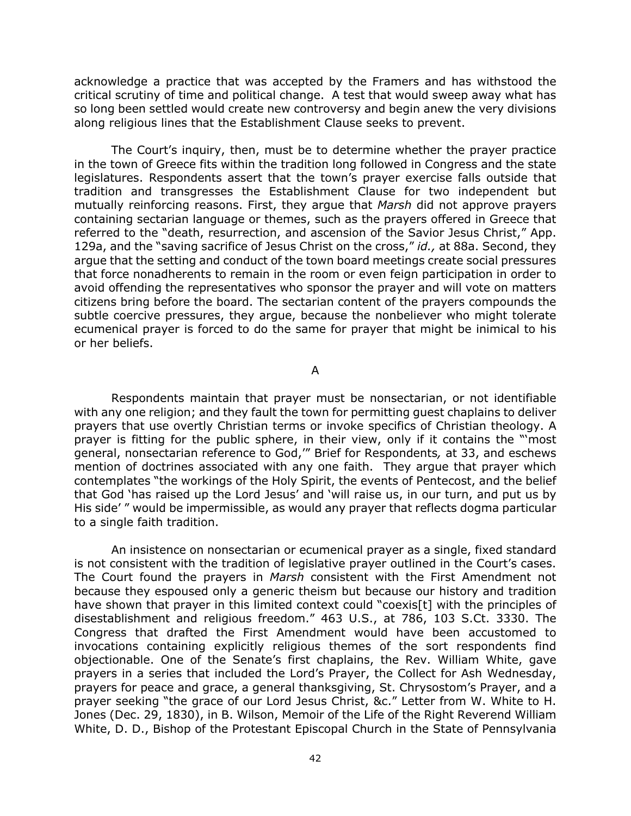acknowledge a practice that was accepted by the Framers and has withstood the critical scrutiny of time and political change. A test that would sweep away what has so long been settled would create new controversy and begin anew the very divisions along religious lines that the Establishment Clause seeks to prevent.

The Court's inquiry, then, must be to determine whether the prayer practice in the town of Greece fits within the tradition long followed in Congress and the state legislatures. Respondents assert that the town's prayer exercise falls outside that tradition and transgresses the Establishment Clause for two independent but mutually reinforcing reasons. First, they argue that *Marsh* did not approve prayers containing sectarian language or themes, such as the prayers offered in Greece that referred to the "death, resurrection, and ascension of the Savior Jesus Christ," App. 129a, and the "saving sacrifice of Jesus Christ on the cross," *id.,* at 88a. Second, they argue that the setting and conduct of the town board meetings create social pressures that force nonadherents to remain in the room or even feign participation in order to avoid offending the representatives who sponsor the prayer and will vote on matters citizens bring before the board. The sectarian content of the prayers compounds the subtle coercive pressures, they argue, because the nonbeliever who might tolerate ecumenical prayer is forced to do the same for prayer that might be inimical to his or her beliefs.

A

Respondents maintain that prayer must be nonsectarian, or not identifiable with any one religion; and they fault the town for permitting guest chaplains to deliver prayers that use overtly Christian terms or invoke specifics of Christian theology. A prayer is fitting for the public sphere, in their view, only if it contains the "'most general, nonsectarian reference to God,'" Brief for Respondents*,* at 33, and eschews mention of doctrines associated with any one faith. They argue that prayer which contemplates "the workings of the Holy Spirit, the events of Pentecost, and the belief that God 'has raised up the Lord Jesus' and 'will raise us, in our turn, and put us by His side' " would be impermissible, as would any prayer that reflects dogma particular to a single faith tradition.

An insistence on nonsectarian or ecumenical prayer as a single, fixed standard is not consistent with the tradition of legislative prayer outlined in the Court's cases. The Court found the prayers in *Marsh* consistent with the First Amendment not because they espoused only a generic theism but because our history and tradition have shown that prayer in this limited context could "coexis[t] with the principles of disestablishment and religious freedom." 463 U.S., at 786, 103 S.Ct. 3330. The Congress that drafted the First Amendment would have been accustomed to invocations containing explicitly religious themes of the sort respondents find objectionable. One of the Senate's first chaplains, the Rev. William White, gave prayers in a series that included the Lord's Prayer, the Collect for Ash Wednesday, prayers for peace and grace, a general thanksgiving, St. Chrysostom's Prayer, and a prayer seeking "the grace of our Lord Jesus Christ, &c." Letter from W. White to H. Jones (Dec. 29, 1830), in B. Wilson, Memoir of the Life of the Right Reverend William White, D. D., Bishop of the Protestant Episcopal Church in the State of Pennsylvania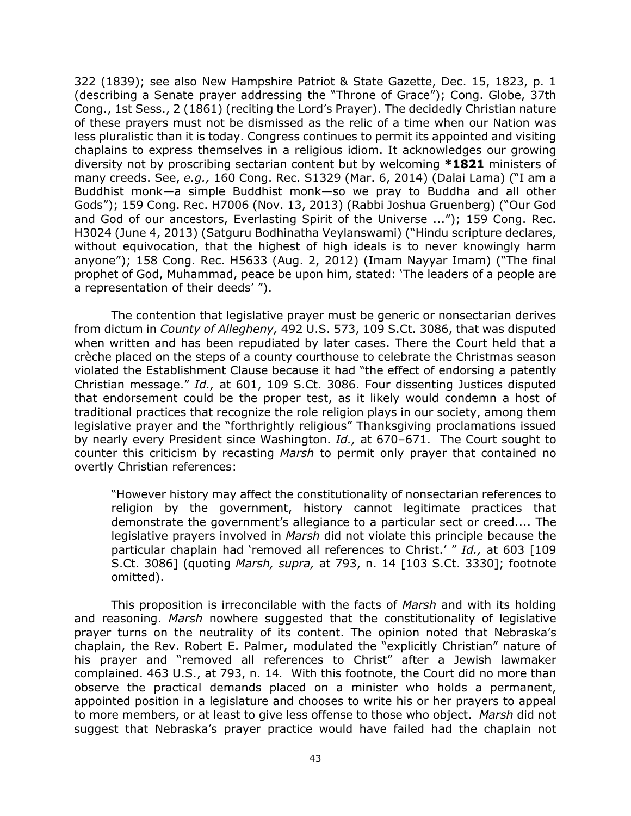322 (1839); see also New Hampshire Patriot & State Gazette, Dec. 15, 1823, p. 1 (describing a Senate prayer addressing the "Throne of Grace"); Cong. Globe, 37th Cong., 1st Sess., 2 (1861) (reciting the Lord's Prayer). The decidedly Christian nature of these prayers must not be dismissed as the relic of a time when our Nation was less pluralistic than it is today. Congress continues to permit its appointed and visiting chaplains to express themselves in a religious idiom. It acknowledges our growing diversity not by proscribing sectarian content but by welcoming **\*1821** ministers of many creeds. See, *e.g.,* 160 Cong. Rec. S1329 (Mar. 6, 2014) (Dalai Lama) ("I am a Buddhist monk—a simple Buddhist monk—so we pray to Buddha and all other Gods"); 159 Cong. Rec. H7006 (Nov. 13, 2013) (Rabbi Joshua Gruenberg) ("Our God and God of our ancestors, Everlasting Spirit of the Universe ..."); 159 Cong. Rec. H3024 (June 4, 2013) (Satguru Bodhinatha Veylanswami) ("Hindu scripture declares, without equivocation, that the highest of high ideals is to never knowingly harm anyone"); 158 Cong. Rec. H5633 (Aug. 2, 2012) (Imam Nayyar Imam) ("The final prophet of God, Muhammad, peace be upon him, stated: 'The leaders of a people are a representation of their deeds' ").

The contention that legislative prayer must be generic or nonsectarian derives from dictum in *County of Allegheny,* 492 U.S. 573, 109 S.Ct. 3086, that was disputed when written and has been repudiated by later cases. There the Court held that a crèche placed on the steps of a county courthouse to celebrate the Christmas season violated the Establishment Clause because it had "the effect of endorsing a patently Christian message." *Id.,* at 601, 109 S.Ct. 3086. Four dissenting Justices disputed that endorsement could be the proper test, as it likely would condemn a host of traditional practices that recognize the role religion plays in our society, among them legislative prayer and the "forthrightly religious" Thanksgiving proclamations issued by nearly every President since Washington. *Id.,* at 670–671. The Court sought to counter this criticism by recasting *Marsh* to permit only prayer that contained no overtly Christian references:

"However history may affect the constitutionality of nonsectarian references to religion by the government, history cannot legitimate practices that demonstrate the government's allegiance to a particular sect or creed.... The legislative prayers involved in *Marsh* did not violate this principle because the particular chaplain had 'removed all references to Christ.' " *Id.,* at 603 [109 S.Ct. 3086] (quoting *Marsh, supra,* at 793, n. 14 [103 S.Ct. 3330]; footnote omitted).

This proposition is irreconcilable with the facts of *Marsh* and with its holding and reasoning. *Marsh* nowhere suggested that the constitutionality of legislative prayer turns on the neutrality of its content. The opinion noted that Nebraska's chaplain, the Rev. Robert E. Palmer, modulated the "explicitly Christian" nature of his prayer and "removed all references to Christ" after a Jewish lawmaker complained. 463 U.S., at 793, n. 14*.* With this footnote, the Court did no more than observe the practical demands placed on a minister who holds a permanent, appointed position in a legislature and chooses to write his or her prayers to appeal to more members, or at least to give less offense to those who object. *Marsh* did not suggest that Nebraska's prayer practice would have failed had the chaplain not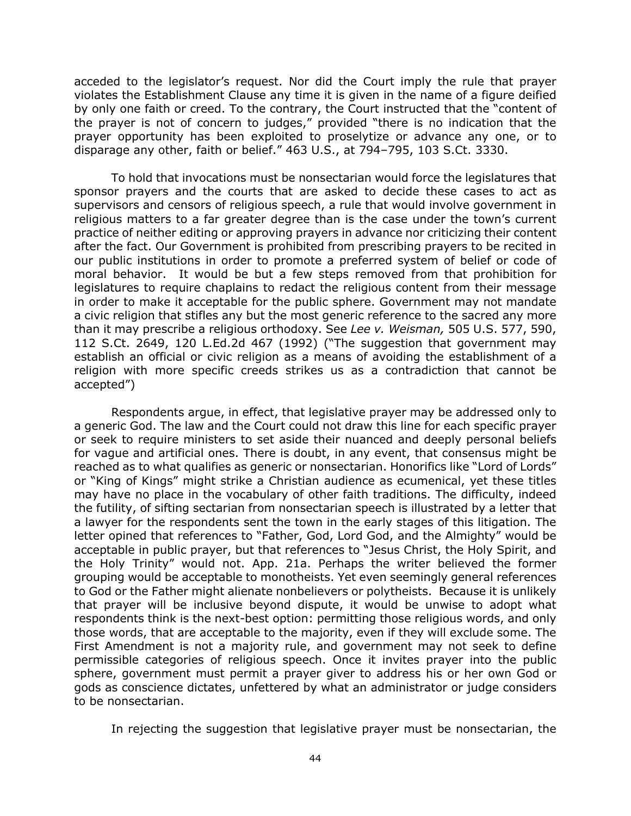acceded to the legislator's request. Nor did the Court imply the rule that prayer violates the Establishment Clause any time it is given in the name of a figure deified by only one faith or creed. To the contrary, the Court instructed that the "content of the prayer is not of concern to judges," provided "there is no indication that the prayer opportunity has been exploited to proselytize or advance any one, or to disparage any other, faith or belief." 463 U.S., at 794–795, 103 S.Ct. 3330.

To hold that invocations must be nonsectarian would force the legislatures that sponsor prayers and the courts that are asked to decide these cases to act as supervisors and censors of religious speech, a rule that would involve government in religious matters to a far greater degree than is the case under the town's current practice of neither editing or approving prayers in advance nor criticizing their content after the fact. Our Government is prohibited from prescribing prayers to be recited in our public institutions in order to promote a preferred system of belief or code of moral behavior. It would be but a few steps removed from that prohibition for legislatures to require chaplains to redact the religious content from their message in order to make it acceptable for the public sphere. Government may not mandate a civic religion that stifles any but the most generic reference to the sacred any more than it may prescribe a religious orthodoxy. See *Lee v. Weisman,* 505 U.S. 577, 590, 112 S.Ct. 2649, 120 L.Ed.2d 467 (1992) ("The suggestion that government may establish an official or civic religion as a means of avoiding the establishment of a religion with more specific creeds strikes us as a contradiction that cannot be accepted")

Respondents argue, in effect, that legislative prayer may be addressed only to a generic God. The law and the Court could not draw this line for each specific prayer or seek to require ministers to set aside their nuanced and deeply personal beliefs for vague and artificial ones. There is doubt, in any event, that consensus might be reached as to what qualifies as generic or nonsectarian. Honorifics like "Lord of Lords" or "King of Kings" might strike a Christian audience as ecumenical, yet these titles may have no place in the vocabulary of other faith traditions. The difficulty, indeed the futility, of sifting sectarian from nonsectarian speech is illustrated by a letter that a lawyer for the respondents sent the town in the early stages of this litigation. The letter opined that references to "Father, God, Lord God, and the Almighty" would be acceptable in public prayer, but that references to "Jesus Christ, the Holy Spirit, and the Holy Trinity" would not. App. 21a. Perhaps the writer believed the former grouping would be acceptable to monotheists. Yet even seemingly general references to God or the Father might alienate nonbelievers or polytheists. Because it is unlikely that prayer will be inclusive beyond dispute, it would be unwise to adopt what respondents think is the next-best option: permitting those religious words, and only those words, that are acceptable to the majority, even if they will exclude some. The First Amendment is not a majority rule, and government may not seek to define permissible categories of religious speech. Once it invites prayer into the public sphere, government must permit a prayer giver to address his or her own God or gods as conscience dictates, unfettered by what an administrator or judge considers to be nonsectarian.

In rejecting the suggestion that legislative prayer must be nonsectarian, the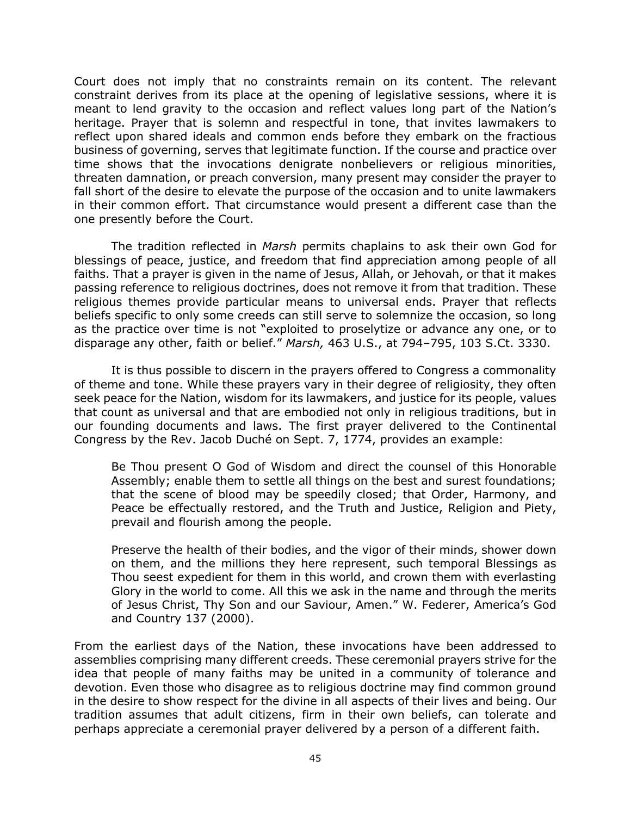Court does not imply that no constraints remain on its content. The relevant constraint derives from its place at the opening of legislative sessions, where it is meant to lend gravity to the occasion and reflect values long part of the Nation's heritage. Prayer that is solemn and respectful in tone, that invites lawmakers to reflect upon shared ideals and common ends before they embark on the fractious business of governing, serves that legitimate function. If the course and practice over time shows that the invocations denigrate nonbelievers or religious minorities, threaten damnation, or preach conversion, many present may consider the prayer to fall short of the desire to elevate the purpose of the occasion and to unite lawmakers in their common effort. That circumstance would present a different case than the one presently before the Court.

The tradition reflected in *Marsh* permits chaplains to ask their own God for blessings of peace, justice, and freedom that find appreciation among people of all faiths. That a prayer is given in the name of Jesus, Allah, or Jehovah, or that it makes passing reference to religious doctrines, does not remove it from that tradition. These religious themes provide particular means to universal ends. Prayer that reflects beliefs specific to only some creeds can still serve to solemnize the occasion, so long as the practice over time is not "exploited to proselytize or advance any one, or to disparage any other, faith or belief." *Marsh,* 463 U.S., at 794–795, 103 S.Ct. 3330.

It is thus possible to discern in the prayers offered to Congress a commonality of theme and tone. While these prayers vary in their degree of religiosity, they often seek peace for the Nation, wisdom for its lawmakers, and justice for its people, values that count as universal and that are embodied not only in religious traditions, but in our founding documents and laws. The first prayer delivered to the Continental Congress by the Rev. Jacob Duché on Sept. 7, 1774, provides an example:

Be Thou present O God of Wisdom and direct the counsel of this Honorable Assembly; enable them to settle all things on the best and surest foundations; that the scene of blood may be speedily closed; that Order, Harmony, and Peace be effectually restored, and the Truth and Justice, Religion and Piety, prevail and flourish among the people.

Preserve the health of their bodies, and the vigor of their minds, shower down on them, and the millions they here represent, such temporal Blessings as Thou seest expedient for them in this world, and crown them with everlasting Glory in the world to come. All this we ask in the name and through the merits of Jesus Christ, Thy Son and our Saviour, Amen." W. Federer, America's God and Country 137 (2000).

From the earliest days of the Nation, these invocations have been addressed to assemblies comprising many different creeds. These ceremonial prayers strive for the idea that people of many faiths may be united in a community of tolerance and devotion. Even those who disagree as to religious doctrine may find common ground in the desire to show respect for the divine in all aspects of their lives and being. Our tradition assumes that adult citizens, firm in their own beliefs, can tolerate and perhaps appreciate a ceremonial prayer delivered by a person of a different faith.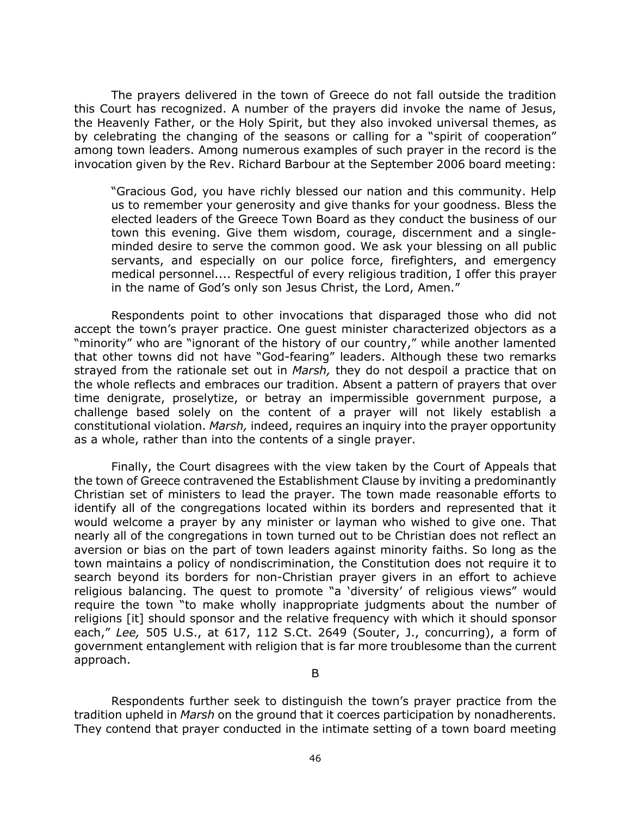The prayers delivered in the town of Greece do not fall outside the tradition this Court has recognized. A number of the prayers did invoke the name of Jesus, the Heavenly Father, or the Holy Spirit, but they also invoked universal themes, as by celebrating the changing of the seasons or calling for a "spirit of cooperation" among town leaders. Among numerous examples of such prayer in the record is the invocation given by the Rev. Richard Barbour at the September 2006 board meeting:

"Gracious God, you have richly blessed our nation and this community. Help us to remember your generosity and give thanks for your goodness. Bless the elected leaders of the Greece Town Board as they conduct the business of our town this evening. Give them wisdom, courage, discernment and a singleminded desire to serve the common good. We ask your blessing on all public servants, and especially on our police force, firefighters, and emergency medical personnel.... Respectful of every religious tradition, I offer this prayer in the name of God's only son Jesus Christ, the Lord, Amen."

Respondents point to other invocations that disparaged those who did not accept the town's prayer practice. One guest minister characterized objectors as a "minority" who are "ignorant of the history of our country," while another lamented that other towns did not have "God-fearing" leaders. Although these two remarks strayed from the rationale set out in *Marsh,* they do not despoil a practice that on the whole reflects and embraces our tradition. Absent a pattern of prayers that over time denigrate, proselytize, or betray an impermissible government purpose, a challenge based solely on the content of a prayer will not likely establish a constitutional violation. *Marsh,* indeed, requires an inquiry into the prayer opportunity as a whole, rather than into the contents of a single prayer.

Finally, the Court disagrees with the view taken by the Court of Appeals that the town of Greece contravened the Establishment Clause by inviting a predominantly Christian set of ministers to lead the prayer. The town made reasonable efforts to identify all of the congregations located within its borders and represented that it would welcome a prayer by any minister or layman who wished to give one. That nearly all of the congregations in town turned out to be Christian does not reflect an aversion or bias on the part of town leaders against minority faiths. So long as the town maintains a policy of nondiscrimination, the Constitution does not require it to search beyond its borders for non-Christian prayer givers in an effort to achieve religious balancing. The quest to promote "a 'diversity' of religious views" would require the town "to make wholly inappropriate judgments about the number of religions [it] should sponsor and the relative frequency with which it should sponsor each," *Lee,* 505 U.S., at 617, 112 S.Ct. 2649 (Souter, J., concurring), a form of government entanglement with religion that is far more troublesome than the current approach.

B

Respondents further seek to distinguish the town's prayer practice from the tradition upheld in *Marsh* on the ground that it coerces participation by nonadherents. They contend that prayer conducted in the intimate setting of a town board meeting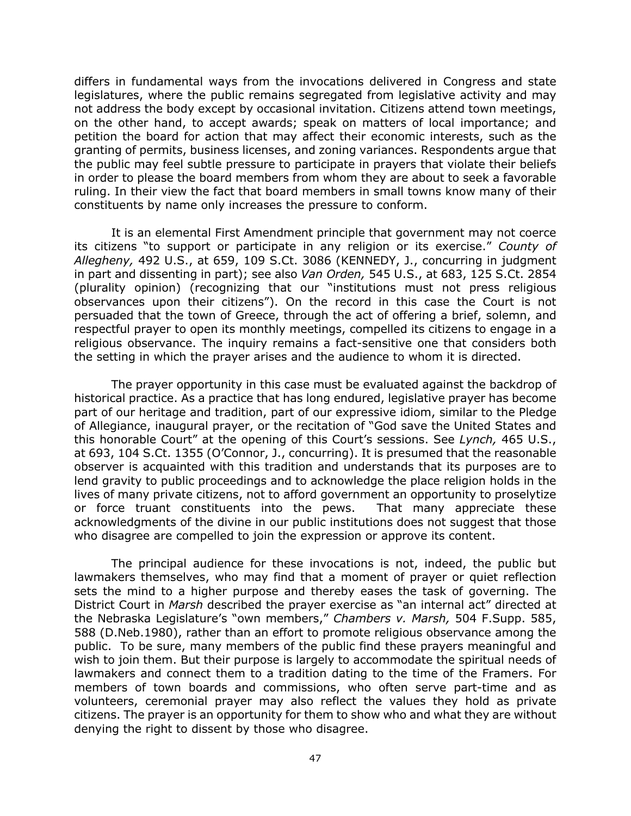differs in fundamental ways from the invocations delivered in Congress and state legislatures, where the public remains segregated from legislative activity and may not address the body except by occasional invitation. Citizens attend town meetings, on the other hand, to accept awards; speak on matters of local importance; and petition the board for action that may affect their economic interests, such as the granting of permits, business licenses, and zoning variances. Respondents argue that the public may feel subtle pressure to participate in prayers that violate their beliefs in order to please the board members from whom they are about to seek a favorable ruling. In their view the fact that board members in small towns know many of their constituents by name only increases the pressure to conform.

It is an elemental First Amendment principle that government may not coerce its citizens "to support or participate in any religion or its exercise." *County of Allegheny,* 492 U.S., at 659, 109 S.Ct. 3086 (KENNEDY, J., concurring in judgment in part and dissenting in part); see also *Van Orden,* 545 U.S., at 683, 125 S.Ct. 2854 (plurality opinion) (recognizing that our "institutions must not press religious observances upon their citizens"). On the record in this case the Court is not persuaded that the town of Greece, through the act of offering a brief, solemn, and respectful prayer to open its monthly meetings, compelled its citizens to engage in a religious observance. The inquiry remains a fact-sensitive one that considers both the setting in which the prayer arises and the audience to whom it is directed.

The prayer opportunity in this case must be evaluated against the backdrop of historical practice. As a practice that has long endured, legislative prayer has become part of our heritage and tradition, part of our expressive idiom, similar to the Pledge of Allegiance, inaugural prayer, or the recitation of "God save the United States and this honorable Court" at the opening of this Court's sessions. See *Lynch,* 465 U.S., at 693, 104 S.Ct. 1355 (O'Connor, J., concurring). It is presumed that the reasonable observer is acquainted with this tradition and understands that its purposes are to lend gravity to public proceedings and to acknowledge the place religion holds in the lives of many private citizens, not to afford government an opportunity to proselytize or force truant constituents into the pews. That many appreciate these acknowledgments of the divine in our public institutions does not suggest that those who disagree are compelled to join the expression or approve its content.

The principal audience for these invocations is not, indeed, the public but lawmakers themselves, who may find that a moment of prayer or quiet reflection sets the mind to a higher purpose and thereby eases the task of governing. The District Court in *Marsh* described the prayer exercise as "an internal act" directed at the Nebraska Legislature's "own members," *Chambers v. Marsh,* 504 F.Supp. 585, 588 (D.Neb.1980), rather than an effort to promote religious observance among the public. To be sure, many members of the public find these prayers meaningful and wish to join them. But their purpose is largely to accommodate the spiritual needs of lawmakers and connect them to a tradition dating to the time of the Framers. For members of town boards and commissions, who often serve part-time and as volunteers, ceremonial prayer may also reflect the values they hold as private citizens. The prayer is an opportunity for them to show who and what they are without denying the right to dissent by those who disagree.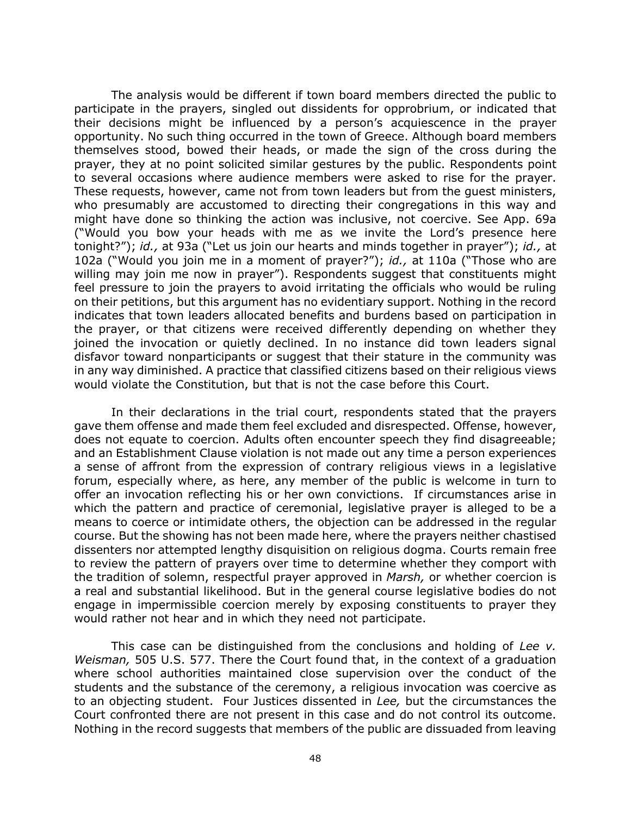The analysis would be different if town board members directed the public to participate in the prayers, singled out dissidents for opprobrium, or indicated that their decisions might be influenced by a person's acquiescence in the prayer opportunity. No such thing occurred in the town of Greece. Although board members themselves stood, bowed their heads, or made the sign of the cross during the prayer, they at no point solicited similar gestures by the public. Respondents point to several occasions where audience members were asked to rise for the prayer. These requests, however, came not from town leaders but from the guest ministers, who presumably are accustomed to directing their congregations in this way and might have done so thinking the action was inclusive, not coercive. See App. 69a ("Would you bow your heads with me as we invite the Lord's presence here tonight?"); *id.,* at 93a ("Let us join our hearts and minds together in prayer"); *id.,* at 102a ("Would you join me in a moment of prayer?"); *id.,* at 110a ("Those who are willing may join me now in prayer"). Respondents suggest that constituents might feel pressure to join the prayers to avoid irritating the officials who would be ruling on their petitions, but this argument has no evidentiary support. Nothing in the record indicates that town leaders allocated benefits and burdens based on participation in the prayer, or that citizens were received differently depending on whether they joined the invocation or quietly declined. In no instance did town leaders signal disfavor toward nonparticipants or suggest that their stature in the community was in any way diminished. A practice that classified citizens based on their religious views would violate the Constitution, but that is not the case before this Court.

In their declarations in the trial court, respondents stated that the prayers gave them offense and made them feel excluded and disrespected. Offense, however, does not equate to coercion. Adults often encounter speech they find disagreeable; and an Establishment Clause violation is not made out any time a person experiences a sense of affront from the expression of contrary religious views in a legislative forum, especially where, as here, any member of the public is welcome in turn to offer an invocation reflecting his or her own convictions. If circumstances arise in which the pattern and practice of ceremonial, legislative prayer is alleged to be a means to coerce or intimidate others, the objection can be addressed in the regular course. But the showing has not been made here, where the prayers neither chastised dissenters nor attempted lengthy disquisition on religious dogma. Courts remain free to review the pattern of prayers over time to determine whether they comport with the tradition of solemn, respectful prayer approved in *Marsh,* or whether coercion is a real and substantial likelihood. But in the general course legislative bodies do not engage in impermissible coercion merely by exposing constituents to prayer they would rather not hear and in which they need not participate.

This case can be distinguished from the conclusions and holding of *Lee v. Weisman,* 505 U.S. 577. There the Court found that, in the context of a graduation where school authorities maintained close supervision over the conduct of the students and the substance of the ceremony, a religious invocation was coercive as to an objecting student. Four Justices dissented in *Lee,* but the circumstances the Court confronted there are not present in this case and do not control its outcome. Nothing in the record suggests that members of the public are dissuaded from leaving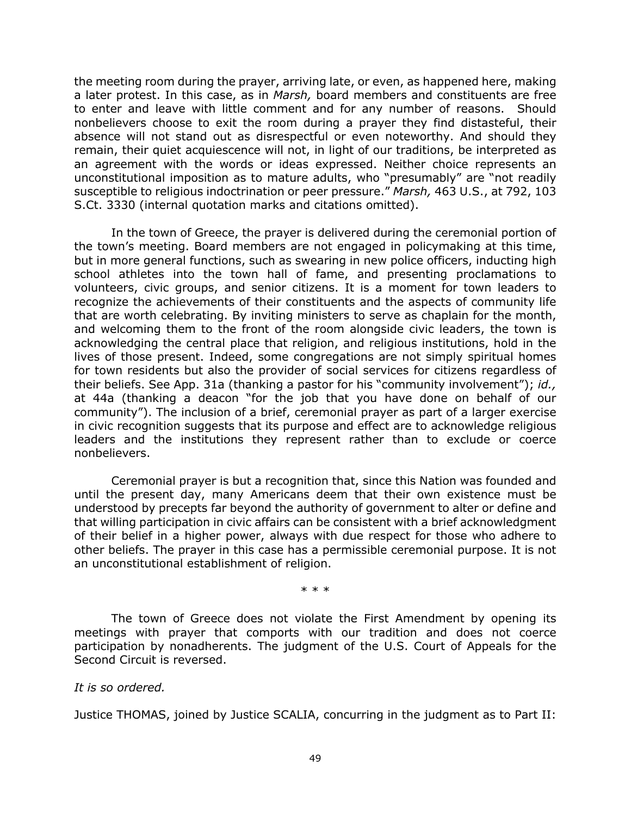the meeting room during the prayer, arriving late, or even, as happened here, making a later protest. In this case, as in *Marsh,* board members and constituents are free to enter and leave with little comment and for any number of reasons. Should nonbelievers choose to exit the room during a prayer they find distasteful, their absence will not stand out as disrespectful or even noteworthy. And should they remain, their quiet acquiescence will not, in light of our traditions, be interpreted as an agreement with the words or ideas expressed. Neither choice represents an unconstitutional imposition as to mature adults, who "presumably" are "not readily susceptible to religious indoctrination or peer pressure." *Marsh,* 463 U.S., at 792, 103 S.Ct. 3330 (internal quotation marks and citations omitted).

In the town of Greece, the prayer is delivered during the ceremonial portion of the town's meeting. Board members are not engaged in policymaking at this time, but in more general functions, such as swearing in new police officers, inducting high school athletes into the town hall of fame, and presenting proclamations to volunteers, civic groups, and senior citizens. It is a moment for town leaders to recognize the achievements of their constituents and the aspects of community life that are worth celebrating. By inviting ministers to serve as chaplain for the month, and welcoming them to the front of the room alongside civic leaders, the town is acknowledging the central place that religion, and religious institutions, hold in the lives of those present. Indeed, some congregations are not simply spiritual homes for town residents but also the provider of social services for citizens regardless of their beliefs. See App. 31a (thanking a pastor for his "community involvement"); *id.,* at 44a (thanking a deacon "for the job that you have done on behalf of our community"). The inclusion of a brief, ceremonial prayer as part of a larger exercise in civic recognition suggests that its purpose and effect are to acknowledge religious leaders and the institutions they represent rather than to exclude or coerce nonbelievers.

Ceremonial prayer is but a recognition that, since this Nation was founded and until the present day, many Americans deem that their own existence must be understood by precepts far beyond the authority of government to alter or define and that willing participation in civic affairs can be consistent with a brief acknowledgment of their belief in a higher power, always with due respect for those who adhere to other beliefs. The prayer in this case has a permissible ceremonial purpose. It is not an unconstitutional establishment of religion.

\* \* \*

The town of Greece does not violate the First Amendment by opening its meetings with prayer that comports with our tradition and does not coerce participation by nonadherents. The judgment of the U.S. Court of Appeals for the Second Circuit is reversed.

## *It is so ordered.*

Justice THOMAS, joined by Justice SCALIA, concurring in the judgment as to Part II: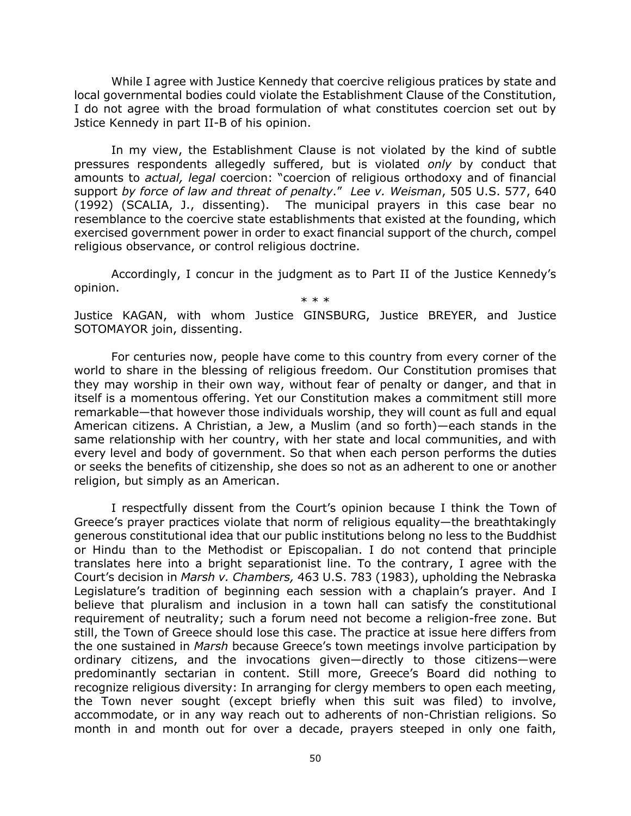While I agree with Justice Kennedy that coercive religious pratices by state and local governmental bodies could violate the Establishment Clause of the Constitution, I do not agree with the broad formulation of what constitutes coercion set out by Jstice Kennedy in part II-B of his opinion.

In my view, the Establishment Clause is not violated by the kind of subtle pressures respondents allegedly suffered, but is violated *only* by conduct that amounts to *actual, legal* coercion: "coercion of religious orthodoxy and of financial support *by force of law and threat of penalty*." *Lee v. Weisman*, 505 U.S. 577, 640 (1992) (SCALIA, J., dissenting). The municipal prayers in this case bear no resemblance to the coercive state establishments that existed at the founding, which exercised government power in order to exact financial support of the church, compel religious observance, or control religious doctrine.

Accordingly, I concur in the judgment as to Part II of the Justice Kennedy's opinion.

\* \* \*

Justice KAGAN, with whom Justice GINSBURG, Justice BREYER, and Justice SOTOMAYOR join, dissenting.

For centuries now, people have come to this country from every corner of the world to share in the blessing of religious freedom. Our Constitution promises that they may worship in their own way, without fear of penalty or danger, and that in itself is a momentous offering. Yet our Constitution makes a commitment still more remarkable—that however those individuals worship, they will count as full and equal American citizens. A Christian, a Jew, a Muslim (and so forth)—each stands in the same relationship with her country, with her state and local communities, and with every level and body of government. So that when each person performs the duties or seeks the benefits of citizenship, she does so not as an adherent to one or another religion, but simply as an American.

I respectfully dissent from the Court's opinion because I think the Town of Greece's prayer practices violate that norm of religious equality—the breathtakingly generous constitutional idea that our public institutions belong no less to the Buddhist or Hindu than to the Methodist or Episcopalian. I do not contend that principle translates here into a bright separationist line. To the contrary, I agree with the Court's decision in *Marsh v. Chambers,* 463 U.S. 783 (1983), upholding the Nebraska Legislature's tradition of beginning each session with a chaplain's prayer. And I believe that pluralism and inclusion in a town hall can satisfy the constitutional requirement of neutrality; such a forum need not become a religion-free zone. But still, the Town of Greece should lose this case. The practice at issue here differs from the one sustained in *Marsh* because Greece's town meetings involve participation by ordinary citizens, and the invocations given—directly to those citizens—were predominantly sectarian in content. Still more, Greece's Board did nothing to recognize religious diversity: In arranging for clergy members to open each meeting, the Town never sought (except briefly when this suit was filed) to involve, accommodate, or in any way reach out to adherents of non-Christian religions. So month in and month out for over a decade, prayers steeped in only one faith,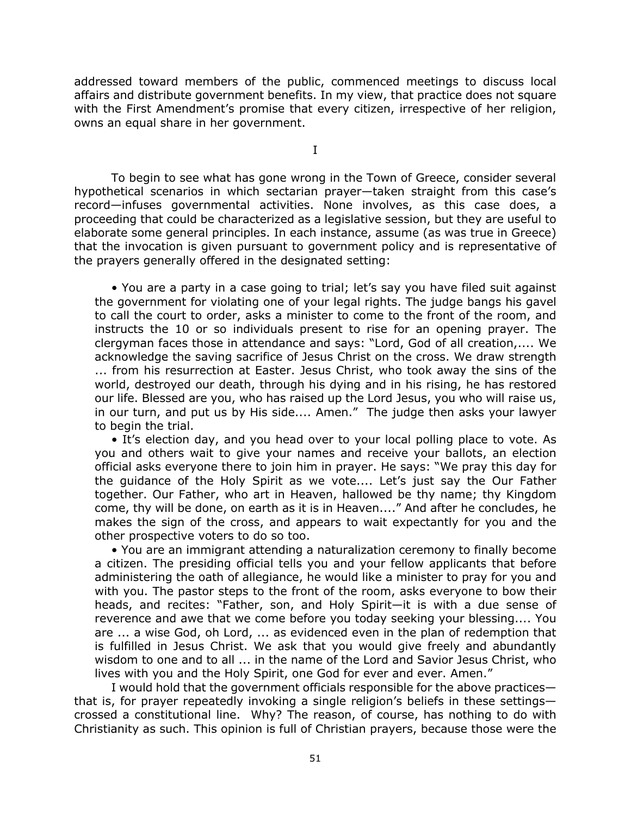addressed toward members of the public, commenced meetings to discuss local affairs and distribute government benefits. In my view, that practice does not square with the First Amendment's promise that every citizen, irrespective of her religion, owns an equal share in her government.

I

To begin to see what has gone wrong in the Town of Greece, consider several hypothetical scenarios in which sectarian prayer—taken straight from this case's record—infuses governmental activities. None involves, as this case does, a proceeding that could be characterized as a legislative session, but they are useful to elaborate some general principles. In each instance, assume (as was true in Greece) that the invocation is given pursuant to government policy and is representative of the prayers generally offered in the designated setting:

• You are a party in a case going to trial; let's say you have filed suit against the government for violating one of your legal rights. The judge bangs his gavel to call the court to order, asks a minister to come to the front of the room, and instructs the 10 or so individuals present to rise for an opening prayer. The clergyman faces those in attendance and says: "Lord, God of all creation,.... We acknowledge the saving sacrifice of Jesus Christ on the cross. We draw strength ... from his resurrection at Easter. Jesus Christ, who took away the sins of the world, destroyed our death, through his dying and in his rising, he has restored our life. Blessed are you, who has raised up the Lord Jesus, you who will raise us, in our turn, and put us by His side.... Amen." The judge then asks your lawyer to begin the trial.

• It's election day, and you head over to your local polling place to vote. As you and others wait to give your names and receive your ballots, an election official asks everyone there to join him in prayer. He says: "We pray this day for the guidance of the Holy Spirit as we vote.... Let's just say the Our Father together. Our Father, who art in Heaven, hallowed be thy name; thy Kingdom come, thy will be done, on earth as it is in Heaven...." And after he concludes, he makes the sign of the cross, and appears to wait expectantly for you and the other prospective voters to do so too.

• You are an immigrant attending a naturalization ceremony to finally become a citizen. The presiding official tells you and your fellow applicants that before administering the oath of allegiance, he would like a minister to pray for you and with you. The pastor steps to the front of the room, asks everyone to bow their heads, and recites: "Father, son, and Holy Spirit—it is with a due sense of reverence and awe that we come before you today seeking your blessing.... You are ... a wise God, oh Lord, ... as evidenced even in the plan of redemption that is fulfilled in Jesus Christ. We ask that you would give freely and abundantly wisdom to one and to all ... in the name of the Lord and Savior Jesus Christ, who lives with you and the Holy Spirit, one God for ever and ever. Amen."

I would hold that the government officials responsible for the above practices that is, for prayer repeatedly invoking a single religion's beliefs in these settings crossed a constitutional line. Why? The reason, of course, has nothing to do with Christianity as such. This opinion is full of Christian prayers, because those were the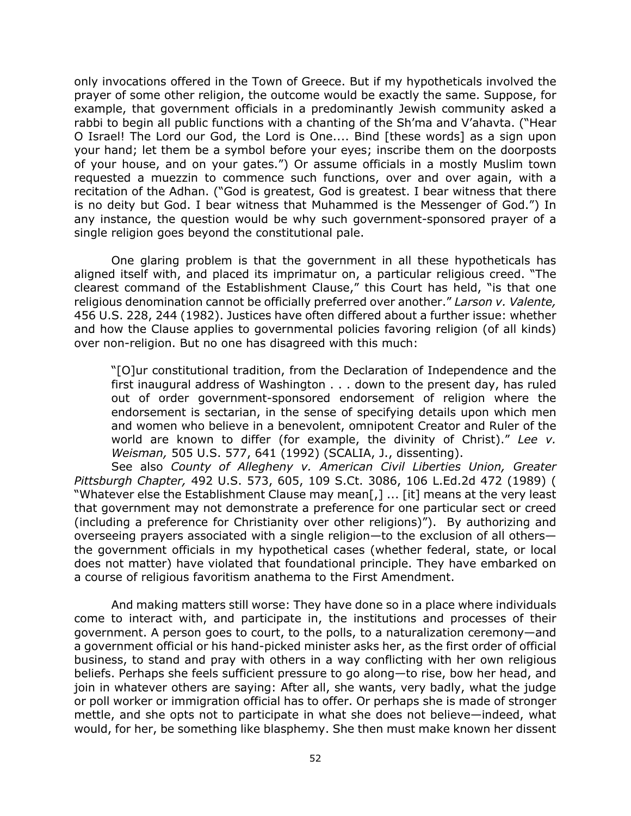only invocations offered in the Town of Greece. But if my hypotheticals involved the prayer of some other religion, the outcome would be exactly the same. Suppose, for example, that government officials in a predominantly Jewish community asked a rabbi to begin all public functions with a chanting of the Sh'ma and V'ahavta. ("Hear O Israel! The Lord our God, the Lord is One.... Bind [these words] as a sign upon your hand; let them be a symbol before your eyes; inscribe them on the doorposts of your house, and on your gates.") Or assume officials in a mostly Muslim town requested a muezzin to commence such functions, over and over again, with a recitation of the Adhan. ("God is greatest, God is greatest. I bear witness that there is no deity but God. I bear witness that Muhammed is the Messenger of God.") In any instance, the question would be why such government-sponsored prayer of a single religion goes beyond the constitutional pale.

One glaring problem is that the government in all these hypotheticals has aligned itself with, and placed its imprimatur on, a particular religious creed. "The clearest command of the Establishment Clause," this Court has held, "is that one religious denomination cannot be officially preferred over another." *Larson v. Valente,* 456 U.S. 228, 244 (1982). Justices have often differed about a further issue: whether and how the Clause applies to governmental policies favoring religion (of all kinds) over non-religion. But no one has disagreed with this much:

"[O]ur constitutional tradition, from the Declaration of Independence and the first inaugural address of Washington . . . down to the present day, has ruled out of order government-sponsored endorsement of religion where the endorsement is sectarian, in the sense of specifying details upon which men and women who believe in a benevolent, omnipotent Creator and Ruler of the world are known to differ (for example, the divinity of Christ)." *Lee v. Weisman,* 505 U.S. 577, 641 (1992) (SCALIA, J., dissenting).

See also *County of Allegheny v. American Civil Liberties Union, Greater Pittsburgh Chapter,* 492 U.S. 573, 605, 109 S.Ct. 3086, 106 L.Ed.2d 472 (1989) ( "Whatever else the Establishment Clause may mean[,] ... [it] means at the very least that government may not demonstrate a preference for one particular sect or creed (including a preference for Christianity over other religions)"). By authorizing and overseeing prayers associated with a single religion—to the exclusion of all others the government officials in my hypothetical cases (whether federal, state, or local does not matter) have violated that foundational principle. They have embarked on a course of religious favoritism anathema to the First Amendment.

And making matters still worse: They have done so in a place where individuals come to interact with, and participate in, the institutions and processes of their government. A person goes to court, to the polls, to a naturalization ceremony—and a government official or his hand-picked minister asks her, as the first order of official business, to stand and pray with others in a way conflicting with her own religious beliefs. Perhaps she feels sufficient pressure to go along—to rise, bow her head, and join in whatever others are saying: After all, she wants, very badly, what the judge or poll worker or immigration official has to offer. Or perhaps she is made of stronger mettle, and she opts not to participate in what she does not believe—indeed, what would, for her, be something like blasphemy. She then must make known her dissent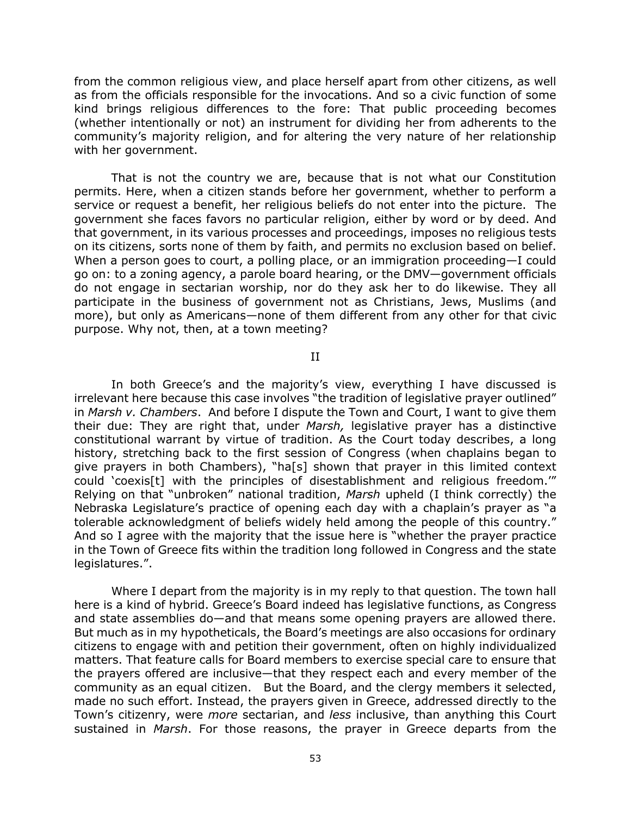from the common religious view, and place herself apart from other citizens, as well as from the officials responsible for the invocations. And so a civic function of some kind brings religious differences to the fore: That public proceeding becomes (whether intentionally or not) an instrument for dividing her from adherents to the community's majority religion, and for altering the very nature of her relationship with her government.

That is not the country we are, because that is not what our Constitution permits. Here, when a citizen stands before her government, whether to perform a service or request a benefit, her religious beliefs do not enter into the picture. The government she faces favors no particular religion, either by word or by deed. And that government, in its various processes and proceedings, imposes no religious tests on its citizens, sorts none of them by faith, and permits no exclusion based on belief. When a person goes to court, a polling place, or an immigration proceeding—I could go on: to a zoning agency, a parole board hearing, or the DMV—government officials do not engage in sectarian worship, nor do they ask her to do likewise. They all participate in the business of government not as Christians, Jews, Muslims (and more), but only as Americans—none of them different from any other for that civic purpose. Why not, then, at a town meeting?

II

In both Greece's and the majority's view, everything I have discussed is irrelevant here because this case involves "the tradition of legislative prayer outlined" in *Marsh v. Chambers*. And before I dispute the Town and Court, I want to give them their due: They are right that, under *Marsh,* legislative prayer has a distinctive constitutional warrant by virtue of tradition. As the Court today describes, a long history, stretching back to the first session of Congress (when chaplains began to give prayers in both Chambers), "ha[s] shown that prayer in this limited context could 'coexis[t] with the principles of disestablishment and religious freedom.'" Relying on that "unbroken" national tradition, *Marsh* upheld (I think correctly) the Nebraska Legislature's practice of opening each day with a chaplain's prayer as "a tolerable acknowledgment of beliefs widely held among the people of this country." And so I agree with the majority that the issue here is "whether the prayer practice in the Town of Greece fits within the tradition long followed in Congress and the state legislatures.".

Where I depart from the majority is in my reply to that question. The town hall here is a kind of hybrid. Greece's Board indeed has legislative functions, as Congress and state assemblies do—and that means some opening prayers are allowed there. But much as in my hypotheticals, the Board's meetings are also occasions for ordinary citizens to engage with and petition their government, often on highly individualized matters. That feature calls for Board members to exercise special care to ensure that the prayers offered are inclusive—that they respect each and every member of the community as an equal citizen. But the Board, and the clergy members it selected, made no such effort. Instead, the prayers given in Greece, addressed directly to the Town's citizenry, were *more* sectarian, and *less* inclusive, than anything this Court sustained in *Marsh*. For those reasons, the prayer in Greece departs from the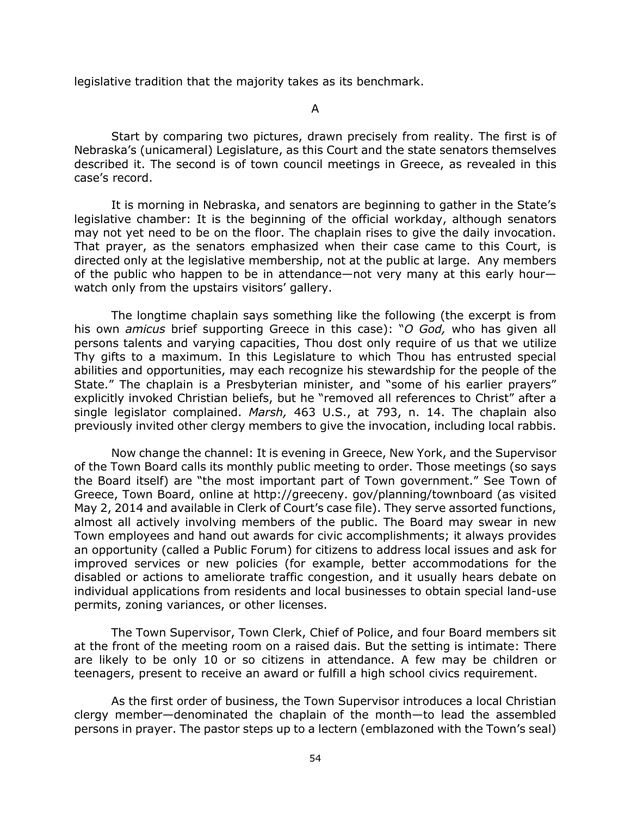legislative tradition that the majority takes as its benchmark.

A

Start by comparing two pictures, drawn precisely from reality. The first is of Nebraska's (unicameral) Legislature, as this Court and the state senators themselves described it. The second is of town council meetings in Greece, as revealed in this case's record.

It is morning in Nebraska, and senators are beginning to gather in the State's legislative chamber: It is the beginning of the official workday, although senators may not yet need to be on the floor. The chaplain rises to give the daily invocation. That prayer, as the senators emphasized when their case came to this Court, is directed only at the legislative membership, not at the public at large. Any members of the public who happen to be in attendance—not very many at this early hour watch only from the upstairs visitors' gallery.

The longtime chaplain says something like the following (the excerpt is from his own *amicus* brief supporting Greece in this case): "*O God,* who has given all persons talents and varying capacities, Thou dost only require of us that we utilize Thy gifts to a maximum. In this Legislature to which Thou has entrusted special abilities and opportunities, may each recognize his stewardship for the people of the State." The chaplain is a Presbyterian minister, and "some of his earlier prayers" explicitly invoked Christian beliefs, but he "removed all references to Christ" after a single legislator complained. *Marsh,* 463 U.S., at 793, n. 14. The chaplain also previously invited other clergy members to give the invocation, including local rabbis.

Now change the channel: It is evening in Greece, New York, and the Supervisor of the Town Board calls its monthly public meeting to order. Those meetings (so says the Board itself) are "the most important part of Town government." See Town of Greece, Town Board, online at http://greeceny. gov/planning/townboard (as visited May 2, 2014 and available in Clerk of Court's case file). They serve assorted functions, almost all actively involving members of the public. The Board may swear in new Town employees and hand out awards for civic accomplishments; it always provides an opportunity (called a Public Forum) for citizens to address local issues and ask for improved services or new policies (for example, better accommodations for the disabled or actions to ameliorate traffic congestion, and it usually hears debate on individual applications from residents and local businesses to obtain special land-use permits, zoning variances, or other licenses.

The Town Supervisor, Town Clerk, Chief of Police, and four Board members sit at the front of the meeting room on a raised dais. But the setting is intimate: There are likely to be only 10 or so citizens in attendance. A few may be children or teenagers, present to receive an award or fulfill a high school civics requirement.

As the first order of business, the Town Supervisor introduces a local Christian clergy member—denominated the chaplain of the month—to lead the assembled persons in prayer. The pastor steps up to a lectern (emblazoned with the Town's seal)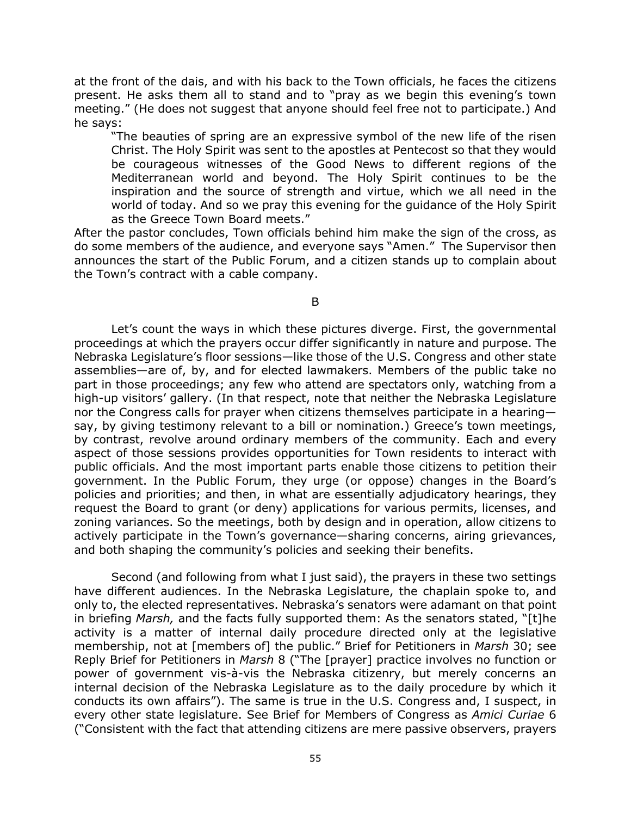at the front of the dais, and with his back to the Town officials, he faces the citizens present. He asks them all to stand and to "pray as we begin this evening's town meeting." (He does not suggest that anyone should feel free not to participate.) And he says:

"The beauties of spring are an expressive symbol of the new life of the risen Christ. The Holy Spirit was sent to the apostles at Pentecost so that they would be courageous witnesses of the Good News to different regions of the Mediterranean world and beyond. The Holy Spirit continues to be the inspiration and the source of strength and virtue, which we all need in the world of today. And so we pray this evening for the guidance of the Holy Spirit as the Greece Town Board meets."

After the pastor concludes, Town officials behind him make the sign of the cross, as do some members of the audience, and everyone says "Amen." The Supervisor then announces the start of the Public Forum, and a citizen stands up to complain about the Town's contract with a cable company.

B

Let's count the ways in which these pictures diverge. First, the governmental proceedings at which the prayers occur differ significantly in nature and purpose. The Nebraska Legislature's floor sessions—like those of the U.S. Congress and other state assemblies—are of, by, and for elected lawmakers. Members of the public take no part in those proceedings; any few who attend are spectators only, watching from a high-up visitors' gallery. (In that respect, note that neither the Nebraska Legislature nor the Congress calls for prayer when citizens themselves participate in a hearing say, by giving testimony relevant to a bill or nomination.) Greece's town meetings, by contrast, revolve around ordinary members of the community. Each and every aspect of those sessions provides opportunities for Town residents to interact with public officials. And the most important parts enable those citizens to petition their government. In the Public Forum, they urge (or oppose) changes in the Board's policies and priorities; and then, in what are essentially adjudicatory hearings, they request the Board to grant (or deny) applications for various permits, licenses, and zoning variances. So the meetings, both by design and in operation, allow citizens to actively participate in the Town's governance—sharing concerns, airing grievances, and both shaping the community's policies and seeking their benefits.

Second (and following from what I just said), the prayers in these two settings have different audiences. In the Nebraska Legislature, the chaplain spoke to, and only to, the elected representatives. Nebraska's senators were adamant on that point in briefing *Marsh,* and the facts fully supported them: As the senators stated, "[t]he activity is a matter of internal daily procedure directed only at the legislative membership, not at [members of] the public." Brief for Petitioners in *Marsh* 30; see Reply Brief for Petitioners in *Marsh* 8 ("The [prayer] practice involves no function or power of government vis-à-vis the Nebraska citizenry, but merely concerns an internal decision of the Nebraska Legislature as to the daily procedure by which it conducts its own affairs"). The same is true in the U.S. Congress and, I suspect, in every other state legislature. See Brief for Members of Congress as *Amici Curiae* 6 ("Consistent with the fact that attending citizens are mere passive observers, prayers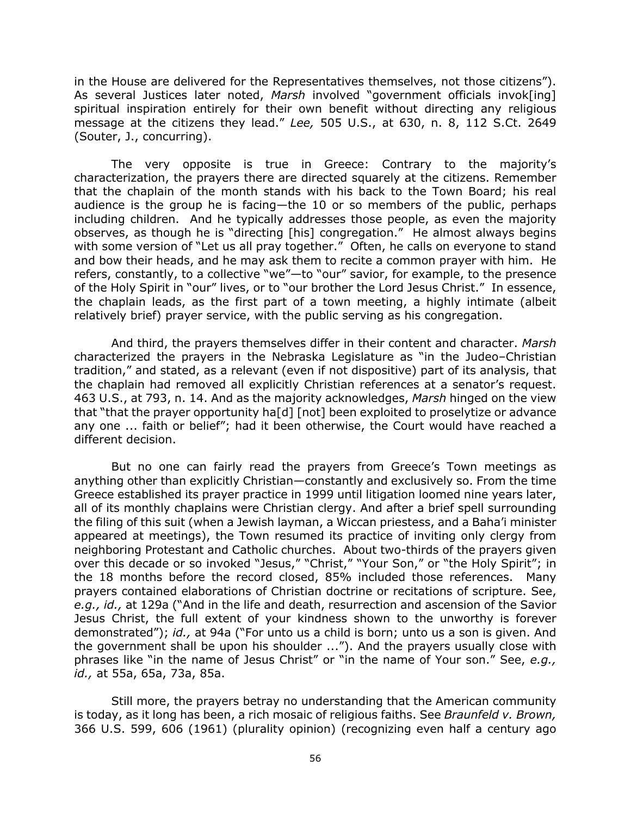in the House are delivered for the Representatives themselves, not those citizens"). As several Justices later noted, *Marsh* involved "government officials invok[ing] spiritual inspiration entirely for their own benefit without directing any religious message at the citizens they lead." *Lee,* 505 U.S., at 630, n. 8, 112 S.Ct. 2649 (Souter, J., concurring).

The very opposite is true in Greece: Contrary to the majority's characterization, the prayers there are directed squarely at the citizens. Remember that the chaplain of the month stands with his back to the Town Board; his real audience is the group he is facing—the 10 or so members of the public, perhaps including children. And he typically addresses those people, as even the majority observes, as though he is "directing [his] congregation." He almost always begins with some version of "Let us all pray together." Often, he calls on everyone to stand and bow their heads, and he may ask them to recite a common prayer with him. He refers, constantly, to a collective "we"—to "our" savior, for example, to the presence of the Holy Spirit in "our" lives, or to "our brother the Lord Jesus Christ." In essence, the chaplain leads, as the first part of a town meeting, a highly intimate (albeit relatively brief) prayer service, with the public serving as his congregation.

And third, the prayers themselves differ in their content and character. *Marsh* characterized the prayers in the Nebraska Legislature as "in the Judeo–Christian tradition," and stated, as a relevant (even if not dispositive) part of its analysis, that the chaplain had removed all explicitly Christian references at a senator's request. 463 U.S., at 793, n. 14. And as the majority acknowledges, *Marsh* hinged on the view that "that the prayer opportunity ha[d] [not] been exploited to proselytize or advance any one ... faith or belief"; had it been otherwise, the Court would have reached a different decision.

But no one can fairly read the prayers from Greece's Town meetings as anything other than explicitly Christian—constantly and exclusively so. From the time Greece established its prayer practice in 1999 until litigation loomed nine years later, all of its monthly chaplains were Christian clergy. And after a brief spell surrounding the filing of this suit (when a Jewish layman, a Wiccan priestess, and a Baha'i minister appeared at meetings), the Town resumed its practice of inviting only clergy from neighboring Protestant and Catholic churches. About two-thirds of the prayers given over this decade or so invoked "Jesus," "Christ," "Your Son," or "the Holy Spirit"; in the 18 months before the record closed, 85% included those references. Many prayers contained elaborations of Christian doctrine or recitations of scripture. See, *e.g., id.,* at 129a ("And in the life and death, resurrection and ascension of the Savior Jesus Christ, the full extent of your kindness shown to the unworthy is forever demonstrated"); *id.,* at 94a ("For unto us a child is born; unto us a son is given. And the government shall be upon his shoulder ..."). And the prayers usually close with phrases like "in the name of Jesus Christ" or "in the name of Your son." See, *e.g., id.,* at 55a, 65a, 73a, 85a.

Still more, the prayers betray no understanding that the American community is today, as it long has been, a rich mosaic of religious faiths. See *Braunfeld v. Brown,* 366 U.S. 599, 606 (1961) (plurality opinion) (recognizing even half a century ago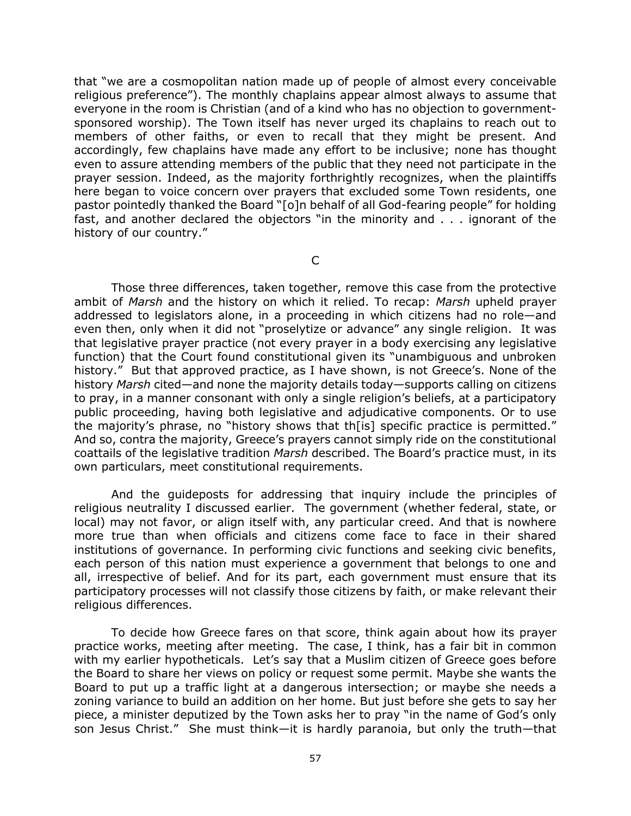that "we are a cosmopolitan nation made up of people of almost every conceivable religious preference"). The monthly chaplains appear almost always to assume that everyone in the room is Christian (and of a kind who has no objection to governmentsponsored worship). The Town itself has never urged its chaplains to reach out to members of other faiths, or even to recall that they might be present. And accordingly, few chaplains have made any effort to be inclusive; none has thought even to assure attending members of the public that they need not participate in the prayer session. Indeed, as the majority forthrightly recognizes, when the plaintiffs here began to voice concern over prayers that excluded some Town residents, one pastor pointedly thanked the Board "[o]n behalf of all God-fearing people" for holding fast, and another declared the objectors "in the minority and . . . ignorant of the history of our country."

C

Those three differences, taken together, remove this case from the protective ambit of *Marsh* and the history on which it relied. To recap: *Marsh* upheld prayer addressed to legislators alone, in a proceeding in which citizens had no role—and even then, only when it did not "proselytize or advance" any single religion. It was that legislative prayer practice (not every prayer in a body exercising any legislative function) that the Court found constitutional given its "unambiguous and unbroken history." But that approved practice, as I have shown, is not Greece's. None of the history *Marsh* cited—and none the majority details today—supports calling on citizens to pray, in a manner consonant with only a single religion's beliefs, at a participatory public proceeding, having both legislative and adjudicative components. Or to use the majority's phrase, no "history shows that th[is] specific practice is permitted." And so, contra the majority, Greece's prayers cannot simply ride on the constitutional coattails of the legislative tradition *Marsh* described. The Board's practice must, in its own particulars, meet constitutional requirements.

And the guideposts for addressing that inquiry include the principles of religious neutrality I discussed earlier. The government (whether federal, state, or local) may not favor, or align itself with, any particular creed. And that is nowhere more true than when officials and citizens come face to face in their shared institutions of governance. In performing civic functions and seeking civic benefits, each person of this nation must experience a government that belongs to one and all, irrespective of belief. And for its part, each government must ensure that its participatory processes will not classify those citizens by faith, or make relevant their religious differences.

To decide how Greece fares on that score, think again about how its prayer practice works, meeting after meeting. The case, I think, has a fair bit in common with my earlier hypotheticals. Let's say that a Muslim citizen of Greece goes before the Board to share her views on policy or request some permit. Maybe she wants the Board to put up a traffic light at a dangerous intersection; or maybe she needs a zoning variance to build an addition on her home. But just before she gets to say her piece, a minister deputized by the Town asks her to pray "in the name of God's only son Jesus Christ." She must think—it is hardly paranoia, but only the truth—that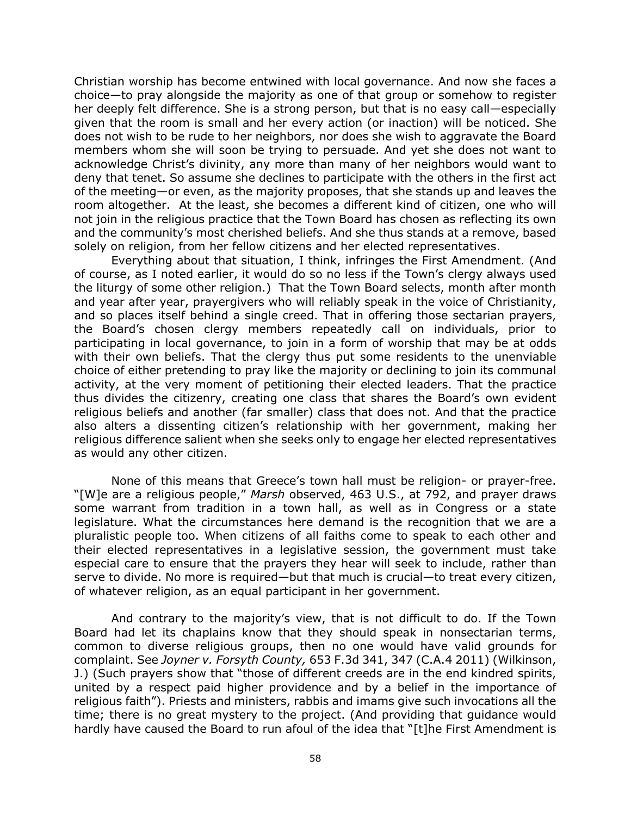Christian worship has become entwined with local governance. And now she faces a choice—to pray alongside the majority as one of that group or somehow to register her deeply felt difference. She is a strong person, but that is no easy call—especially given that the room is small and her every action (or inaction) will be noticed. She does not wish to be rude to her neighbors, nor does she wish to aggravate the Board members whom she will soon be trying to persuade. And yet she does not want to acknowledge Christ's divinity, any more than many of her neighbors would want to deny that tenet. So assume she declines to participate with the others in the first act of the meeting—or even, as the majority proposes, that she stands up and leaves the room altogether. At the least, she becomes a different kind of citizen, one who will not join in the religious practice that the Town Board has chosen as reflecting its own and the community's most cherished beliefs. And she thus stands at a remove, based solely on religion, from her fellow citizens and her elected representatives.

Everything about that situation, I think, infringes the First Amendment. (And of course, as I noted earlier, it would do so no less if the Town's clergy always used the liturgy of some other religion.) That the Town Board selects, month after month and year after year, prayergivers who will reliably speak in the voice of Christianity, and so places itself behind a single creed. That in offering those sectarian prayers, the Board's chosen clergy members repeatedly call on individuals, prior to participating in local governance, to join in a form of worship that may be at odds with their own beliefs. That the clergy thus put some residents to the unenviable choice of either pretending to pray like the majority or declining to join its communal activity, at the very moment of petitioning their elected leaders. That the practice thus divides the citizenry, creating one class that shares the Board's own evident religious beliefs and another (far smaller) class that does not. And that the practice also alters a dissenting citizen's relationship with her government, making her religious difference salient when she seeks only to engage her elected representatives as would any other citizen.

None of this means that Greece's town hall must be religion- or prayer-free. "[W]e are a religious people," *Marsh* observed, 463 U.S., at 792, and prayer draws some warrant from tradition in a town hall, as well as in Congress or a state legislature. What the circumstances here demand is the recognition that we are a pluralistic people too. When citizens of all faiths come to speak to each other and their elected representatives in a legislative session, the government must take especial care to ensure that the prayers they hear will seek to include, rather than serve to divide. No more is required—but that much is crucial—to treat every citizen, of whatever religion, as an equal participant in her government.

And contrary to the majority's view, that is not difficult to do. If the Town Board had let its chaplains know that they should speak in nonsectarian terms, common to diverse religious groups, then no one would have valid grounds for complaint. See *Joyner v. Forsyth County,* 653 F.3d 341, 347 (C.A.4 2011) (Wilkinson, J.) (Such prayers show that "those of different creeds are in the end kindred spirits, united by a respect paid higher providence and by a belief in the importance of religious faith"). Priests and ministers, rabbis and imams give such invocations all the time; there is no great mystery to the project. (And providing that guidance would hardly have caused the Board to run afoul of the idea that "[t]he First Amendment is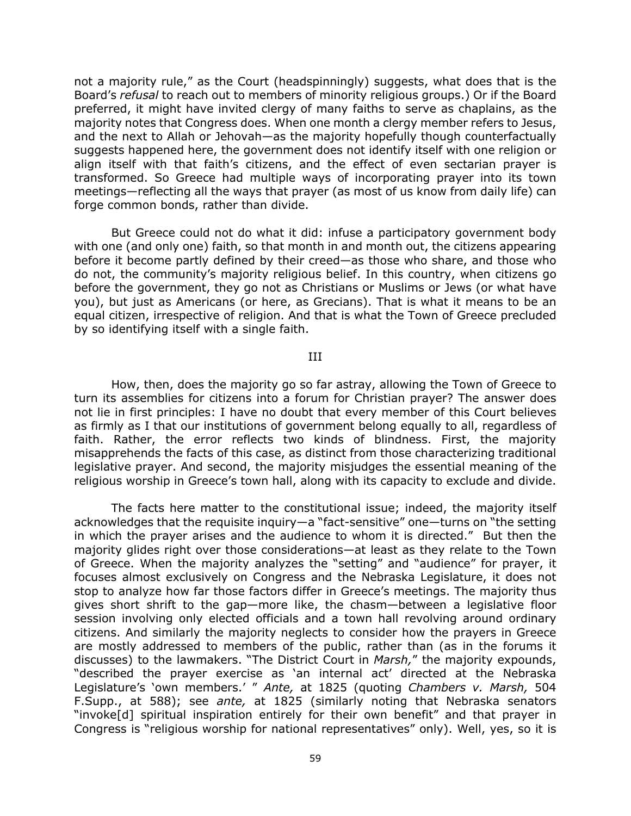not a majority rule," as the Court (headspinningly) suggests, what does that is the Board's *refusal* to reach out to members of minority religious groups.) Or if the Board preferred, it might have invited clergy of many faiths to serve as chaplains, as the majority notes that Congress does. When one month a clergy member refers to Jesus, and the next to Allah or Jehovah—as the majority hopefully though counterfactually suggests happened here, the government does not identify itself with one religion or align itself with that faith's citizens, and the effect of even sectarian prayer is transformed. So Greece had multiple ways of incorporating prayer into its town meetings—reflecting all the ways that prayer (as most of us know from daily life) can forge common bonds, rather than divide.

But Greece could not do what it did: infuse a participatory government body with one (and only one) faith, so that month in and month out, the citizens appearing before it become partly defined by their creed—as those who share, and those who do not, the community's majority religious belief. In this country, when citizens go before the government, they go not as Christians or Muslims or Jews (or what have you), but just as Americans (or here, as Grecians). That is what it means to be an equal citizen, irrespective of religion. And that is what the Town of Greece precluded by so identifying itself with a single faith.

III

How, then, does the majority go so far astray, allowing the Town of Greece to turn its assemblies for citizens into a forum for Christian prayer? The answer does not lie in first principles: I have no doubt that every member of this Court believes as firmly as I that our institutions of government belong equally to all, regardless of faith. Rather, the error reflects two kinds of blindness. First, the majority misapprehends the facts of this case, as distinct from those characterizing traditional legislative prayer. And second, the majority misjudges the essential meaning of the religious worship in Greece's town hall, along with its capacity to exclude and divide.

The facts here matter to the constitutional issue; indeed, the majority itself acknowledges that the requisite inquiry—a "fact-sensitive" one—turns on "the setting in which the prayer arises and the audience to whom it is directed." But then the majority glides right over those considerations—at least as they relate to the Town of Greece. When the majority analyzes the "setting" and "audience" for prayer, it focuses almost exclusively on Congress and the Nebraska Legislature, it does not stop to analyze how far those factors differ in Greece's meetings. The majority thus gives short shrift to the gap—more like, the chasm—between a legislative floor session involving only elected officials and a town hall revolving around ordinary citizens. And similarly the majority neglects to consider how the prayers in Greece are mostly addressed to members of the public, rather than (as in the forums it discusses) to the lawmakers. "The District Court in *Marsh,*" the majority expounds, "described the prayer exercise as 'an internal act' directed at the Nebraska Legislature's 'own members.' " *Ante,* at 1825 (quoting *Chambers v. Marsh,* 504 F.Supp., at 588); see *ante,* at 1825 (similarly noting that Nebraska senators "invoke[d] spiritual inspiration entirely for their own benefit" and that prayer in Congress is "religious worship for national representatives" only). Well, yes, so it is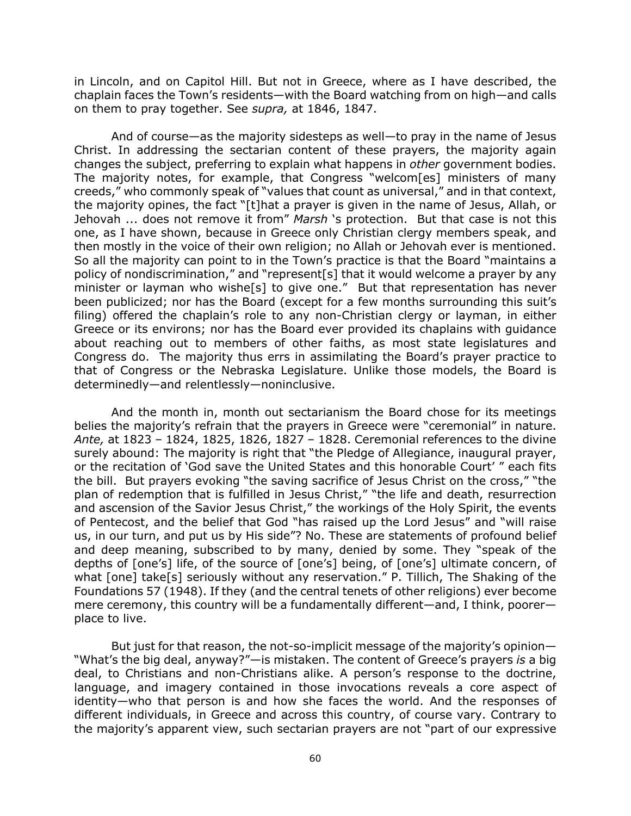in Lincoln, and on Capitol Hill. But not in Greece, where as I have described, the chaplain faces the Town's residents—with the Board watching from on high—and calls on them to pray together. See *supra,* at 1846, 1847.

And of course—as the majority sidesteps as well—to pray in the name of Jesus Christ. In addressing the sectarian content of these prayers, the majority again changes the subject, preferring to explain what happens in *other* government bodies. The majority notes, for example, that Congress "welcom[es] ministers of many creeds," who commonly speak of "values that count as universal," and in that context, the majority opines, the fact "[t]hat a prayer is given in the name of Jesus, Allah, or Jehovah ... does not remove it from" *Marsh* 's protection. But that case is not this one, as I have shown, because in Greece only Christian clergy members speak, and then mostly in the voice of their own religion; no Allah or Jehovah ever is mentioned. So all the majority can point to in the Town's practice is that the Board "maintains a policy of nondiscrimination," and "represent[s] that it would welcome a prayer by any minister or layman who wishe[s] to give one." But that representation has never been publicized; nor has the Board (except for a few months surrounding this suit's filing) offered the chaplain's role to any non-Christian clergy or layman, in either Greece or its environs; nor has the Board ever provided its chaplains with guidance about reaching out to members of other faiths, as most state legislatures and Congress do. The majority thus errs in assimilating the Board's prayer practice to that of Congress or the Nebraska Legislature. Unlike those models, the Board is determinedly—and relentlessly—noninclusive.

And the month in, month out sectarianism the Board chose for its meetings belies the majority's refrain that the prayers in Greece were "ceremonial" in nature. *Ante,* at 1823 – 1824, 1825, 1826, 1827 – 1828. Ceremonial references to the divine surely abound: The majority is right that "the Pledge of Allegiance, inaugural prayer, or the recitation of 'God save the United States and this honorable Court' " each fits the bill. But prayers evoking "the saving sacrifice of Jesus Christ on the cross," "the plan of redemption that is fulfilled in Jesus Christ," "the life and death, resurrection and ascension of the Savior Jesus Christ," the workings of the Holy Spirit, the events of Pentecost, and the belief that God "has raised up the Lord Jesus" and "will raise us, in our turn, and put us by His side"? No. These are statements of profound belief and deep meaning, subscribed to by many, denied by some. They "speak of the depths of [one's] life, of the source of [one's] being, of [one's] ultimate concern, of what [one] take[s] seriously without any reservation." P. Tillich, The Shaking of the Foundations 57 (1948). If they (and the central tenets of other religions) ever become mere ceremony, this country will be a fundamentally different—and, I think, poorer place to live.

But just for that reason, the not-so-implicit message of the majority's opinion— "What's the big deal, anyway?"—is mistaken. The content of Greece's prayers *is* a big deal, to Christians and non-Christians alike. A person's response to the doctrine, language, and imagery contained in those invocations reveals a core aspect of identity—who that person is and how she faces the world. And the responses of different individuals, in Greece and across this country, of course vary. Contrary to the majority's apparent view, such sectarian prayers are not "part of our expressive